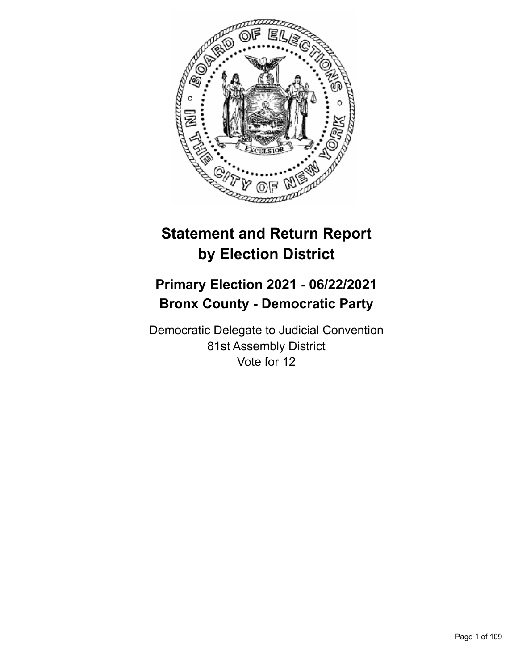

# **Statement and Return Report by Election District**

## **Primary Election 2021 - 06/22/2021 Bronx County - Democratic Party**

Democratic Delegate to Judicial Convention 81st Assembly District Vote for 12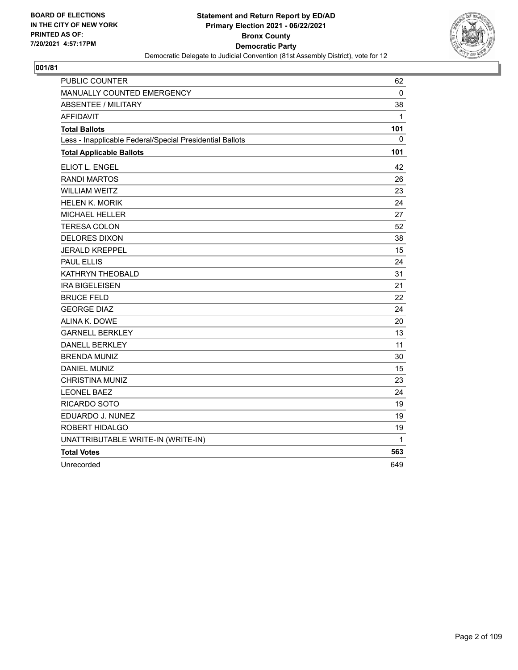

| PUBLIC COUNTER                                           | 62           |
|----------------------------------------------------------|--------------|
| MANUALLY COUNTED EMERGENCY                               | 0            |
| <b>ABSENTEE / MILITARY</b>                               | 38           |
| <b>AFFIDAVIT</b>                                         | $\mathbf{1}$ |
| <b>Total Ballots</b>                                     | 101          |
| Less - Inapplicable Federal/Special Presidential Ballots | 0            |
| <b>Total Applicable Ballots</b>                          | 101          |
| ELIOT L. ENGEL                                           | 42           |
| <b>RANDI MARTOS</b>                                      | 26           |
| <b>WILLIAM WEITZ</b>                                     | 23           |
| <b>HELEN K. MORIK</b>                                    | 24           |
| MICHAEL HELLER                                           | 27           |
| <b>TERESA COLON</b>                                      | 52           |
| <b>DELORES DIXON</b>                                     | 38           |
| <b>JERALD KREPPEL</b>                                    | 15           |
| <b>PAUL ELLIS</b>                                        | 24           |
| KATHRYN THEOBALD                                         | 31           |
| <b>IRA BIGELEISEN</b>                                    | 21           |
| <b>BRUCE FELD</b>                                        | 22           |
| <b>GEORGE DIAZ</b>                                       | 24           |
| ALINA K. DOWE                                            | 20           |
| <b>GARNELL BERKLEY</b>                                   | 13           |
| <b>DANELL BERKLEY</b>                                    | 11           |
| <b>BRENDA MUNIZ</b>                                      | 30           |
| <b>DANIEL MUNIZ</b>                                      | 15           |
| CHRISTINA MUNIZ                                          | 23           |
| <b>LEONEL BAEZ</b>                                       | 24           |
| RICARDO SOTO                                             | 19           |
| EDUARDO J. NUNEZ                                         | 19           |
| ROBERT HIDALGO                                           | 19           |
| UNATTRIBUTABLE WRITE-IN (WRITE-IN)                       | 1            |
| <b>Total Votes</b>                                       | 563          |
| Unrecorded                                               | 649          |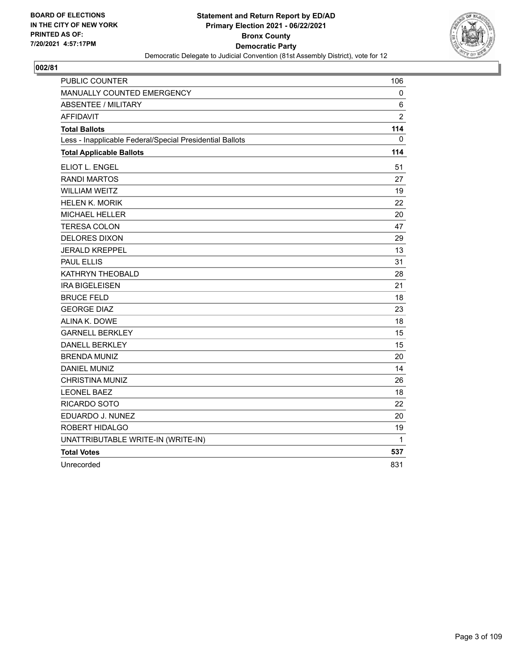

| PUBLIC COUNTER                                           | 106            |
|----------------------------------------------------------|----------------|
| MANUALLY COUNTED EMERGENCY                               | 0              |
| <b>ABSENTEE / MILITARY</b>                               | 6              |
| <b>AFFIDAVIT</b>                                         | $\overline{c}$ |
| <b>Total Ballots</b>                                     | 114            |
| Less - Inapplicable Federal/Special Presidential Ballots | 0              |
| <b>Total Applicable Ballots</b>                          | 114            |
| <b>ELIOT L. ENGEL</b>                                    | 51             |
| <b>RANDI MARTOS</b>                                      | 27             |
| <b>WILLIAM WEITZ</b>                                     | 19             |
| <b>HELEN K. MORIK</b>                                    | 22             |
| <b>MICHAEL HELLER</b>                                    | 20             |
| <b>TERESA COLON</b>                                      | 47             |
| <b>DELORES DIXON</b>                                     | 29             |
| <b>JERALD KREPPEL</b>                                    | 13             |
| <b>PAUL ELLIS</b>                                        | 31             |
| KATHRYN THEOBALD                                         | 28             |
| <b>IRA BIGELEISEN</b>                                    | 21             |
| <b>BRUCE FELD</b>                                        | 18             |
| <b>GEORGE DIAZ</b>                                       | 23             |
| ALINA K. DOWE                                            | 18             |
| <b>GARNELL BERKLEY</b>                                   | 15             |
| <b>DANELL BERKLEY</b>                                    | 15             |
| <b>BRENDA MUNIZ</b>                                      | 20             |
| <b>DANIEL MUNIZ</b>                                      | 14             |
| <b>CHRISTINA MUNIZ</b>                                   | 26             |
| <b>LEONEL BAEZ</b>                                       | 18             |
| RICARDO SOTO                                             | 22             |
| EDUARDO J. NUNEZ                                         | 20             |
| ROBERT HIDALGO                                           | 19             |
| UNATTRIBUTABLE WRITE-IN (WRITE-IN)                       | 1              |
| <b>Total Votes</b>                                       | 537            |
| Unrecorded                                               | 831            |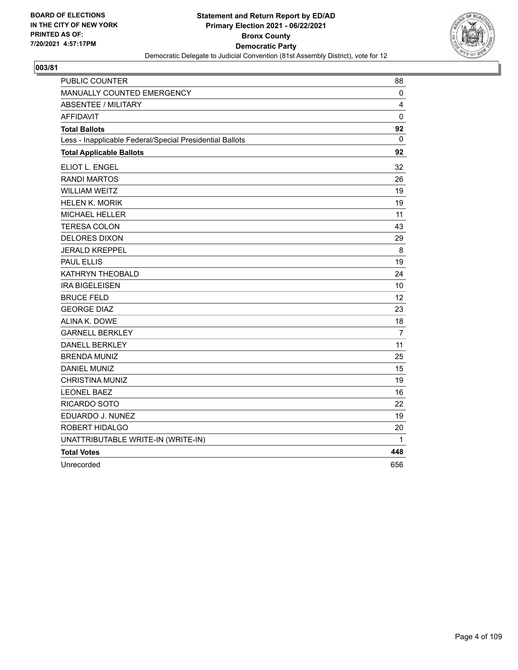

| PUBLIC COUNTER                                           | 88             |
|----------------------------------------------------------|----------------|
| MANUALLY COUNTED EMERGENCY                               | 0              |
| <b>ABSENTEE / MILITARY</b>                               | 4              |
| <b>AFFIDAVIT</b>                                         | 0              |
| <b>Total Ballots</b>                                     | 92             |
| Less - Inapplicable Federal/Special Presidential Ballots | 0              |
| <b>Total Applicable Ballots</b>                          | 92             |
| ELIOT L. ENGEL                                           | 32             |
| <b>RANDI MARTOS</b>                                      | 26             |
| <b>WILLIAM WEITZ</b>                                     | 19             |
| <b>HELEN K. MORIK</b>                                    | 19             |
| <b>MICHAEL HELLER</b>                                    | 11             |
| <b>TERESA COLON</b>                                      | 43             |
| <b>DELORES DIXON</b>                                     | 29             |
| <b>JERALD KREPPEL</b>                                    | 8              |
| <b>PAUL ELLIS</b>                                        | 19             |
| KATHRYN THEOBALD                                         | 24             |
| <b>IRA BIGELEISEN</b>                                    | 10             |
| <b>BRUCE FELD</b>                                        | 12             |
| <b>GEORGE DIAZ</b>                                       | 23             |
| ALINA K. DOWE                                            | 18             |
| <b>GARNELL BERKLEY</b>                                   | $\overline{7}$ |
| <b>DANELL BERKLEY</b>                                    | 11             |
| <b>BRENDA MUNIZ</b>                                      | 25             |
| <b>DANIEL MUNIZ</b>                                      | 15             |
| <b>CHRISTINA MUNIZ</b>                                   | 19             |
| <b>LEONEL BAEZ</b>                                       | 16             |
| RICARDO SOTO                                             | 22             |
| EDUARDO J. NUNEZ                                         | 19             |
| ROBERT HIDALGO                                           | 20             |
| UNATTRIBUTABLE WRITE-IN (WRITE-IN)                       | 1              |
| <b>Total Votes</b>                                       | 448            |
| Unrecorded                                               | 656            |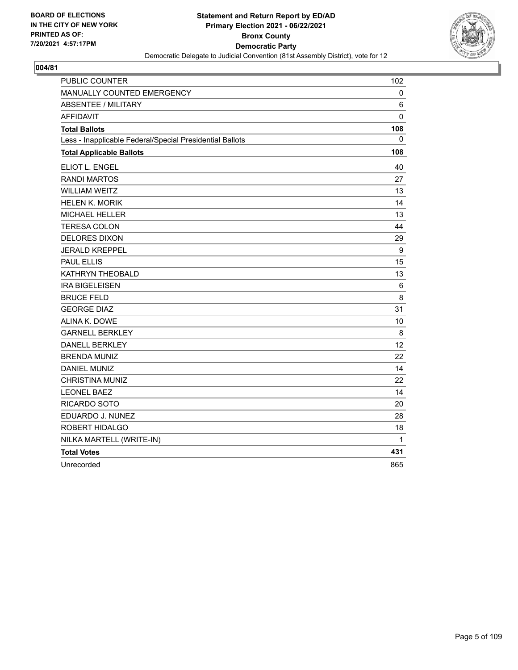

| PUBLIC COUNTER                                           | 102         |
|----------------------------------------------------------|-------------|
| MANUALLY COUNTED EMERGENCY                               | 0           |
| <b>ABSENTEE / MILITARY</b>                               | 6           |
| <b>AFFIDAVIT</b>                                         | $\mathbf 0$ |
| <b>Total Ballots</b>                                     | 108         |
| Less - Inapplicable Federal/Special Presidential Ballots | 0           |
| <b>Total Applicable Ballots</b>                          | 108         |
| ELIOT L. ENGEL                                           | 40          |
| <b>RANDI MARTOS</b>                                      | 27          |
| <b>WILLIAM WEITZ</b>                                     | 13          |
| <b>HELEN K. MORIK</b>                                    | 14          |
| <b>MICHAEL HELLER</b>                                    | 13          |
| <b>TERESA COLON</b>                                      | 44          |
| <b>DELORES DIXON</b>                                     | 29          |
| <b>JERALD KREPPEL</b>                                    | 9           |
| <b>PAUL ELLIS</b>                                        | 15          |
| KATHRYN THEOBALD                                         | 13          |
| <b>IRA BIGELEISEN</b>                                    | 6           |
| <b>BRUCE FELD</b>                                        | 8           |
| <b>GEORGE DIAZ</b>                                       | 31          |
| ALINA K. DOWE                                            | 10          |
| <b>GARNELL BERKLEY</b>                                   | 8           |
| <b>DANELL BERKLEY</b>                                    | 12          |
| <b>BRENDA MUNIZ</b>                                      | 22          |
| <b>DANIEL MUNIZ</b>                                      | 14          |
| <b>CHRISTINA MUNIZ</b>                                   | 22          |
| <b>LEONEL BAEZ</b>                                       | 14          |
| RICARDO SOTO                                             | 20          |
| EDUARDO J. NUNEZ                                         | 28          |
| ROBERT HIDALGO                                           | 18          |
| NILKA MARTELL (WRITE-IN)                                 | 1           |
| <b>Total Votes</b>                                       | 431         |
| Unrecorded                                               | 865         |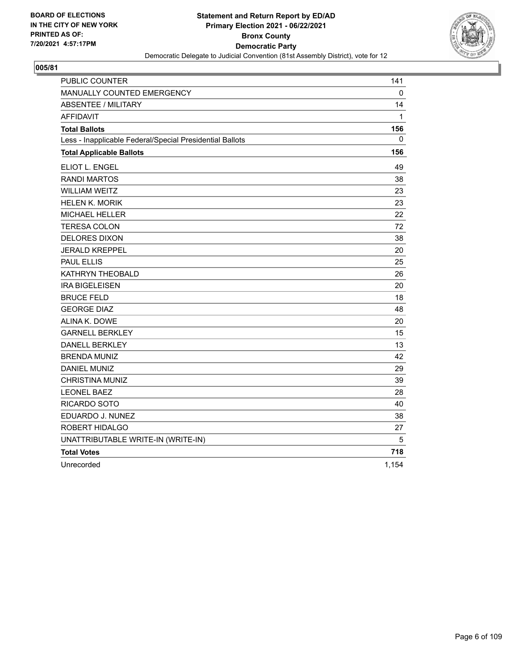

| PUBLIC COUNTER                                           | 141   |
|----------------------------------------------------------|-------|
| MANUALLY COUNTED EMERGENCY                               | 0     |
| <b>ABSENTEE / MILITARY</b>                               | 14    |
| <b>AFFIDAVIT</b>                                         | 1     |
| <b>Total Ballots</b>                                     | 156   |
| Less - Inapplicable Federal/Special Presidential Ballots | 0     |
| <b>Total Applicable Ballots</b>                          | 156   |
| ELIOT L. ENGEL                                           | 49    |
| <b>RANDI MARTOS</b>                                      | 38    |
| <b>WILLIAM WEITZ</b>                                     | 23    |
| <b>HELEN K. MORIK</b>                                    | 23    |
| <b>MICHAEL HELLER</b>                                    | 22    |
| <b>TERESA COLON</b>                                      | 72    |
| <b>DELORES DIXON</b>                                     | 38    |
| <b>JERALD KREPPEL</b>                                    | 20    |
| <b>PAUL ELLIS</b>                                        | 25    |
| KATHRYN THEOBALD                                         | 26    |
| <b>IRA BIGELEISEN</b>                                    | 20    |
| <b>BRUCE FELD</b>                                        | 18    |
| <b>GEORGE DIAZ</b>                                       | 48    |
| ALINA K. DOWE                                            | 20    |
| <b>GARNELL BERKLEY</b>                                   | 15    |
| <b>DANELL BERKLEY</b>                                    | 13    |
| <b>BRENDA MUNIZ</b>                                      | 42    |
| <b>DANIEL MUNIZ</b>                                      | 29    |
| <b>CHRISTINA MUNIZ</b>                                   | 39    |
| <b>LEONEL BAEZ</b>                                       | 28    |
| RICARDO SOTO                                             | 40    |
| EDUARDO J. NUNEZ                                         | 38    |
| ROBERT HIDALGO                                           | 27    |
| UNATTRIBUTABLE WRITE-IN (WRITE-IN)                       | 5     |
| <b>Total Votes</b>                                       | 718   |
| Unrecorded                                               | 1,154 |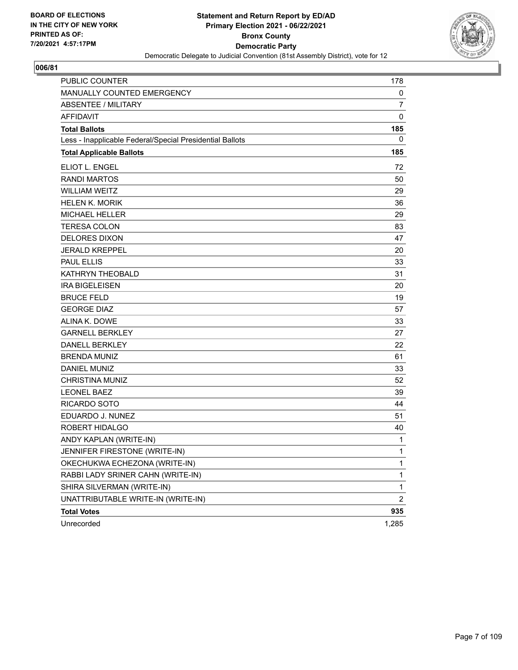

| <b>PUBLIC COUNTER</b>                                    | 178            |
|----------------------------------------------------------|----------------|
| MANUALLY COUNTED EMERGENCY                               | 0              |
| <b>ABSENTEE / MILITARY</b>                               | $\overline{7}$ |
| <b>AFFIDAVIT</b>                                         | $\mathbf 0$    |
| <b>Total Ballots</b>                                     | 185            |
| Less - Inapplicable Federal/Special Presidential Ballots | 0              |
| <b>Total Applicable Ballots</b>                          | 185            |
| ELIOT L. ENGEL                                           | 72             |
| <b>RANDI MARTOS</b>                                      | 50             |
| <b>WILLIAM WEITZ</b>                                     | 29             |
| <b>HELEN K. MORIK</b>                                    | 36             |
| <b>MICHAEL HELLER</b>                                    | 29             |
| <b>TERESA COLON</b>                                      | 83             |
| <b>DELORES DIXON</b>                                     | 47             |
| <b>JERALD KREPPEL</b>                                    | 20             |
| <b>PAUL ELLIS</b>                                        | 33             |
| <b>KATHRYN THEOBALD</b>                                  | 31             |
| <b>IRA BIGELEISEN</b>                                    | 20             |
| <b>BRUCE FELD</b>                                        | 19             |
| <b>GEORGE DIAZ</b>                                       | 57             |
| ALINA K. DOWE                                            | 33             |
| <b>GARNELL BERKLEY</b>                                   | 27             |
| <b>DANELL BERKLEY</b>                                    | 22             |
| <b>BRENDA MUNIZ</b>                                      | 61             |
| <b>DANIEL MUNIZ</b>                                      | 33             |
| <b>CHRISTINA MUNIZ</b>                                   | 52             |
| <b>LEONEL BAEZ</b>                                       | 39             |
| <b>RICARDO SOTO</b>                                      | 44             |
| EDUARDO J. NUNEZ                                         | 51             |
| ROBERT HIDALGO                                           | 40             |
| ANDY KAPLAN (WRITE-IN)                                   | $\mathbf{1}$   |
| JENNIFER FIRESTONE (WRITE-IN)                            | 1              |
| OKECHUKWA ECHEZONA (WRITE-IN)                            | $\mathbf{1}$   |
| RABBI LADY SRINER CAHN (WRITE-IN)                        | $\mathbf{1}$   |
| SHIRA SILVERMAN (WRITE-IN)                               | $\mathbf{1}$   |
| UNATTRIBUTABLE WRITE-IN (WRITE-IN)                       | $\overline{c}$ |
| <b>Total Votes</b>                                       | 935            |
| Unrecorded                                               | 1,285          |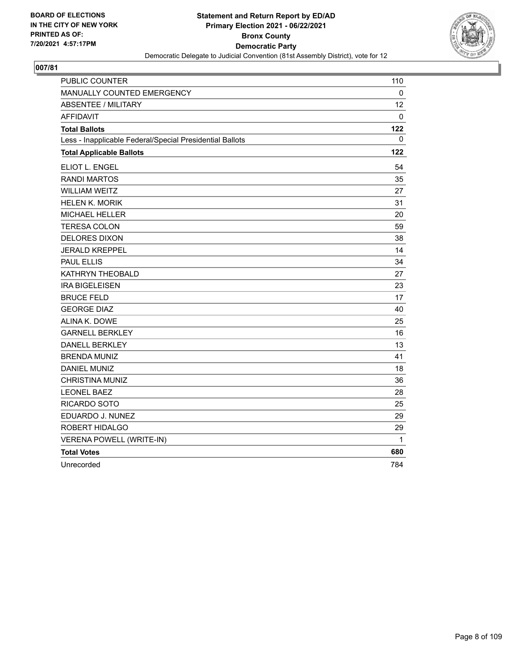

| PUBLIC COUNTER                                           | 110 |
|----------------------------------------------------------|-----|
| MANUALLY COUNTED EMERGENCY                               | 0   |
| <b>ABSENTEE / MILITARY</b>                               | 12  |
| <b>AFFIDAVIT</b>                                         | 0   |
| <b>Total Ballots</b>                                     | 122 |
| Less - Inapplicable Federal/Special Presidential Ballots | 0   |
| <b>Total Applicable Ballots</b>                          | 122 |
| ELIOT L. ENGEL                                           | 54  |
| <b>RANDI MARTOS</b>                                      | 35  |
| <b>WILLIAM WEITZ</b>                                     | 27  |
| <b>HELEN K. MORIK</b>                                    | 31  |
| <b>MICHAEL HELLER</b>                                    | 20  |
| <b>TERESA COLON</b>                                      | 59  |
| <b>DELORES DIXON</b>                                     | 38  |
| <b>JERALD KREPPEL</b>                                    | 14  |
| <b>PAUL ELLIS</b>                                        | 34  |
| KATHRYN THEOBALD                                         | 27  |
| <b>IRA BIGELEISEN</b>                                    | 23  |
| <b>BRUCE FELD</b>                                        | 17  |
| <b>GEORGE DIAZ</b>                                       | 40  |
| ALINA K. DOWE                                            | 25  |
| <b>GARNELL BERKLEY</b>                                   | 16  |
| <b>DANELL BERKLEY</b>                                    | 13  |
| <b>BRENDA MUNIZ</b>                                      | 41  |
| <b>DANIEL MUNIZ</b>                                      | 18  |
| <b>CHRISTINA MUNIZ</b>                                   | 36  |
| <b>LEONEL BAEZ</b>                                       | 28  |
| RICARDO SOTO                                             | 25  |
| EDUARDO J. NUNEZ                                         | 29  |
| ROBERT HIDALGO                                           | 29  |
| <b>VERENA POWELL (WRITE-IN)</b>                          | 1   |
| <b>Total Votes</b>                                       | 680 |
| Unrecorded                                               | 784 |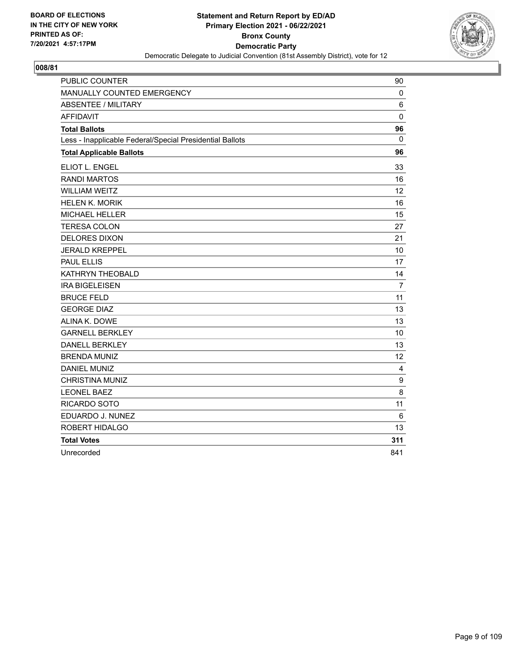

| <b>PUBLIC COUNTER</b>                                    | 90               |
|----------------------------------------------------------|------------------|
| MANUALLY COUNTED EMERGENCY                               | $\mathbf 0$      |
| <b>ABSENTEE / MILITARY</b>                               | 6                |
| <b>AFFIDAVIT</b>                                         | $\mathbf 0$      |
| <b>Total Ballots</b>                                     | 96               |
| Less - Inapplicable Federal/Special Presidential Ballots | $\Omega$         |
| <b>Total Applicable Ballots</b>                          | 96               |
| ELIOT L. ENGEL                                           | 33               |
| <b>RANDI MARTOS</b>                                      | 16               |
| <b>WILLIAM WEITZ</b>                                     | 12               |
| <b>HELEN K. MORIK</b>                                    | 16               |
| <b>MICHAEL HELLER</b>                                    | 15               |
| <b>TERESA COLON</b>                                      | 27               |
| <b>DELORES DIXON</b>                                     | 21               |
| <b>JERALD KREPPEL</b>                                    | 10               |
| <b>PAUL ELLIS</b>                                        | 17               |
| KATHRYN THEOBALD                                         | 14               |
| <b>IRA BIGELEISEN</b>                                    | $\overline{7}$   |
| <b>BRUCE FELD</b>                                        | 11               |
| <b>GEORGE DIAZ</b>                                       | 13               |
| ALINA K. DOWE                                            | 13               |
| <b>GARNELL BERKLEY</b>                                   | 10               |
| <b>DANELL BERKLEY</b>                                    | 13               |
| <b>BRENDA MUNIZ</b>                                      | 12               |
| <b>DANIEL MUNIZ</b>                                      | 4                |
| <b>CHRISTINA MUNIZ</b>                                   | $\boldsymbol{9}$ |
| <b>LEONEL BAEZ</b>                                       | 8                |
| RICARDO SOTO                                             | 11               |
| EDUARDO J. NUNEZ                                         | 6                |
| ROBERT HIDALGO                                           | 13               |
| <b>Total Votes</b>                                       | 311              |
| Unrecorded                                               | 841              |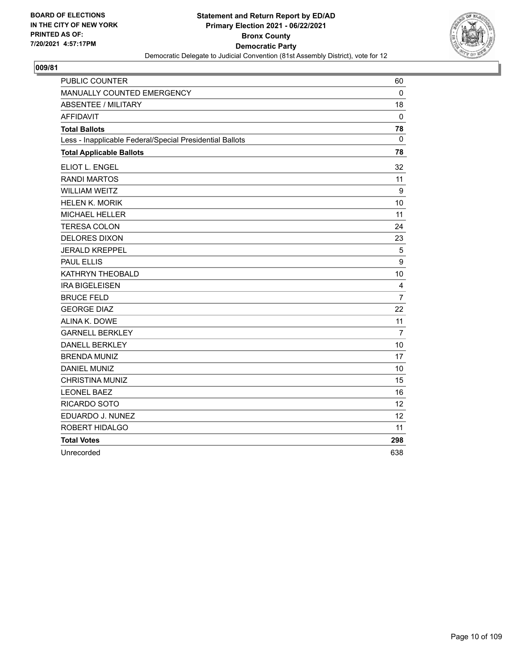

| PUBLIC COUNTER                                           | 60             |
|----------------------------------------------------------|----------------|
| MANUALLY COUNTED EMERGENCY                               | 0              |
| <b>ABSENTEE / MILITARY</b>                               | 18             |
| <b>AFFIDAVIT</b>                                         | 0              |
| <b>Total Ballots</b>                                     | 78             |
| Less - Inapplicable Federal/Special Presidential Ballots | $\mathbf 0$    |
| <b>Total Applicable Ballots</b>                          | 78             |
| ELIOT L. ENGEL                                           | 32             |
| <b>RANDI MARTOS</b>                                      | 11             |
| <b>WILLIAM WEITZ</b>                                     | 9              |
| <b>HELEN K. MORIK</b>                                    | 10             |
| <b>MICHAEL HELLER</b>                                    | 11             |
| <b>TERESA COLON</b>                                      | 24             |
| <b>DELORES DIXON</b>                                     | 23             |
| <b>JERALD KREPPEL</b>                                    | 5              |
| <b>PAUL ELLIS</b>                                        | 9              |
| KATHRYN THEOBALD                                         | 10             |
| <b>IRA BIGELEISEN</b>                                    | 4              |
| <b>BRUCE FELD</b>                                        | $\overline{7}$ |
| <b>GEORGE DIAZ</b>                                       | 22             |
| ALINA K. DOWE                                            | 11             |
| <b>GARNELL BERKLEY</b>                                   | $\overline{7}$ |
| <b>DANELL BERKLEY</b>                                    | 10             |
| <b>BRENDA MUNIZ</b>                                      | 17             |
| <b>DANIEL MUNIZ</b>                                      | 10             |
| <b>CHRISTINA MUNIZ</b>                                   | 15             |
| <b>LEONEL BAEZ</b>                                       | 16             |
| RICARDO SOTO                                             | 12             |
| EDUARDO J. NUNEZ                                         | 12             |
| ROBERT HIDALGO                                           | 11             |
| <b>Total Votes</b>                                       | 298            |
| Unrecorded                                               | 638            |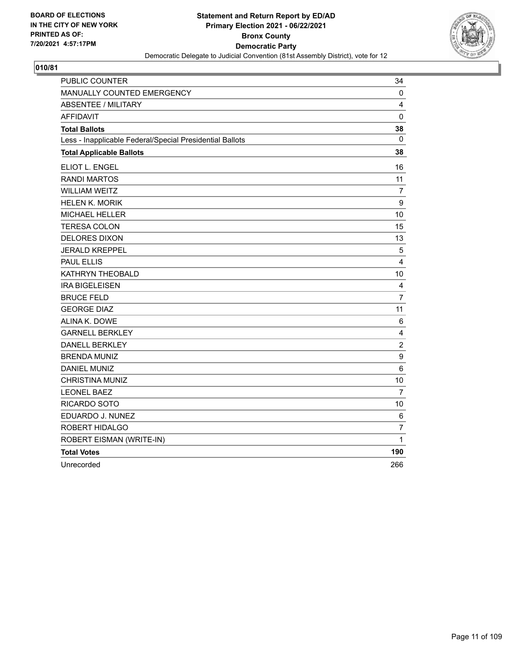

| PUBLIC COUNTER                                           | 34               |
|----------------------------------------------------------|------------------|
| MANUALLY COUNTED EMERGENCY                               | 0                |
| <b>ABSENTEE / MILITARY</b>                               | 4                |
| <b>AFFIDAVIT</b>                                         | $\mathbf 0$      |
| <b>Total Ballots</b>                                     | 38               |
| Less - Inapplicable Federal/Special Presidential Ballots | 0                |
| <b>Total Applicable Ballots</b>                          | 38               |
| ELIOT L. ENGEL                                           | 16               |
| <b>RANDI MARTOS</b>                                      | 11               |
| <b>WILLIAM WEITZ</b>                                     | 7                |
| <b>HELEN K. MORIK</b>                                    | 9                |
| MICHAEL HELLER                                           | 10               |
| <b>TERESA COLON</b>                                      | 15               |
| <b>DELORES DIXON</b>                                     | 13               |
| <b>JERALD KREPPEL</b>                                    | 5                |
| <b>PAUL ELLIS</b>                                        | 4                |
| KATHRYN THEOBALD                                         | 10               |
| <b>IRA BIGELEISEN</b>                                    | 4                |
| <b>BRUCE FELD</b>                                        | $\overline{7}$   |
| <b>GEORGE DIAZ</b>                                       | 11               |
| ALINA K. DOWE                                            | 6                |
| <b>GARNELL BERKLEY</b>                                   | 4                |
| DANELL BERKLEY                                           | $\overline{c}$   |
| <b>BRENDA MUNIZ</b>                                      | $\boldsymbol{9}$ |
| <b>DANIEL MUNIZ</b>                                      | $6\phantom{1}6$  |
| <b>CHRISTINA MUNIZ</b>                                   | 10               |
| <b>LEONEL BAEZ</b>                                       | 7                |
| RICARDO SOTO                                             | 10               |
| EDUARDO J. NUNEZ                                         | 6                |
| ROBERT HIDALGO                                           | 7                |
| ROBERT EISMAN (WRITE-IN)                                 | 1                |
| <b>Total Votes</b>                                       | 190              |
| Unrecorded                                               | 266              |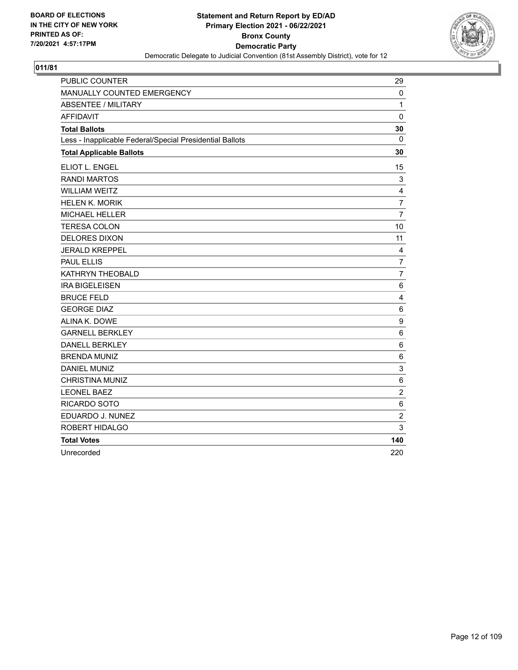

| PUBLIC COUNTER                                           | 29                      |
|----------------------------------------------------------|-------------------------|
| MANUALLY COUNTED EMERGENCY                               | $\mathbf 0$             |
| <b>ABSENTEE / MILITARY</b>                               | $\mathbf{1}$            |
| <b>AFFIDAVIT</b>                                         | $\Omega$                |
| <b>Total Ballots</b>                                     | 30                      |
| Less - Inapplicable Federal/Special Presidential Ballots | $\Omega$                |
| <b>Total Applicable Ballots</b>                          | 30                      |
| ELIOT L. ENGEL                                           | 15                      |
| <b>RANDI MARTOS</b>                                      | $\mathbf{3}$            |
| <b>WILLIAM WEITZ</b>                                     | 4                       |
| <b>HELEN K. MORIK</b>                                    | $\overline{7}$          |
| <b>MICHAEL HELLER</b>                                    | $\overline{7}$          |
| <b>TERESA COLON</b>                                      | 10                      |
| <b>DELORES DIXON</b>                                     | 11                      |
| <b>JERALD KREPPEL</b>                                    | 4                       |
| <b>PAUL ELLIS</b>                                        | $\overline{7}$          |
| KATHRYN THEOBALD                                         | 7                       |
| <b>IRA BIGELEISEN</b>                                    | 6                       |
| <b>BRUCE FELD</b>                                        | $\overline{\mathbf{4}}$ |
| <b>GEORGE DIAZ</b>                                       | $\,6\,$                 |
| ALINA K. DOWE                                            | $\boldsymbol{9}$        |
| <b>GARNELL BERKLEY</b>                                   | 6                       |
| <b>DANELL BERKLEY</b>                                    | 6                       |
| <b>BRENDA MUNIZ</b>                                      | 6                       |
| <b>DANIEL MUNIZ</b>                                      | $\mathsf 3$             |
| <b>CHRISTINA MUNIZ</b>                                   | $\,6\,$                 |
| <b>LEONEL BAEZ</b>                                       | $\overline{c}$          |
| RICARDO SOTO                                             | $6\phantom{1}6$         |
| EDUARDO J. NUNEZ                                         | $\sqrt{2}$              |
| ROBERT HIDALGO                                           | 3                       |
| <b>Total Votes</b>                                       | 140                     |
| Unrecorded                                               | 220                     |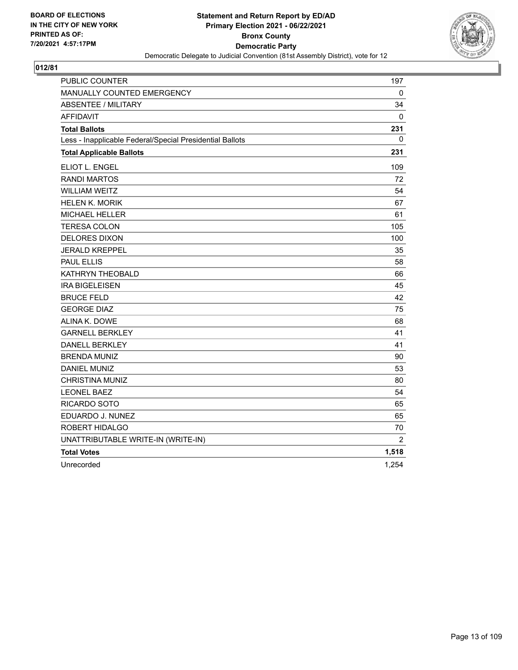

| PUBLIC COUNTER                                           | 197            |
|----------------------------------------------------------|----------------|
| MANUALLY COUNTED EMERGENCY                               | 0              |
| <b>ABSENTEE / MILITARY</b>                               | 34             |
| <b>AFFIDAVIT</b>                                         | $\mathbf{0}$   |
| <b>Total Ballots</b>                                     | 231            |
| Less - Inapplicable Federal/Special Presidential Ballots | 0              |
| <b>Total Applicable Ballots</b>                          | 231            |
| ELIOT L. ENGEL                                           | 109            |
| <b>RANDI MARTOS</b>                                      | 72             |
| <b>WILLIAM WEITZ</b>                                     | 54             |
| <b>HELEN K. MORIK</b>                                    | 67             |
| <b>MICHAEL HELLER</b>                                    | 61             |
| <b>TERESA COLON</b>                                      | 105            |
| <b>DELORES DIXON</b>                                     | 100            |
| <b>JERALD KREPPEL</b>                                    | 35             |
| <b>PAUL ELLIS</b>                                        | 58             |
| KATHRYN THEOBALD                                         | 66             |
| <b>IRA BIGELEISEN</b>                                    | 45             |
| <b>BRUCE FELD</b>                                        | 42             |
| <b>GEORGE DIAZ</b>                                       | 75             |
| ALINA K. DOWE                                            | 68             |
| <b>GARNELL BERKLEY</b>                                   | 41             |
| <b>DANELL BERKLEY</b>                                    | 41             |
| <b>BRENDA MUNIZ</b>                                      | 90             |
| DANIEL MUNIZ                                             | 53             |
| <b>CHRISTINA MUNIZ</b>                                   | 80             |
| <b>LEONEL BAEZ</b>                                       | 54             |
| <b>RICARDO SOTO</b>                                      | 65             |
| EDUARDO J. NUNEZ                                         | 65             |
| ROBERT HIDALGO                                           | 70             |
| UNATTRIBUTABLE WRITE-IN (WRITE-IN)                       | $\overline{2}$ |
| <b>Total Votes</b>                                       | 1,518          |
| Unrecorded                                               | 1,254          |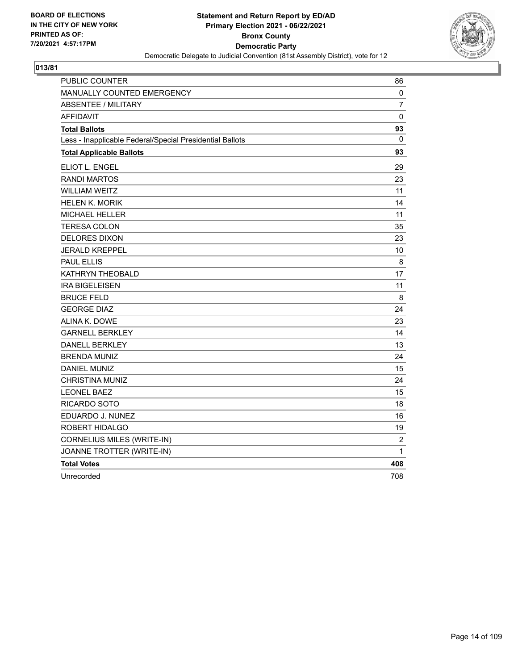

| <b>PUBLIC COUNTER</b>                                    | 86             |
|----------------------------------------------------------|----------------|
| <b>MANUALLY COUNTED EMERGENCY</b>                        | 0              |
| <b>ABSENTEE / MILITARY</b>                               | 7              |
| <b>AFFIDAVIT</b>                                         | 0              |
| <b>Total Ballots</b>                                     | 93             |
| Less - Inapplicable Federal/Special Presidential Ballots | 0              |
| <b>Total Applicable Ballots</b>                          | 93             |
| ELIOT L. ENGEL                                           | 29             |
| <b>RANDI MARTOS</b>                                      | 23             |
| <b>WILLIAM WEITZ</b>                                     | 11             |
| <b>HELEN K. MORIK</b>                                    | 14             |
| <b>MICHAEL HELLER</b>                                    | 11             |
| <b>TERESA COLON</b>                                      | 35             |
| <b>DELORES DIXON</b>                                     | 23             |
| <b>JERALD KREPPEL</b>                                    | 10             |
| <b>PAUL ELLIS</b>                                        | 8              |
| KATHRYN THEOBALD                                         | 17             |
| <b>IRA BIGELEISEN</b>                                    | 11             |
| <b>BRUCE FELD</b>                                        | 8              |
| <b>GEORGE DIAZ</b>                                       | 24             |
| ALINA K. DOWE                                            | 23             |
| <b>GARNELL BERKLEY</b>                                   | 14             |
| DANELL BERKLEY                                           | 13             |
| <b>BRENDA MUNIZ</b>                                      | 24             |
| <b>DANIEL MUNIZ</b>                                      | 15             |
| CHRISTINA MUNIZ                                          | 24             |
| <b>LEONEL BAEZ</b>                                       | 15             |
| RICARDO SOTO                                             | 18             |
| EDUARDO J. NUNEZ                                         | 16             |
| ROBERT HIDALGO                                           | 19             |
| <b>CORNELIUS MILES (WRITE-IN)</b>                        | $\overline{c}$ |
| JOANNE TROTTER (WRITE-IN)                                | 1              |
| <b>Total Votes</b>                                       | 408            |
| Unrecorded                                               | 708            |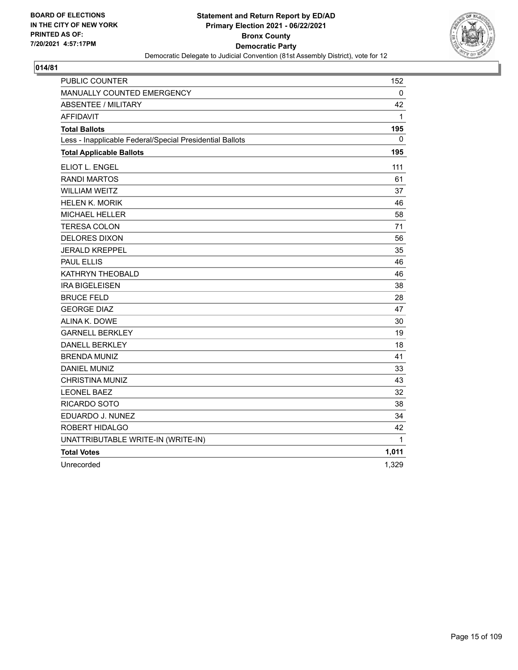

| PUBLIC COUNTER                                           | 152   |
|----------------------------------------------------------|-------|
| MANUALLY COUNTED EMERGENCY                               | 0     |
| <b>ABSENTEE / MILITARY</b>                               | 42    |
| <b>AFFIDAVIT</b>                                         | 1     |
| <b>Total Ballots</b>                                     | 195   |
| Less - Inapplicable Federal/Special Presidential Ballots | 0     |
| <b>Total Applicable Ballots</b>                          | 195   |
| ELIOT L. ENGEL                                           | 111   |
| <b>RANDI MARTOS</b>                                      | 61    |
| <b>WILLIAM WEITZ</b>                                     | 37    |
| <b>HELEN K. MORIK</b>                                    | 46    |
| <b>MICHAEL HELLER</b>                                    | 58    |
| <b>TERESA COLON</b>                                      | 71    |
| <b>DELORES DIXON</b>                                     | 56    |
| <b>JERALD KREPPEL</b>                                    | 35    |
| <b>PAUL ELLIS</b>                                        | 46    |
| KATHRYN THEOBALD                                         | 46    |
| <b>IRA BIGELEISEN</b>                                    | 38    |
| <b>BRUCE FELD</b>                                        | 28    |
| <b>GEORGE DIAZ</b>                                       | 47    |
| ALINA K. DOWE                                            | 30    |
| <b>GARNELL BERKLEY</b>                                   | 19    |
| <b>DANELL BERKLEY</b>                                    | 18    |
| <b>BRENDA MUNIZ</b>                                      | 41    |
| <b>DANIEL MUNIZ</b>                                      | 33    |
| <b>CHRISTINA MUNIZ</b>                                   | 43    |
| <b>LEONEL BAEZ</b>                                       | 32    |
| RICARDO SOTO                                             | 38    |
| EDUARDO J. NUNEZ                                         | 34    |
| ROBERT HIDALGO                                           | 42    |
| UNATTRIBUTABLE WRITE-IN (WRITE-IN)                       | 1     |
| <b>Total Votes</b>                                       | 1,011 |
| Unrecorded                                               | 1,329 |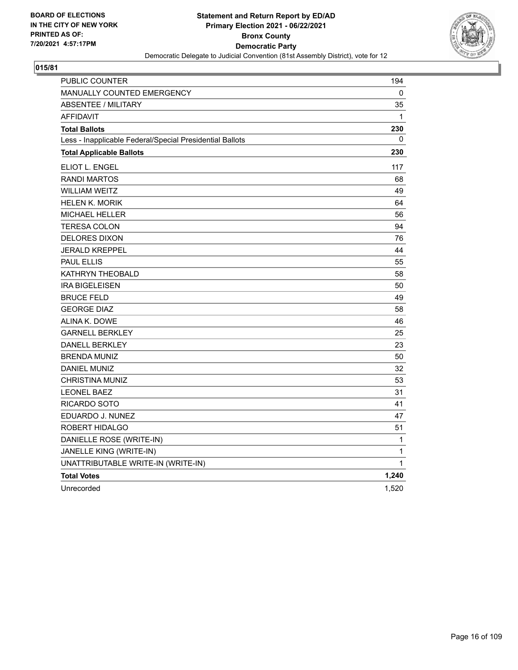

| PUBLIC COUNTER                                           | 194         |
|----------------------------------------------------------|-------------|
| MANUALLY COUNTED EMERGENCY                               | 0           |
| <b>ABSENTEE / MILITARY</b>                               | 35          |
| <b>AFFIDAVIT</b>                                         | $\mathbf 1$ |
| <b>Total Ballots</b>                                     | 230         |
| Less - Inapplicable Federal/Special Presidential Ballots | 0           |
| <b>Total Applicable Ballots</b>                          | 230         |
| ELIOT L. ENGEL                                           | 117         |
| <b>RANDI MARTOS</b>                                      | 68          |
| <b>WILLIAM WEITZ</b>                                     | 49          |
| <b>HELEN K. MORIK</b>                                    | 64          |
| MICHAEL HELLER                                           | 56          |
| <b>TERESA COLON</b>                                      | 94          |
| <b>DELORES DIXON</b>                                     | 76          |
| JERALD KREPPEL                                           | 44          |
| <b>PAUL ELLIS</b>                                        | 55          |
| KATHRYN THEOBALD                                         | 58          |
| <b>IRA BIGELEISEN</b>                                    | 50          |
| <b>BRUCE FELD</b>                                        | 49          |
| <b>GEORGE DIAZ</b>                                       | 58          |
| ALINA K. DOWE                                            | 46          |
| <b>GARNELL BERKLEY</b>                                   | 25          |
| <b>DANELL BERKLEY</b>                                    | 23          |
| <b>BRENDA MUNIZ</b>                                      | 50          |
| <b>DANIEL MUNIZ</b>                                      | 32          |
| CHRISTINA MUNIZ                                          | 53          |
| <b>LEONEL BAEZ</b>                                       | 31          |
| RICARDO SOTO                                             | 41          |
| EDUARDO J. NUNEZ                                         | 47          |
| ROBERT HIDALGO                                           | 51          |
| DANIELLE ROSE (WRITE-IN)                                 | 1           |
| JANELLE KING (WRITE-IN)                                  | 1           |
| UNATTRIBUTABLE WRITE-IN (WRITE-IN)                       | 1           |
| <b>Total Votes</b>                                       | 1,240       |
| Unrecorded                                               | 1,520       |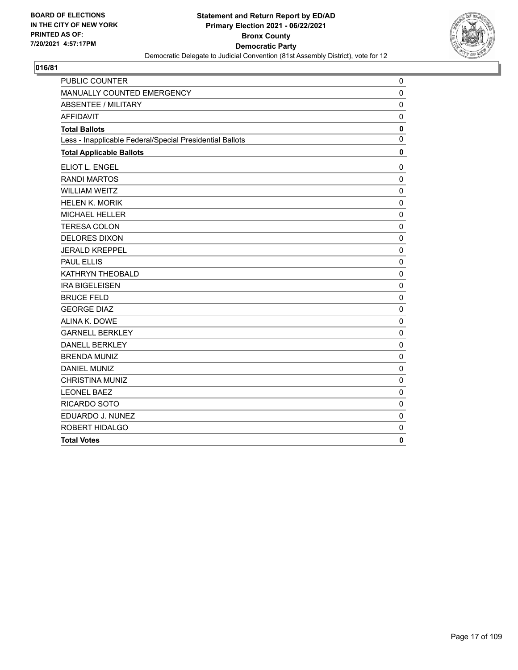

| PUBLIC COUNTER                                           | 0            |
|----------------------------------------------------------|--------------|
| MANUALLY COUNTED EMERGENCY                               | $\mathbf 0$  |
| <b>ABSENTEE / MILITARY</b>                               | $\mathbf 0$  |
| <b>AFFIDAVIT</b>                                         | $\mathbf 0$  |
| <b>Total Ballots</b>                                     | $\mathbf 0$  |
| Less - Inapplicable Federal/Special Presidential Ballots | $\mathbf{0}$ |
| <b>Total Applicable Ballots</b>                          | $\mathbf 0$  |
| ELIOT L. ENGEL                                           | 0            |
| <b>RANDI MARTOS</b>                                      | $\mathbf 0$  |
| <b>WILLIAM WEITZ</b>                                     | $\mathbf 0$  |
| <b>HELEN K. MORIK</b>                                    | $\mathbf 0$  |
| <b>MICHAEL HELLER</b>                                    | $\mathbf 0$  |
| <b>TERESA COLON</b>                                      | $\mathbf 0$  |
| <b>DELORES DIXON</b>                                     | $\mathbf 0$  |
| <b>JERALD KREPPEL</b>                                    | $\mathbf 0$  |
| <b>PAUL ELLIS</b>                                        | $\mathbf 0$  |
| KATHRYN THEOBALD                                         | 0            |
| <b>IRA BIGELEISEN</b>                                    | $\mathbf 0$  |
| <b>BRUCE FELD</b>                                        | $\mathbf 0$  |
| <b>GEORGE DIAZ</b>                                       | $\mathbf 0$  |
| ALINA K. DOWE                                            | $\mathbf 0$  |
| <b>GARNELL BERKLEY</b>                                   | $\mathbf 0$  |
| <b>DANELL BERKLEY</b>                                    | $\mathbf 0$  |
| <b>BRENDA MUNIZ</b>                                      | $\mathbf 0$  |
| <b>DANIEL MUNIZ</b>                                      | $\mathbf 0$  |
| <b>CHRISTINA MUNIZ</b>                                   | $\mathbf 0$  |
| <b>LEONEL BAEZ</b>                                       | $\mathbf 0$  |
| <b>RICARDO SOTO</b>                                      | $\mathbf 0$  |
| EDUARDO J. NUNEZ                                         | $\mathbf 0$  |
| ROBERT HIDALGO                                           | $\mathbf 0$  |
| <b>Total Votes</b>                                       | $\mathbf 0$  |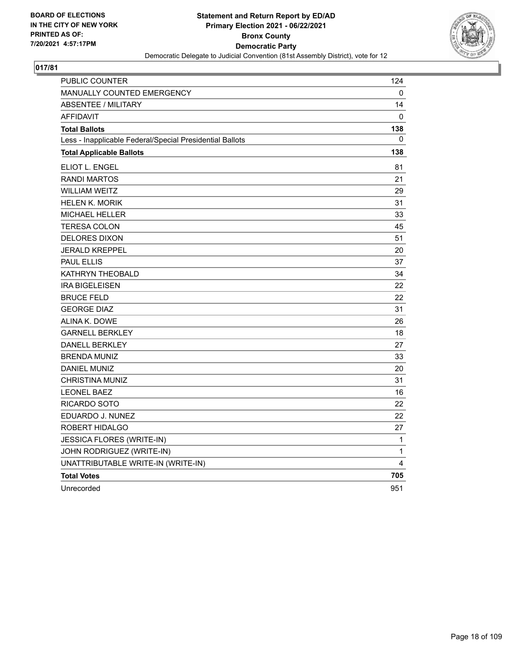

| PUBLIC COUNTER                                           | 124          |
|----------------------------------------------------------|--------------|
| MANUALLY COUNTED EMERGENCY                               | 0            |
| <b>ABSENTEE / MILITARY</b>                               | 14           |
| <b>AFFIDAVIT</b>                                         | 0            |
| <b>Total Ballots</b>                                     | 138          |
| Less - Inapplicable Federal/Special Presidential Ballots | 0            |
| <b>Total Applicable Ballots</b>                          | 138          |
| ELIOT L. ENGEL                                           | 81           |
| <b>RANDI MARTOS</b>                                      | 21           |
| <b>WILLIAM WEITZ</b>                                     | 29           |
| <b>HELEN K. MORIK</b>                                    | 31           |
| <b>MICHAEL HELLER</b>                                    | 33           |
| <b>TERESA COLON</b>                                      | 45           |
| <b>DELORES DIXON</b>                                     | 51           |
| <b>JERALD KREPPEL</b>                                    | 20           |
| <b>PAUL ELLIS</b>                                        | 37           |
| KATHRYN THEOBALD                                         | 34           |
| <b>IRA BIGELEISEN</b>                                    | 22           |
| <b>BRUCE FELD</b>                                        | 22           |
| <b>GEORGE DIAZ</b>                                       | 31           |
| <b>ALINA K. DOWE</b>                                     | 26           |
| <b>GARNELL BERKLEY</b>                                   | 18           |
| <b>DANELL BERKLEY</b>                                    | 27           |
| <b>BRENDA MUNIZ</b>                                      | 33           |
| <b>DANIEL MUNIZ</b>                                      | 20           |
| <b>CHRISTINA MUNIZ</b>                                   | 31           |
| <b>LEONEL BAEZ</b>                                       | 16           |
| RICARDO SOTO                                             | 22           |
| EDUARDO J. NUNEZ                                         | 22           |
| ROBERT HIDALGO                                           | 27           |
| JESSICA FLORES (WRITE-IN)                                | 1            |
| JOHN RODRIGUEZ (WRITE-IN)                                | $\mathbf{1}$ |
| UNATTRIBUTABLE WRITE-IN (WRITE-IN)                       | 4            |
| <b>Total Votes</b>                                       | 705          |
| Unrecorded                                               | 951          |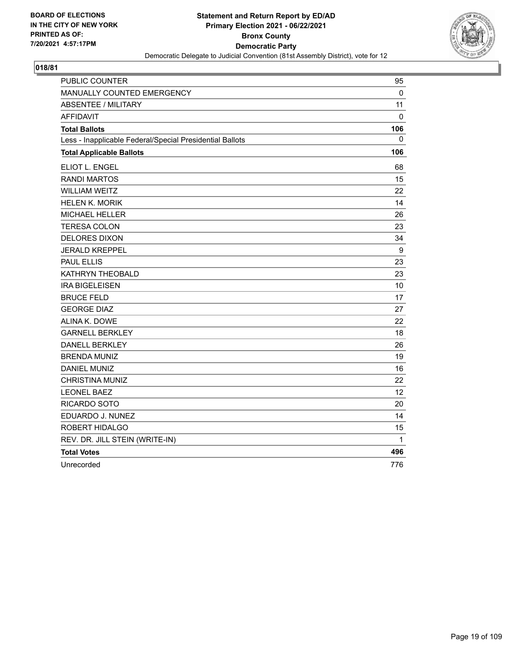

| PUBLIC COUNTER                                           | 95        |
|----------------------------------------------------------|-----------|
| MANUALLY COUNTED EMERGENCY                               | 0         |
| <b>ABSENTEE / MILITARY</b>                               | 11        |
| <b>AFFIDAVIT</b>                                         | $\pmb{0}$ |
| <b>Total Ballots</b>                                     | 106       |
| Less - Inapplicable Federal/Special Presidential Ballots | 0         |
| <b>Total Applicable Ballots</b>                          | 106       |
| ELIOT L. ENGEL                                           | 68        |
| <b>RANDI MARTOS</b>                                      | 15        |
| <b>WILLIAM WEITZ</b>                                     | 22        |
| <b>HELEN K. MORIK</b>                                    | 14        |
| MICHAEL HELLER                                           | 26        |
| <b>TERESA COLON</b>                                      | 23        |
| <b>DELORES DIXON</b>                                     | 34        |
| <b>JERALD KREPPEL</b>                                    | 9         |
| <b>PAUL ELLIS</b>                                        | 23        |
| KATHRYN THEOBALD                                         | 23        |
| <b>IRA BIGELEISEN</b>                                    | 10        |
| <b>BRUCE FELD</b>                                        | 17        |
| <b>GEORGE DIAZ</b>                                       | 27        |
| ALINA K. DOWE                                            | 22        |
| <b>GARNELL BERKLEY</b>                                   | 18        |
| <b>DANELL BERKLEY</b>                                    | 26        |
| <b>BRENDA MUNIZ</b>                                      | 19        |
| <b>DANIEL MUNIZ</b>                                      | 16        |
| <b>CHRISTINA MUNIZ</b>                                   | 22        |
| <b>LEONEL BAEZ</b>                                       | 12        |
| RICARDO SOTO                                             | 20        |
| EDUARDO J. NUNEZ                                         | 14        |
| ROBERT HIDALGO                                           | 15        |
| REV. DR. JILL STEIN (WRITE-IN)                           | 1         |
| <b>Total Votes</b>                                       | 496       |
| Unrecorded                                               | 776       |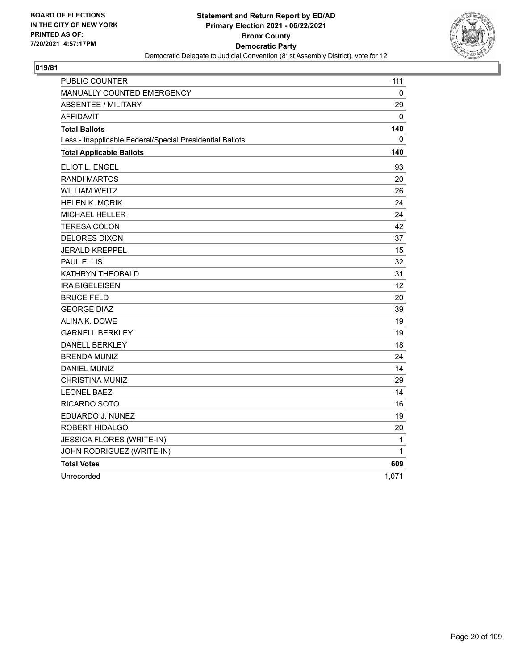

| <b>PUBLIC COUNTER</b>                                    | 111               |
|----------------------------------------------------------|-------------------|
| <b>MANUALLY COUNTED EMERGENCY</b>                        | 0                 |
| <b>ABSENTEE / MILITARY</b>                               | 29                |
| <b>AFFIDAVIT</b>                                         | $\Omega$          |
| <b>Total Ballots</b>                                     | 140               |
| Less - Inapplicable Federal/Special Presidential Ballots | 0                 |
| <b>Total Applicable Ballots</b>                          | 140               |
| ELIOT L. ENGEL                                           | 93                |
| <b>RANDI MARTOS</b>                                      | 20                |
| <b>WILLIAM WEITZ</b>                                     | 26                |
| <b>HELEN K. MORIK</b>                                    | 24                |
| MICHAEL HELLER                                           | 24                |
| TERESA COLON                                             | 42                |
| <b>DELORES DIXON</b>                                     | 37                |
| <b>JERALD KREPPEL</b>                                    | 15                |
| <b>PAUL ELLIS</b>                                        | 32                |
| KATHRYN THEOBALD                                         | 31                |
| <b>IRA BIGELEISEN</b>                                    | $12 \overline{ }$ |
| <b>BRUCE FELD</b>                                        | 20                |
| <b>GEORGE DIAZ</b>                                       | 39                |
| ALINA K. DOWE                                            | 19                |
| <b>GARNELL BERKLEY</b>                                   | 19                |
| <b>DANELL BERKLEY</b>                                    | 18                |
| <b>BRENDA MUNIZ</b>                                      | 24                |
| <b>DANIEL MUNIZ</b>                                      | 14                |
| <b>CHRISTINA MUNIZ</b>                                   | 29                |
| <b>LEONEL BAEZ</b>                                       | 14                |
| RICARDO SOTO                                             | 16                |
| EDUARDO J. NUNEZ                                         | 19                |
| ROBERT HIDALGO                                           | 20                |
| JESSICA FLORES (WRITE-IN)                                | 1                 |
| JOHN RODRIGUEZ (WRITE-IN)                                | 1                 |
| <b>Total Votes</b>                                       | 609               |
| Unrecorded                                               | 1,071             |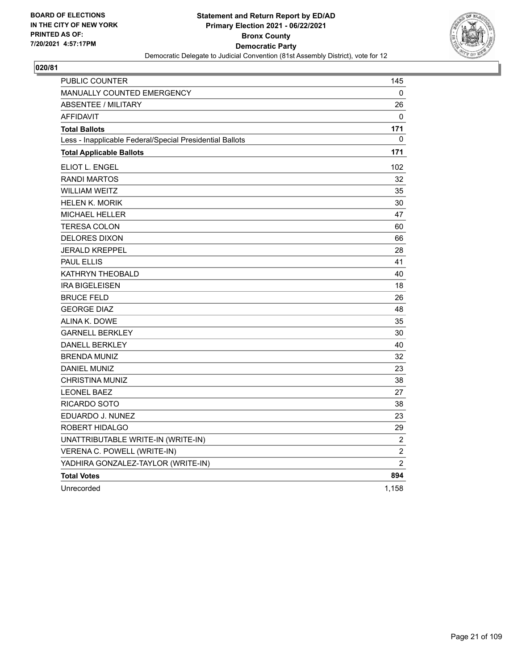

| PUBLIC COUNTER                                           | 145            |
|----------------------------------------------------------|----------------|
| <b>MANUALLY COUNTED EMERGENCY</b>                        | 0              |
| <b>ABSENTEE / MILITARY</b>                               | 26             |
| <b>AFFIDAVIT</b>                                         | 0              |
| <b>Total Ballots</b>                                     | 171            |
| Less - Inapplicable Federal/Special Presidential Ballots | 0              |
| <b>Total Applicable Ballots</b>                          | 171            |
| ELIOT L. ENGEL                                           | 102            |
| <b>RANDI MARTOS</b>                                      | 32             |
| <b>WILLIAM WEITZ</b>                                     | 35             |
| <b>HELEN K. MORIK</b>                                    | 30             |
| <b>MICHAEL HELLER</b>                                    | 47             |
| <b>TERESA COLON</b>                                      | 60             |
| <b>DELORES DIXON</b>                                     | 66             |
| <b>JERALD KREPPEL</b>                                    | 28             |
| <b>PAUL ELLIS</b>                                        | 41             |
| KATHRYN THEOBALD                                         | 40             |
| <b>IRA BIGELEISEN</b>                                    | 18             |
| <b>BRUCE FELD</b>                                        | 26             |
| <b>GEORGE DIAZ</b>                                       | 48             |
| ALINA K. DOWE                                            | 35             |
| <b>GARNELL BERKLEY</b>                                   | 30             |
| <b>DANELL BERKLEY</b>                                    | 40             |
| <b>BRENDA MUNIZ</b>                                      | 32             |
| <b>DANIEL MUNIZ</b>                                      | 23             |
| <b>CHRISTINA MUNIZ</b>                                   | 38             |
| <b>LEONEL BAEZ</b>                                       | 27             |
| <b>RICARDO SOTO</b>                                      | 38             |
| EDUARDO J. NUNEZ                                         | 23             |
| ROBERT HIDALGO                                           | 29             |
| UNATTRIBUTABLE WRITE-IN (WRITE-IN)                       | $\overline{c}$ |
| VERENA C. POWELL (WRITE-IN)                              | $\overline{c}$ |
| YADHIRA GONZALEZ-TAYLOR (WRITE-IN)                       | $\overline{2}$ |
| <b>Total Votes</b>                                       | 894            |
| Unrecorded                                               | 1,158          |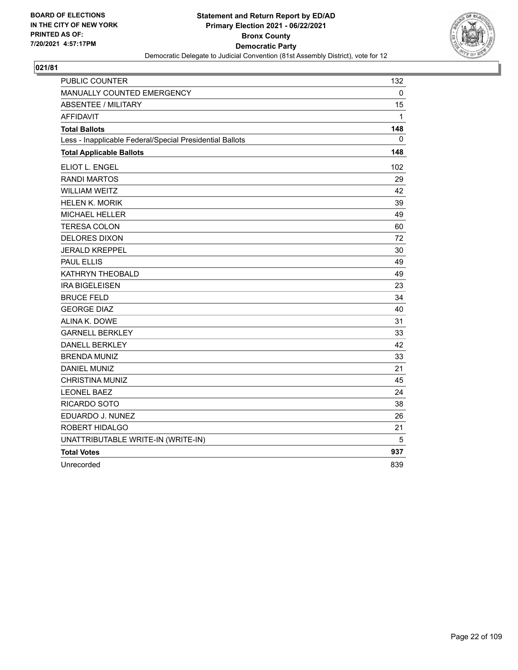

| PUBLIC COUNTER                                           | 132 |
|----------------------------------------------------------|-----|
| MANUALLY COUNTED EMERGENCY                               | 0   |
| <b>ABSENTEE / MILITARY</b>                               | 15  |
| <b>AFFIDAVIT</b>                                         | 1   |
| <b>Total Ballots</b>                                     | 148 |
| Less - Inapplicable Federal/Special Presidential Ballots | 0   |
| <b>Total Applicable Ballots</b>                          | 148 |
| ELIOT L. ENGEL                                           | 102 |
| <b>RANDI MARTOS</b>                                      | 29  |
| <b>WILLIAM WEITZ</b>                                     | 42  |
| <b>HELEN K. MORIK</b>                                    | 39  |
| <b>MICHAEL HELLER</b>                                    | 49  |
| <b>TERESA COLON</b>                                      | 60  |
| <b>DELORES DIXON</b>                                     | 72  |
| <b>JERALD KREPPEL</b>                                    | 30  |
| <b>PAUL ELLIS</b>                                        | 49  |
| KATHRYN THEOBALD                                         | 49  |
| <b>IRA BIGELEISEN</b>                                    | 23  |
| <b>BRUCE FELD</b>                                        | 34  |
| <b>GEORGE DIAZ</b>                                       | 40  |
| ALINA K. DOWE                                            | 31  |
| <b>GARNELL BERKLEY</b>                                   | 33  |
| <b>DANELL BERKLEY</b>                                    | 42  |
| <b>BRENDA MUNIZ</b>                                      | 33  |
| <b>DANIEL MUNIZ</b>                                      | 21  |
| <b>CHRISTINA MUNIZ</b>                                   | 45  |
| <b>LEONEL BAEZ</b>                                       | 24  |
| RICARDO SOTO                                             | 38  |
| EDUARDO J. NUNEZ                                         | 26  |
| ROBERT HIDALGO                                           | 21  |
| UNATTRIBUTABLE WRITE-IN (WRITE-IN)                       | 5   |
| <b>Total Votes</b>                                       | 937 |
| Unrecorded                                               | 839 |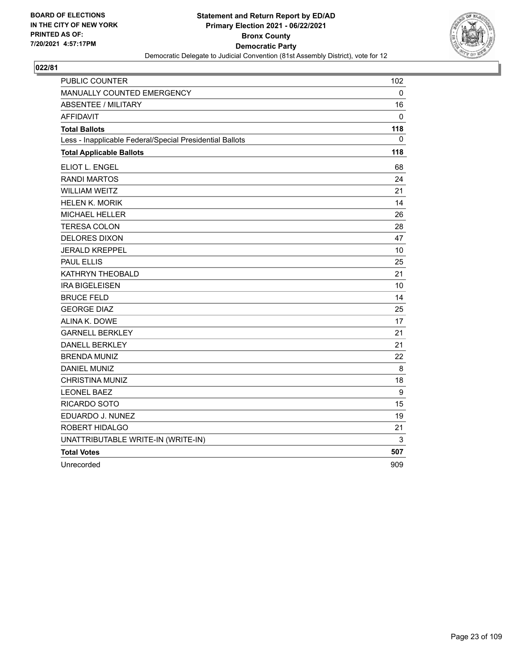

| PUBLIC COUNTER                                           | 102 |
|----------------------------------------------------------|-----|
| MANUALLY COUNTED EMERGENCY                               | 0   |
| <b>ABSENTEE / MILITARY</b>                               | 16  |
| <b>AFFIDAVIT</b>                                         | 0   |
| <b>Total Ballots</b>                                     | 118 |
| Less - Inapplicable Federal/Special Presidential Ballots | 0   |
| <b>Total Applicable Ballots</b>                          | 118 |
| ELIOT L. ENGEL                                           | 68  |
| <b>RANDI MARTOS</b>                                      | 24  |
| <b>WILLIAM WEITZ</b>                                     | 21  |
| <b>HELEN K. MORIK</b>                                    | 14  |
| <b>MICHAEL HELLER</b>                                    | 26  |
| <b>TERESA COLON</b>                                      | 28  |
| <b>DELORES DIXON</b>                                     | 47  |
| <b>JERALD KREPPEL</b>                                    | 10  |
| <b>PAUL ELLIS</b>                                        | 25  |
| KATHRYN THEOBALD                                         | 21  |
| <b>IRA BIGELEISEN</b>                                    | 10  |
| <b>BRUCE FELD</b>                                        | 14  |
| <b>GEORGE DIAZ</b>                                       | 25  |
| ALINA K. DOWE                                            | 17  |
| <b>GARNELL BERKLEY</b>                                   | 21  |
| <b>DANELL BERKLEY</b>                                    | 21  |
| <b>BRENDA MUNIZ</b>                                      | 22  |
| DANIEL MUNIZ                                             | 8   |
| <b>CHRISTINA MUNIZ</b>                                   | 18  |
| <b>LEONEL BAEZ</b>                                       | 9   |
| RICARDO SOTO                                             | 15  |
| EDUARDO J. NUNEZ                                         | 19  |
| ROBERT HIDALGO                                           | 21  |
| UNATTRIBUTABLE WRITE-IN (WRITE-IN)                       | 3   |
| <b>Total Votes</b>                                       | 507 |
| Unrecorded                                               | 909 |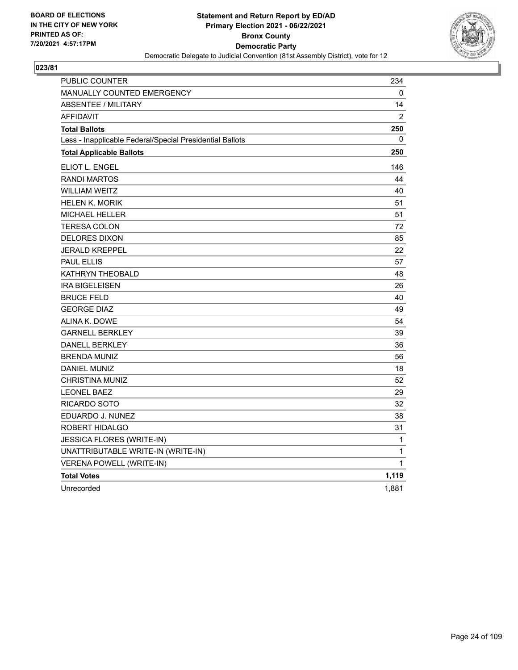

| PUBLIC COUNTER                                           | 234            |
|----------------------------------------------------------|----------------|
| MANUALLY COUNTED EMERGENCY                               | 0              |
| <b>ABSENTEE / MILITARY</b>                               | 14             |
| <b>AFFIDAVIT</b>                                         | $\overline{2}$ |
| <b>Total Ballots</b>                                     | 250            |
| Less - Inapplicable Federal/Special Presidential Ballots | 0              |
| <b>Total Applicable Ballots</b>                          | 250            |
| ELIOT L. ENGEL                                           | 146            |
| <b>RANDI MARTOS</b>                                      | 44             |
| <b>WILLIAM WEITZ</b>                                     | 40             |
| <b>HELEN K. MORIK</b>                                    | 51             |
| <b>MICHAEL HELLER</b>                                    | 51             |
| <b>TERESA COLON</b>                                      | 72             |
| <b>DELORES DIXON</b>                                     | 85             |
| <b>JERALD KREPPEL</b>                                    | 22             |
| <b>PAUL ELLIS</b>                                        | 57             |
| KATHRYN THEOBALD                                         | 48             |
| <b>IRA BIGELEISEN</b>                                    | 26             |
| <b>BRUCE FELD</b>                                        | 40             |
| <b>GEORGE DIAZ</b>                                       | 49             |
| <b>ALINA K. DOWE</b>                                     | 54             |
| <b>GARNELL BERKLEY</b>                                   | 39             |
| <b>DANELL BERKLEY</b>                                    | 36             |
| <b>BRENDA MUNIZ</b>                                      | 56             |
| <b>DANIEL MUNIZ</b>                                      | 18             |
| <b>CHRISTINA MUNIZ</b>                                   | 52             |
| <b>LEONEL BAEZ</b>                                       | 29             |
| RICARDO SOTO                                             | 32             |
| EDUARDO J. NUNEZ                                         | 38             |
| ROBERT HIDALGO                                           | 31             |
| JESSICA FLORES (WRITE-IN)                                | 1              |
| UNATTRIBUTABLE WRITE-IN (WRITE-IN)                       | 1              |
| <b>VERENA POWELL (WRITE-IN)</b>                          | 1              |
| <b>Total Votes</b>                                       | 1,119          |
| Unrecorded                                               | 1,881          |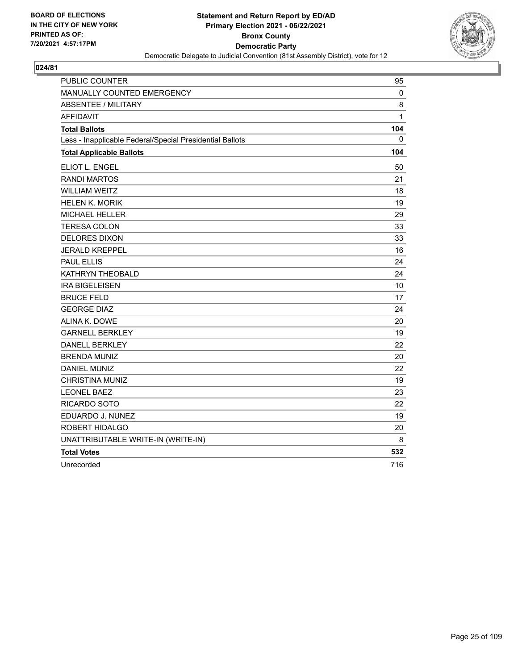

| PUBLIC COUNTER                                           | 95  |
|----------------------------------------------------------|-----|
| MANUALLY COUNTED EMERGENCY                               | 0   |
| <b>ABSENTEE / MILITARY</b>                               | 8   |
| <b>AFFIDAVIT</b>                                         | 1   |
| <b>Total Ballots</b>                                     | 104 |
| Less - Inapplicable Federal/Special Presidential Ballots | 0   |
| <b>Total Applicable Ballots</b>                          | 104 |
| ELIOT L. ENGEL                                           | 50  |
| <b>RANDI MARTOS</b>                                      | 21  |
| <b>WILLIAM WEITZ</b>                                     | 18  |
| <b>HELEN K. MORIK</b>                                    | 19  |
| <b>MICHAEL HELLER</b>                                    | 29  |
| <b>TERESA COLON</b>                                      | 33  |
| <b>DELORES DIXON</b>                                     | 33  |
| <b>JERALD KREPPEL</b>                                    | 16  |
| <b>PAUL ELLIS</b>                                        | 24  |
| KATHRYN THEOBALD                                         | 24  |
| <b>IRA BIGELEISEN</b>                                    | 10  |
| <b>BRUCE FELD</b>                                        | 17  |
| <b>GEORGE DIAZ</b>                                       | 24  |
| ALINA K. DOWE                                            | 20  |
| <b>GARNELL BERKLEY</b>                                   | 19  |
| <b>DANELL BERKLEY</b>                                    | 22  |
| <b>BRENDA MUNIZ</b>                                      | 20  |
| <b>DANIEL MUNIZ</b>                                      | 22  |
| <b>CHRISTINA MUNIZ</b>                                   | 19  |
| <b>LEONEL BAEZ</b>                                       | 23  |
| RICARDO SOTO                                             | 22  |
| EDUARDO J. NUNEZ                                         | 19  |
| <b>ROBERT HIDALGO</b>                                    | 20  |
| UNATTRIBUTABLE WRITE-IN (WRITE-IN)                       | 8   |
| <b>Total Votes</b>                                       | 532 |
| Unrecorded                                               | 716 |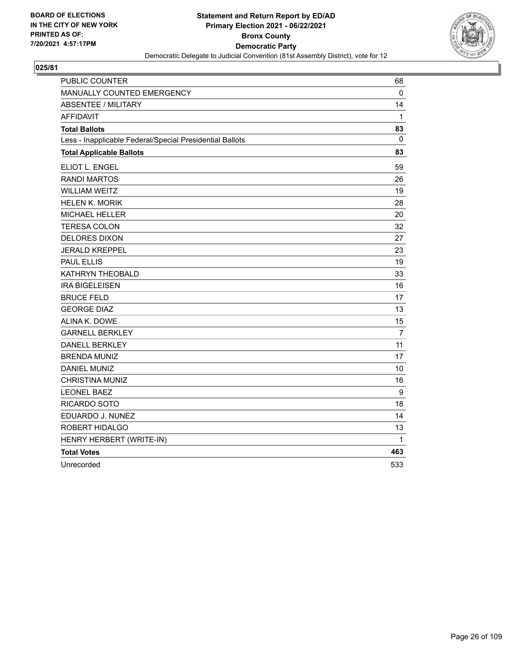

| <b>PUBLIC COUNTER</b>                                    | 68           |
|----------------------------------------------------------|--------------|
| MANUALLY COUNTED EMERGENCY                               | 0            |
| <b>ABSENTEE / MILITARY</b>                               | 14           |
| AFFIDAVIT                                                | $\mathbf{1}$ |
| <b>Total Ballots</b>                                     | 83           |
| Less - Inapplicable Federal/Special Presidential Ballots | 0            |
| <b>Total Applicable Ballots</b>                          | 83           |
| ELIOT L. ENGEL                                           | 59           |
| <b>RANDI MARTOS</b>                                      | 26           |
| <b>WILLIAM WEITZ</b>                                     | 19           |
| <b>HELEN K. MORIK</b>                                    | 28           |
| <b>MICHAEL HELLER</b>                                    | 20           |
| <b>TERESA COLON</b>                                      | 32           |
| <b>DELORES DIXON</b>                                     | 27           |
| <b>JERALD KREPPEL</b>                                    | 23           |
| <b>PAUL ELLIS</b>                                        | 19           |
| KATHRYN THEOBALD                                         | 33           |
| <b>IRA BIGELEISEN</b>                                    | 16           |
| <b>BRUCE FELD</b>                                        | 17           |
| <b>GEORGE DIAZ</b>                                       | 13           |
| ALINA K. DOWE                                            | 15           |
| <b>GARNELL BERKLEY</b>                                   | 7            |
| <b>DANELL BERKLEY</b>                                    | 11           |
| <b>BRENDA MUNIZ</b>                                      | 17           |
| <b>DANIEL MUNIZ</b>                                      | 10           |
| <b>CHRISTINA MUNIZ</b>                                   | 16           |
| <b>LEONEL BAEZ</b>                                       | 9            |
| RICARDO SOTO                                             | 18           |
| EDUARDO J. NUNEZ                                         | 14           |
| ROBERT HIDALGO                                           | 13           |
| HENRY HERBERT (WRITE-IN)                                 | 1            |
| <b>Total Votes</b>                                       | 463          |
| Unrecorded                                               | 533          |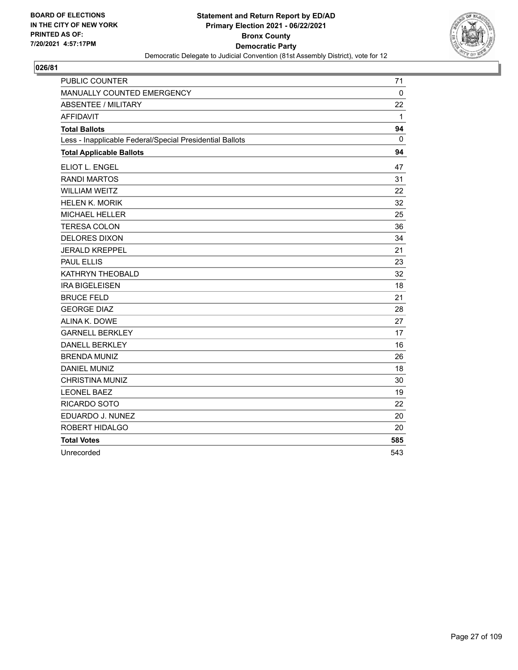

| PUBLIC COUNTER                                           | 71          |
|----------------------------------------------------------|-------------|
| MANUALLY COUNTED EMERGENCY                               | $\mathbf 0$ |
| <b>ABSENTEE / MILITARY</b>                               | 22          |
| <b>AFFIDAVIT</b>                                         | 1           |
| <b>Total Ballots</b>                                     | 94          |
| Less - Inapplicable Federal/Special Presidential Ballots | $\Omega$    |
| <b>Total Applicable Ballots</b>                          | 94          |
| <b>ELIOT L. ENGEL</b>                                    | 47          |
| <b>RANDI MARTOS</b>                                      | 31          |
| <b>WILLIAM WEITZ</b>                                     | 22          |
| <b>HELEN K. MORIK</b>                                    | 32          |
| <b>MICHAEL HELLER</b>                                    | 25          |
| <b>TERESA COLON</b>                                      | 36          |
| <b>DELORES DIXON</b>                                     | 34          |
| <b>JERALD KREPPEL</b>                                    | 21          |
| <b>PAUL ELLIS</b>                                        | 23          |
| KATHRYN THEOBALD                                         | 32          |
| <b>IRA BIGELEISEN</b>                                    | 18          |
| <b>BRUCE FELD</b>                                        | 21          |
| <b>GEORGE DIAZ</b>                                       | 28          |
| ALINA K. DOWE                                            | 27          |
| <b>GARNELL BERKLEY</b>                                   | 17          |
| <b>DANELL BERKLEY</b>                                    | 16          |
| <b>BRENDA MUNIZ</b>                                      | 26          |
| <b>DANIEL MUNIZ</b>                                      | 18          |
| <b>CHRISTINA MUNIZ</b>                                   | 30          |
| <b>LEONEL BAEZ</b>                                       | 19          |
| RICARDO SOTO                                             | 22          |
| EDUARDO J. NUNEZ                                         | 20          |
| ROBERT HIDALGO                                           | 20          |
| <b>Total Votes</b>                                       | 585         |
| Unrecorded                                               | 543         |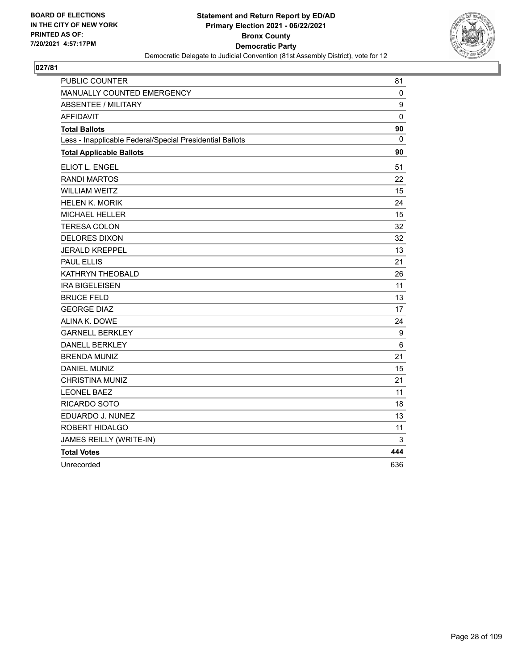

| PUBLIC COUNTER                                           | 81           |
|----------------------------------------------------------|--------------|
| MANUALLY COUNTED EMERGENCY                               | 0            |
| <b>ABSENTEE / MILITARY</b>                               | 9            |
| <b>AFFIDAVIT</b>                                         | $\mathbf{0}$ |
| <b>Total Ballots</b>                                     | 90           |
| Less - Inapplicable Federal/Special Presidential Ballots | 0            |
| <b>Total Applicable Ballots</b>                          | 90           |
| ELIOT L. ENGEL                                           | 51           |
| <b>RANDI MARTOS</b>                                      | 22           |
| <b>WILLIAM WEITZ</b>                                     | 15           |
| <b>HELEN K. MORIK</b>                                    | 24           |
| <b>MICHAEL HELLER</b>                                    | 15           |
| <b>TERESA COLON</b>                                      | 32           |
| <b>DELORES DIXON</b>                                     | 32           |
| <b>JERALD KREPPEL</b>                                    | 13           |
| <b>PAUL ELLIS</b>                                        | 21           |
| KATHRYN THEOBALD                                         | 26           |
| <b>IRA BIGELEISEN</b>                                    | 11           |
| <b>BRUCE FELD</b>                                        | 13           |
| <b>GEORGE DIAZ</b>                                       | 17           |
| ALINA K. DOWE                                            | 24           |
| <b>GARNELL BERKLEY</b>                                   | 9            |
| <b>DANELL BERKLEY</b>                                    | 6            |
| <b>BRENDA MUNIZ</b>                                      | 21           |
| <b>DANIEL MUNIZ</b>                                      | 15           |
| <b>CHRISTINA MUNIZ</b>                                   | 21           |
| <b>LEONEL BAEZ</b>                                       | 11           |
| RICARDO SOTO                                             | 18           |
| EDUARDO J. NUNEZ                                         | 13           |
| ROBERT HIDALGO                                           | 11           |
| JAMES REILLY (WRITE-IN)                                  | 3            |
| <b>Total Votes</b>                                       | 444          |
| Unrecorded                                               | 636          |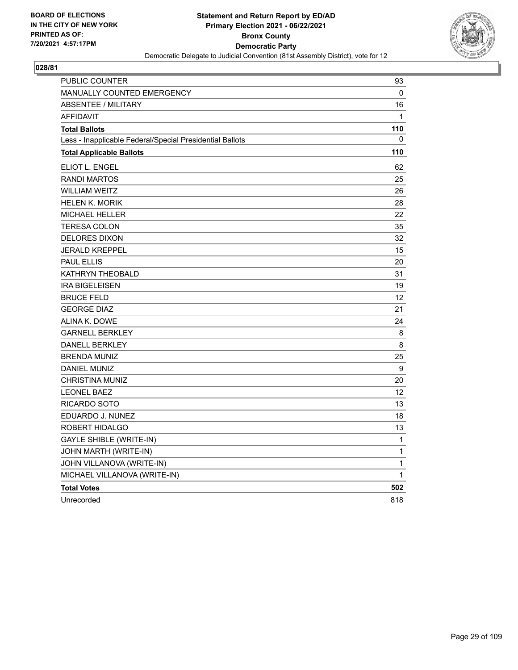

| PUBLIC COUNTER                                           | 93           |
|----------------------------------------------------------|--------------|
| MANUALLY COUNTED EMERGENCY                               | 0            |
| <b>ABSENTEE / MILITARY</b>                               | 16           |
| <b>AFFIDAVIT</b>                                         | $\mathbf{1}$ |
| <b>Total Ballots</b>                                     | 110          |
| Less - Inapplicable Federal/Special Presidential Ballots | 0            |
| <b>Total Applicable Ballots</b>                          | 110          |
| ELIOT L. ENGEL                                           | 62           |
| <b>RANDI MARTOS</b>                                      | 25           |
| <b>WILLIAM WEITZ</b>                                     | 26           |
| HELEN K. MORIK                                           | 28           |
| <b>MICHAEL HELLER</b>                                    | 22           |
| <b>TERESA COLON</b>                                      | 35           |
| <b>DELORES DIXON</b>                                     | 32           |
| <b>JERALD KREPPEL</b>                                    | 15           |
| <b>PAUL ELLIS</b>                                        | 20           |
| KATHRYN THEOBALD                                         | 31           |
| <b>IRA BIGELEISEN</b>                                    | 19           |
| <b>BRUCE FELD</b>                                        | 12           |
| <b>GEORGE DIAZ</b>                                       | 21           |
| ALINA K. DOWE                                            | 24           |
| <b>GARNELL BERKLEY</b>                                   | 8            |
| <b>DANELL BERKLEY</b>                                    | 8            |
| <b>BRENDA MUNIZ</b>                                      | 25           |
| <b>DANIEL MUNIZ</b>                                      | 9            |
| <b>CHRISTINA MUNIZ</b>                                   | 20           |
| <b>LEONEL BAEZ</b>                                       | 12           |
| RICARDO SOTO                                             | 13           |
| EDUARDO J. NUNEZ                                         | 18           |
| ROBERT HIDALGO                                           | 13           |
| <b>GAYLE SHIBLE (WRITE-IN)</b>                           | $\mathbf{1}$ |
| JOHN MARTH (WRITE-IN)                                    | $\mathbf{1}$ |
| JOHN VILLANOVA (WRITE-IN)                                | 1            |
| MICHAEL VILLANOVA (WRITE-IN)                             | 1            |
| <b>Total Votes</b>                                       | 502          |
| Unrecorded                                               | 818          |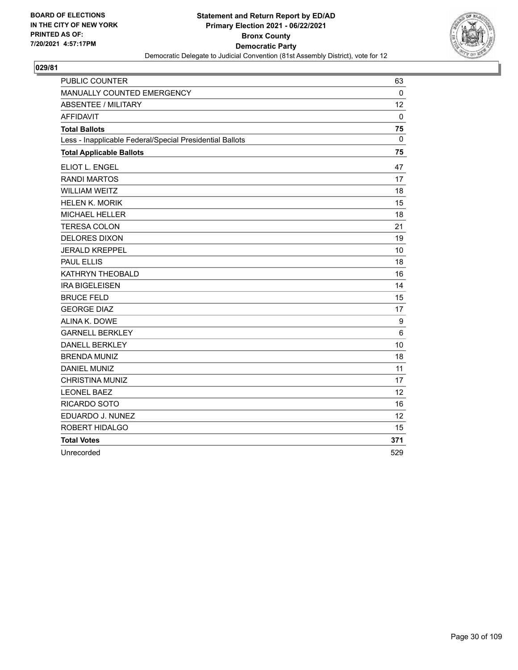

| <b>PUBLIC COUNTER</b>                                    | 63           |
|----------------------------------------------------------|--------------|
| MANUALLY COUNTED EMERGENCY                               | $\mathbf{0}$ |
| <b>ABSENTEE / MILITARY</b>                               | 12           |
| <b>AFFIDAVIT</b>                                         | 0            |
| <b>Total Ballots</b>                                     | 75           |
| Less - Inapplicable Federal/Special Presidential Ballots | $\mathbf{0}$ |
| <b>Total Applicable Ballots</b>                          | 75           |
| ELIOT L. ENGEL                                           | 47           |
| <b>RANDI MARTOS</b>                                      | 17           |
| <b>WILLIAM WEITZ</b>                                     | 18           |
| <b>HELEN K. MORIK</b>                                    | 15           |
| MICHAEL HELLER                                           | 18           |
| <b>TERESA COLON</b>                                      | 21           |
| <b>DELORES DIXON</b>                                     | 19           |
| <b>JERALD KREPPEL</b>                                    | 10           |
| <b>PAUL ELLIS</b>                                        | 18           |
| KATHRYN THEOBALD                                         | 16           |
| <b>IRA BIGELEISEN</b>                                    | 14           |
| <b>BRUCE FELD</b>                                        | 15           |
| <b>GEORGE DIAZ</b>                                       | 17           |
| ALINA K. DOWE                                            | 9            |
| <b>GARNELL BERKLEY</b>                                   | 6            |
| <b>DANELL BERKLEY</b>                                    | 10           |
| <b>BRENDA MUNIZ</b>                                      | 18           |
| <b>DANIEL MUNIZ</b>                                      | 11           |
| <b>CHRISTINA MUNIZ</b>                                   | 17           |
| <b>LEONEL BAEZ</b>                                       | 12           |
| RICARDO SOTO                                             | 16           |
| EDUARDO J. NUNEZ                                         | 12           |
| ROBERT HIDALGO                                           | 15           |
| <b>Total Votes</b>                                       | 371          |
| Unrecorded                                               | 529          |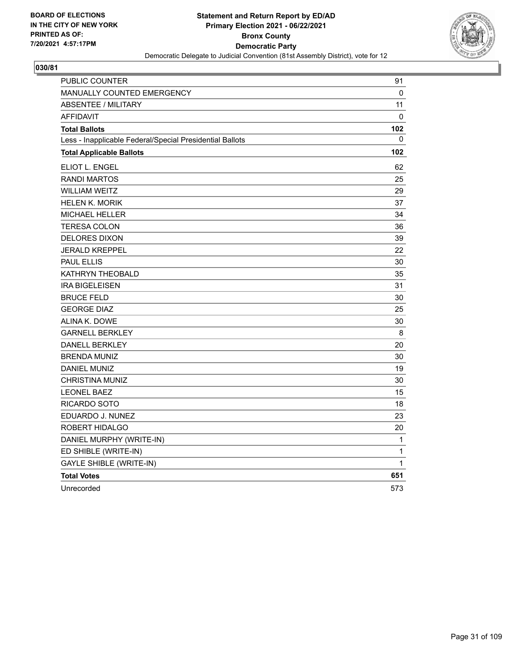

| PUBLIC COUNTER                                           | 91           |
|----------------------------------------------------------|--------------|
| MANUALLY COUNTED EMERGENCY                               | 0            |
| ABSENTEE / MILITARY                                      | 11           |
| <b>AFFIDAVIT</b>                                         | 0            |
| <b>Total Ballots</b>                                     | 102          |
| Less - Inapplicable Federal/Special Presidential Ballots | $\Omega$     |
| <b>Total Applicable Ballots</b>                          | 102          |
| ELIOT L. ENGEL                                           | 62           |
| <b>RANDI MARTOS</b>                                      | 25           |
| <b>WILLIAM WEITZ</b>                                     | 29           |
| <b>HELEN K. MORIK</b>                                    | 37           |
| MICHAEL HELLER                                           | 34           |
| <b>TERESA COLON</b>                                      | 36           |
| DELORES DIXON                                            | 39           |
| <b>JERALD KREPPEL</b>                                    | 22           |
| <b>PAUL ELLIS</b>                                        | 30           |
| KATHRYN THEOBALD                                         | 35           |
| <b>IRA BIGELEISEN</b>                                    | 31           |
| <b>BRUCE FELD</b>                                        | 30           |
| <b>GEORGE DIAZ</b>                                       | 25           |
| ALINA K. DOWE                                            | 30           |
| <b>GARNELL BERKLEY</b>                                   | 8            |
| <b>DANELL BERKLEY</b>                                    | 20           |
| <b>BRENDA MUNIZ</b>                                      | 30           |
| <b>DANIEL MUNIZ</b>                                      | 19           |
| CHRISTINA MUNIZ                                          | 30           |
| <b>LEONEL BAEZ</b>                                       | 15           |
| <b>RICARDO SOTO</b>                                      | 18           |
| EDUARDO J. NUNEZ                                         | 23           |
| ROBERT HIDALGO                                           | 20           |
| DANIEL MURPHY (WRITE-IN)                                 | 1            |
| ED SHIBLE (WRITE-IN)                                     | $\mathbf{1}$ |
| <b>GAYLE SHIBLE (WRITE-IN)</b>                           | $\mathbf{1}$ |
| <b>Total Votes</b>                                       | 651          |
| Unrecorded                                               | 573          |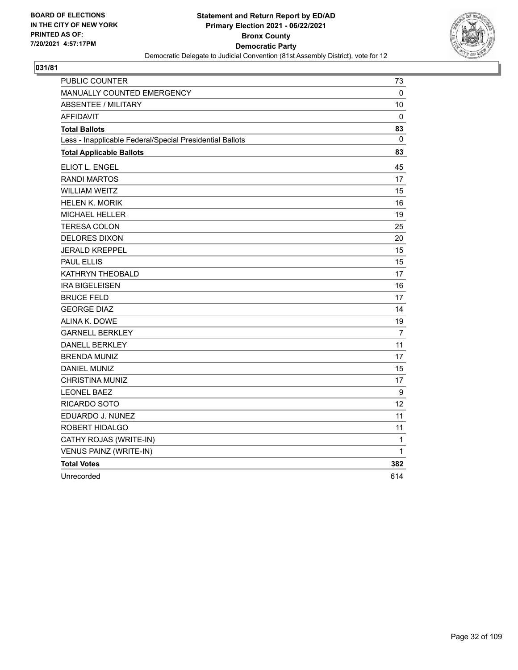

| <b>PUBLIC COUNTER</b>                                    | 73          |
|----------------------------------------------------------|-------------|
| <b>MANUALLY COUNTED EMERGENCY</b>                        | 0           |
| <b>ABSENTEE / MILITARY</b>                               | 10          |
| <b>AFFIDAVIT</b>                                         | $\mathbf 0$ |
| <b>Total Ballots</b>                                     | 83          |
| Less - Inapplicable Federal/Special Presidential Ballots | 0           |
| <b>Total Applicable Ballots</b>                          | 83          |
| ELIOT L. ENGEL                                           | 45          |
| <b>RANDI MARTOS</b>                                      | 17          |
| <b>WILLIAM WEITZ</b>                                     | 15          |
| <b>HELEN K. MORIK</b>                                    | 16          |
| MICHAEL HELLER                                           | 19          |
| TERESA COLON                                             | 25          |
| <b>DELORES DIXON</b>                                     | 20          |
| <b>JERALD KREPPEL</b>                                    | 15          |
| <b>PAUL ELLIS</b>                                        | 15          |
| KATHRYN THEOBALD                                         | 17          |
| <b>IRA BIGELEISEN</b>                                    | 16          |
| <b>BRUCE FELD</b>                                        | 17          |
| <b>GEORGE DIAZ</b>                                       | 14          |
| ALINA K. DOWE                                            | 19          |
| <b>GARNELL BERKLEY</b>                                   | 7           |
| <b>DANELL BERKLEY</b>                                    | 11          |
| <b>BRENDA MUNIZ</b>                                      | 17          |
| <b>DANIEL MUNIZ</b>                                      | 15          |
| <b>CHRISTINA MUNIZ</b>                                   | 17          |
| <b>LEONEL BAEZ</b>                                       | 9           |
| RICARDO SOTO                                             | 12          |
| EDUARDO J. NUNEZ                                         | 11          |
| ROBERT HIDALGO                                           | 11          |
| CATHY ROJAS (WRITE-IN)                                   | 1           |
| VENUS PAINZ (WRITE-IN)                                   | $\mathbf 1$ |
| <b>Total Votes</b>                                       | 382         |
| Unrecorded                                               | 614         |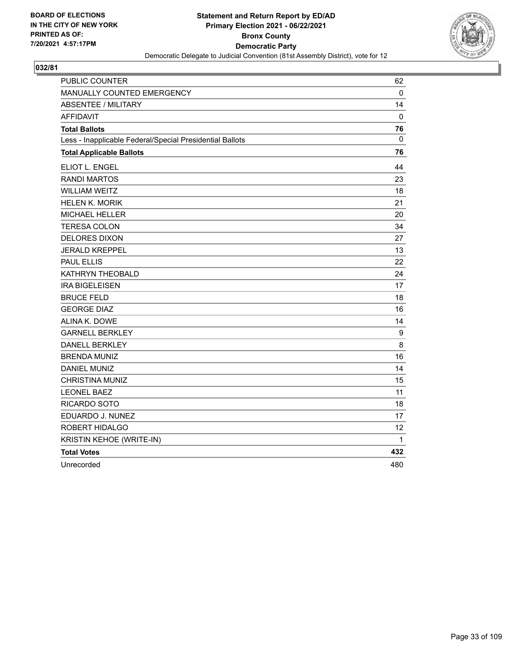

| PUBLIC COUNTER                                           | 62  |
|----------------------------------------------------------|-----|
| MANUALLY COUNTED EMERGENCY                               | 0   |
| <b>ABSENTEE / MILITARY</b>                               | 14  |
| <b>AFFIDAVIT</b>                                         | 0   |
| <b>Total Ballots</b>                                     | 76  |
| Less - Inapplicable Federal/Special Presidential Ballots | 0   |
| <b>Total Applicable Ballots</b>                          | 76  |
| <b>ELIOT L. ENGEL</b>                                    | 44  |
| <b>RANDI MARTOS</b>                                      | 23  |
| <b>WILLIAM WEITZ</b>                                     | 18  |
| <b>HELEN K. MORIK</b>                                    | 21  |
| <b>MICHAEL HELLER</b>                                    | 20  |
| <b>TERESA COLON</b>                                      | 34  |
| <b>DELORES DIXON</b>                                     | 27  |
| <b>JERALD KREPPEL</b>                                    | 13  |
| <b>PAUL ELLIS</b>                                        | 22  |
| KATHRYN THEOBALD                                         | 24  |
| <b>IRA BIGELEISEN</b>                                    | 17  |
| <b>BRUCE FELD</b>                                        | 18  |
| <b>GEORGE DIAZ</b>                                       | 16  |
| ALINA K. DOWE                                            | 14  |
| <b>GARNELL BERKLEY</b>                                   | 9   |
| <b>DANELL BERKLEY</b>                                    | 8   |
| <b>BRENDA MUNIZ</b>                                      | 16  |
| <b>DANIEL MUNIZ</b>                                      | 14  |
| <b>CHRISTINA MUNIZ</b>                                   | 15  |
| <b>LEONEL BAEZ</b>                                       | 11  |
| RICARDO SOTO                                             | 18  |
| EDUARDO J. NUNEZ                                         | 17  |
| ROBERT HIDALGO                                           | 12  |
| KRISTIN KEHOE (WRITE-IN)                                 | 1   |
| <b>Total Votes</b>                                       | 432 |
| Unrecorded                                               | 480 |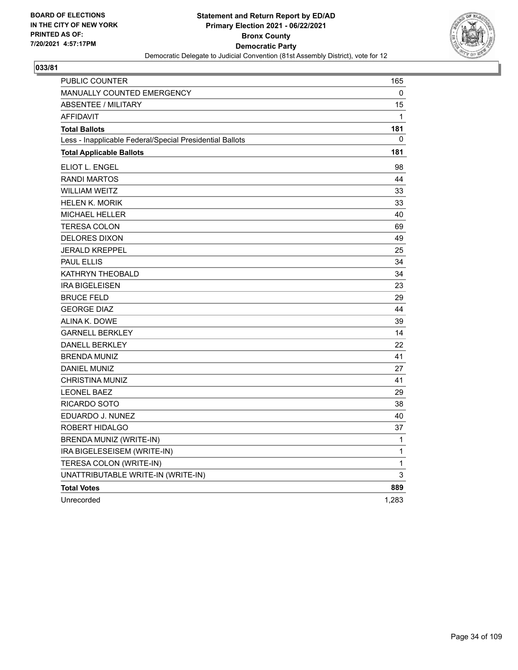

| PUBLIC COUNTER                                           | 165          |
|----------------------------------------------------------|--------------|
| <b>MANUALLY COUNTED EMERGENCY</b>                        | 0            |
| <b>ABSENTEE / MILITARY</b>                               | 15           |
| <b>AFFIDAVIT</b>                                         | 1            |
| <b>Total Ballots</b>                                     | 181          |
| Less - Inapplicable Federal/Special Presidential Ballots | 0            |
| <b>Total Applicable Ballots</b>                          | 181          |
| ELIOT L. ENGEL                                           | 98           |
| <b>RANDI MARTOS</b>                                      | 44           |
| <b>WILLIAM WEITZ</b>                                     | 33           |
| <b>HELEN K. MORIK</b>                                    | 33           |
| <b>MICHAEL HELLER</b>                                    | 40           |
| TERESA COLON                                             | 69           |
| <b>DELORES DIXON</b>                                     | 49           |
| <b>JERALD KREPPEL</b>                                    | 25           |
| PAUL ELLIS                                               | 34           |
| KATHRYN THEOBALD                                         | 34           |
| <b>IRA BIGELEISEN</b>                                    | 23           |
| <b>BRUCE FELD</b>                                        | 29           |
| <b>GEORGE DIAZ</b>                                       | 44           |
| ALINA K. DOWE                                            | 39           |
| <b>GARNELL BERKLEY</b>                                   | 14           |
| <b>DANELL BERKLEY</b>                                    | 22           |
| <b>BRENDA MUNIZ</b>                                      | 41           |
| <b>DANIEL MUNIZ</b>                                      | 27           |
| <b>CHRISTINA MUNIZ</b>                                   | 41           |
| <b>LEONEL BAEZ</b>                                       | 29           |
| RICARDO SOTO                                             | 38           |
| EDUARDO J. NUNEZ                                         | 40           |
| ROBERT HIDALGO                                           | 37           |
| BRENDA MUNIZ (WRITE-IN)                                  | 1            |
| IRA BIGELESEISEM (WRITE-IN)                              | $\mathbf{1}$ |
| TERESA COLON (WRITE-IN)                                  | 1            |
| UNATTRIBUTABLE WRITE-IN (WRITE-IN)                       | 3            |
| <b>Total Votes</b>                                       | 889          |
| Unrecorded                                               | 1,283        |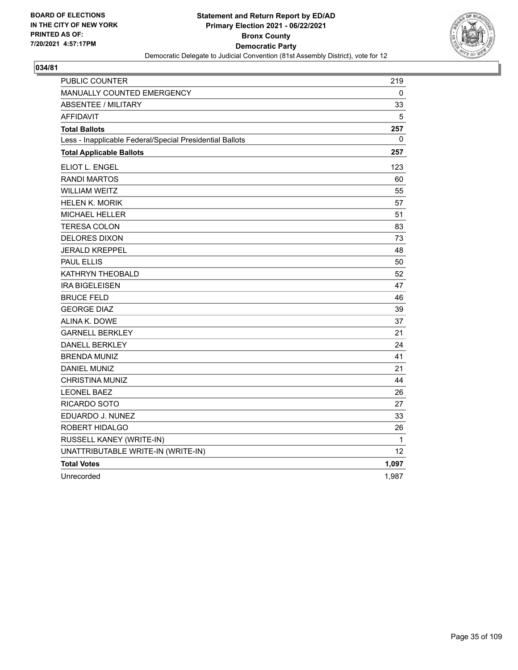

| PUBLIC COUNTER                                           | 219   |
|----------------------------------------------------------|-------|
| MANUALLY COUNTED EMERGENCY                               | 0     |
| <b>ABSENTEE / MILITARY</b>                               | 33    |
| <b>AFFIDAVIT</b>                                         | 5     |
| <b>Total Ballots</b>                                     | 257   |
| Less - Inapplicable Federal/Special Presidential Ballots | 0     |
| <b>Total Applicable Ballots</b>                          | 257   |
| ELIOT L. ENGEL                                           | 123   |
| <b>RANDI MARTOS</b>                                      | 60    |
| <b>WILLIAM WEITZ</b>                                     | 55    |
| <b>HELEN K. MORIK</b>                                    | 57    |
| <b>MICHAEL HELLER</b>                                    | 51    |
| <b>TERESA COLON</b>                                      | 83    |
| <b>DELORES DIXON</b>                                     | 73    |
| <b>JERALD KREPPEL</b>                                    | 48    |
| <b>PAUL ELLIS</b>                                        | 50    |
| KATHRYN THEOBALD                                         | 52    |
| <b>IRA BIGELEISEN</b>                                    | 47    |
| <b>BRUCE FELD</b>                                        | 46    |
| <b>GEORGE DIAZ</b>                                       | 39    |
| ALINA K. DOWE                                            | 37    |
| <b>GARNELL BERKLEY</b>                                   | 21    |
| <b>DANELL BERKLEY</b>                                    | 24    |
| <b>BRENDA MUNIZ</b>                                      | 41    |
| <b>DANIEL MUNIZ</b>                                      | 21    |
| CHRISTINA MUNIZ                                          | 44    |
| <b>LEONEL BAEZ</b>                                       | 26    |
| RICARDO SOTO                                             | 27    |
| EDUARDO J. NUNEZ                                         | 33    |
| ROBERT HIDALGO                                           | 26    |
| RUSSELL KANEY (WRITE-IN)                                 | 1     |
| UNATTRIBUTABLE WRITE-IN (WRITE-IN)                       | 12    |
| <b>Total Votes</b>                                       | 1,097 |
| Unrecorded                                               | 1,987 |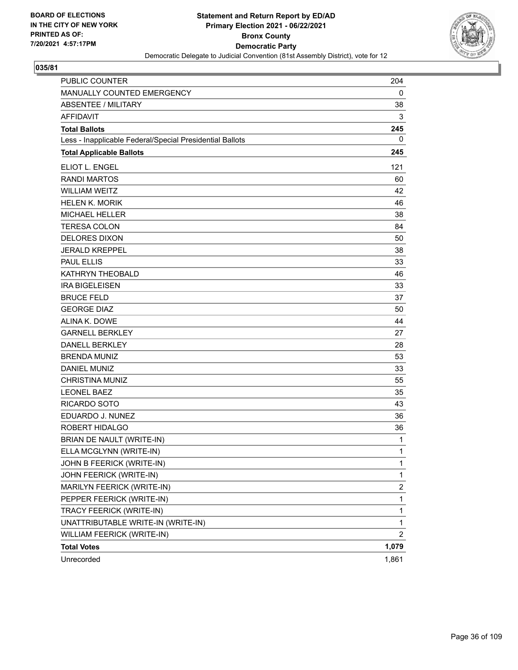

| PUBLIC COUNTER                                           | 204          |
|----------------------------------------------------------|--------------|
| MANUALLY COUNTED EMERGENCY                               | 0            |
| <b>ABSENTEE / MILITARY</b>                               | 38           |
| <b>AFFIDAVIT</b>                                         | 3            |
| <b>Total Ballots</b>                                     | 245          |
| Less - Inapplicable Federal/Special Presidential Ballots | 0            |
| <b>Total Applicable Ballots</b>                          | 245          |
| ELIOT L. ENGEL                                           | 121          |
| <b>RANDI MARTOS</b>                                      | 60           |
| <b>WILLIAM WEITZ</b>                                     | 42           |
| <b>HELEN K. MORIK</b>                                    | 46           |
| <b>MICHAEL HELLER</b>                                    | 38           |
| <b>TERESA COLON</b>                                      | 84           |
| <b>DELORES DIXON</b>                                     | 50           |
| <b>JERALD KREPPEL</b>                                    | 38           |
| <b>PAUL ELLIS</b>                                        | 33           |
| KATHRYN THEOBALD                                         | 46           |
| <b>IRA BIGELEISEN</b>                                    | 33           |
| <b>BRUCE FELD</b>                                        | 37           |
| <b>GEORGE DIAZ</b>                                       | 50           |
| ALINA K. DOWE                                            | 44           |
| <b>GARNELL BERKLEY</b>                                   | 27           |
| <b>DANELL BERKLEY</b>                                    | 28           |
| <b>BRENDA MUNIZ</b>                                      | 53           |
| <b>DANIEL MUNIZ</b>                                      | 33           |
| <b>CHRISTINA MUNIZ</b>                                   | 55           |
| <b>LEONEL BAEZ</b>                                       | 35           |
| RICARDO SOTO                                             | 43           |
| EDUARDO J. NUNEZ                                         | 36           |
| ROBERT HIDALGO                                           | 36           |
| BRIAN DE NAULT (WRITE-IN)                                | $\mathbf{1}$ |
| ELLA MCGLYNN (WRITE-IN)                                  | 1            |
| JOHN B FEERICK (WRITE-IN)                                | 1            |
| JOHN FEERICK (WRITE-IN)                                  | $\mathbf{1}$ |
| MARILYN FEERICK (WRITE-IN)                               | 2            |
| PEPPER FEERICK (WRITE-IN)                                | 1            |
| TRACY FEERICK (WRITE-IN)                                 | $\mathbf 1$  |
| UNATTRIBUTABLE WRITE-IN (WRITE-IN)                       | 1            |
| WILLIAM FEERICK (WRITE-IN)                               | 2            |
| <b>Total Votes</b>                                       | 1,079        |
| Unrecorded                                               | 1,861        |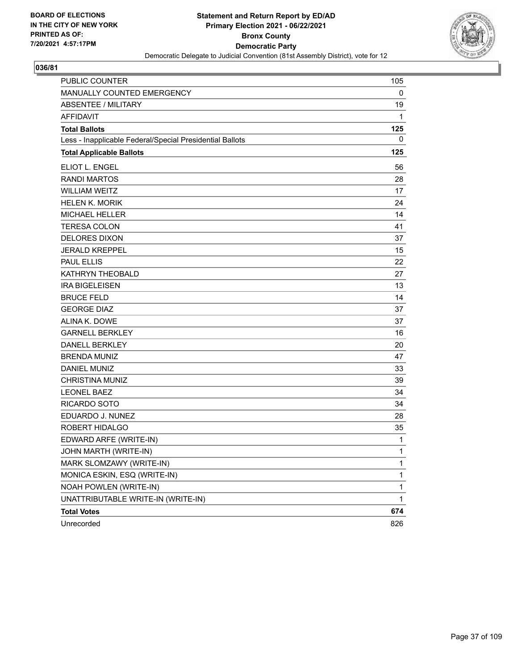

| PUBLIC COUNTER                                           | 105         |
|----------------------------------------------------------|-------------|
| MANUALLY COUNTED EMERGENCY                               | 0           |
| <b>ABSENTEE / MILITARY</b>                               | 19          |
| <b>AFFIDAVIT</b>                                         | 1           |
| <b>Total Ballots</b>                                     | 125         |
| Less - Inapplicable Federal/Special Presidential Ballots | 0           |
| <b>Total Applicable Ballots</b>                          | 125         |
| ELIOT L. ENGEL                                           | 56          |
| <b>RANDI MARTOS</b>                                      | 28          |
| <b>WILLIAM WEITZ</b>                                     | 17          |
| <b>HELEN K. MORIK</b>                                    | 24          |
| <b>MICHAEL HELLER</b>                                    | 14          |
| <b>TERESA COLON</b>                                      | 41          |
| <b>DELORES DIXON</b>                                     | 37          |
| <b>JERALD KREPPEL</b>                                    | 15          |
| <b>PAUL ELLIS</b>                                        | 22          |
| KATHRYN THEOBALD                                         | 27          |
| <b>IRA BIGELEISEN</b>                                    | 13          |
| <b>BRUCE FELD</b>                                        | 14          |
| <b>GEORGE DIAZ</b>                                       | 37          |
| ALINA K. DOWE                                            | 37          |
| <b>GARNELL BERKLEY</b>                                   | 16          |
| <b>DANELL BERKLEY</b>                                    | 20          |
| <b>BRENDA MUNIZ</b>                                      | 47          |
| <b>DANIEL MUNIZ</b>                                      | 33          |
| <b>CHRISTINA MUNIZ</b>                                   | 39          |
| <b>LEONEL BAEZ</b>                                       | 34          |
| RICARDO SOTO                                             | 34          |
| EDUARDO J. NUNEZ                                         | 28          |
| <b>ROBERT HIDALGO</b>                                    | 35          |
| EDWARD ARFE (WRITE-IN)                                   | 1           |
| JOHN MARTH (WRITE-IN)                                    | 1           |
| MARK SLOMZAWY (WRITE-IN)                                 | 1           |
| MONICA ESKIN, ESQ (WRITE-IN)                             | 1           |
| NOAH POWLEN (WRITE-IN)                                   | 1           |
| UNATTRIBUTABLE WRITE-IN (WRITE-IN)                       | $\mathbf 1$ |
| <b>Total Votes</b>                                       | 674         |
| Unrecorded                                               | 826         |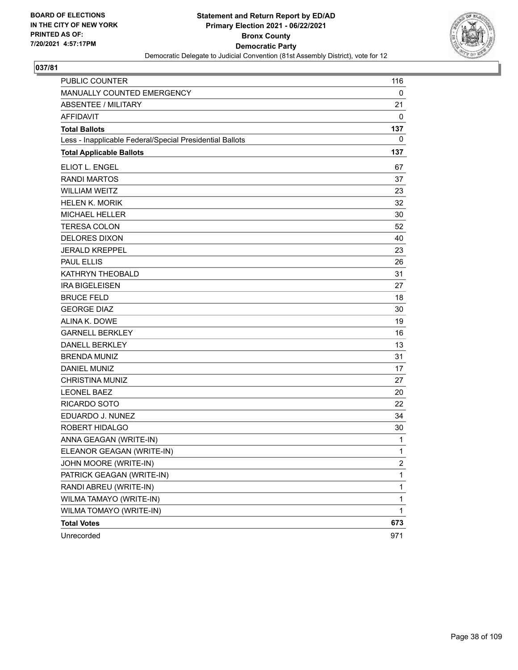

| PUBLIC COUNTER                                           | 116            |
|----------------------------------------------------------|----------------|
| MANUALLY COUNTED EMERGENCY                               | 0              |
| <b>ABSENTEE / MILITARY</b>                               | 21             |
| <b>AFFIDAVIT</b>                                         | 0              |
| <b>Total Ballots</b>                                     | 137            |
| Less - Inapplicable Federal/Special Presidential Ballots | 0              |
| <b>Total Applicable Ballots</b>                          | 137            |
| ELIOT L. ENGEL                                           | 67             |
| <b>RANDI MARTOS</b>                                      | 37             |
| <b>WILLIAM WEITZ</b>                                     | 23             |
| <b>HELEN K. MORIK</b>                                    | 32             |
| <b>MICHAEL HELLER</b>                                    | 30             |
| <b>TERESA COLON</b>                                      | 52             |
| <b>DELORES DIXON</b>                                     | 40             |
| <b>JERALD KREPPEL</b>                                    | 23             |
| <b>PAUL ELLIS</b>                                        | 26             |
| KATHRYN THEOBALD                                         | 31             |
| <b>IRA BIGELEISEN</b>                                    | 27             |
| <b>BRUCE FELD</b>                                        | 18             |
| <b>GEORGE DIAZ</b>                                       | 30             |
| ALINA K. DOWE                                            | 19             |
| <b>GARNELL BERKLEY</b>                                   | 16             |
| <b>DANELL BERKLEY</b>                                    | 13             |
| <b>BRENDA MUNIZ</b>                                      | 31             |
| <b>DANIEL MUNIZ</b>                                      | 17             |
| <b>CHRISTINA MUNIZ</b>                                   | 27             |
| <b>LEONEL BAEZ</b>                                       | 20             |
| RICARDO SOTO                                             | 22             |
| EDUARDO J. NUNEZ                                         | 34             |
| ROBERT HIDALGO                                           | 30             |
| ANNA GEAGAN (WRITE-IN)                                   | 1              |
| ELEANOR GEAGAN (WRITE-IN)                                | 1              |
| JOHN MOORE (WRITE-IN)                                    | $\overline{c}$ |
| PATRICK GEAGAN (WRITE-IN)                                | 1              |
| RANDI ABREU (WRITE-IN)                                   | $\mathbf{1}$   |
| WILMA TAMAYO (WRITE-IN)                                  | $\mathbf 1$    |
| WILMA TOMAYO (WRITE-IN)                                  | 1              |
| <b>Total Votes</b>                                       | 673            |
| Unrecorded                                               | 971            |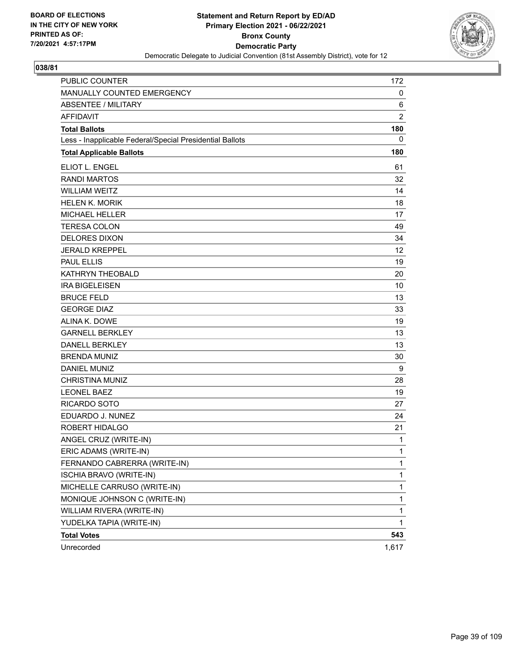

| PUBLIC COUNTER                                           | 172            |
|----------------------------------------------------------|----------------|
| MANUALLY COUNTED EMERGENCY                               | 0              |
| ABSENTEE / MILITARY                                      | 6              |
| <b>AFFIDAVIT</b>                                         | $\overline{2}$ |
| <b>Total Ballots</b>                                     | 180            |
| Less - Inapplicable Federal/Special Presidential Ballots | 0              |
| <b>Total Applicable Ballots</b>                          | 180            |
| ELIOT L. ENGEL                                           | 61             |
| <b>RANDI MARTOS</b>                                      | 32             |
| <b>WILLIAM WEITZ</b>                                     | 14             |
| <b>HELEN K. MORIK</b>                                    | 18             |
| MICHAEL HELLER                                           | 17             |
| <b>TERESA COLON</b>                                      | 49             |
| <b>DELORES DIXON</b>                                     | 34             |
| <b>JERALD KREPPEL</b>                                    | 12             |
| <b>PAUL ELLIS</b>                                        | 19             |
| <b>KATHRYN THEOBALD</b>                                  | 20             |
| <b>IRA BIGELEISEN</b>                                    | 10             |
| <b>BRUCE FELD</b>                                        | 13             |
| <b>GEORGE DIAZ</b>                                       | 33             |
| ALINA K. DOWE                                            | 19             |
| <b>GARNELL BERKLEY</b>                                   | 13             |
| <b>DANELL BERKLEY</b>                                    | 13             |
| <b>BRENDA MUNIZ</b>                                      | 30             |
| <b>DANIEL MUNIZ</b>                                      | 9              |
| <b>CHRISTINA MUNIZ</b>                                   | 28             |
| <b>LEONEL BAEZ</b>                                       | 19             |
| <b>RICARDO SOTO</b>                                      | 27             |
| EDUARDO J. NUNEZ                                         | 24             |
| ROBERT HIDALGO                                           | 21             |
| ANGEL CRUZ (WRITE-IN)                                    | 1              |
| ERIC ADAMS (WRITE-IN)                                    | 1              |
| FERNANDO CABRERRA (WRITE-IN)                             | $\mathbf{1}$   |
| ISCHIA BRAVO (WRITE-IN)                                  | 1              |
| MICHELLE CARRUSO (WRITE-IN)                              | 1              |
| MONIQUE JOHNSON C (WRITE-IN)                             | 1              |
| WILLIAM RIVERA (WRITE-IN)                                | 1              |
| YUDELKA TAPIA (WRITE-IN)                                 | 1              |
| <b>Total Votes</b>                                       | 543            |
| Unrecorded                                               | 1,617          |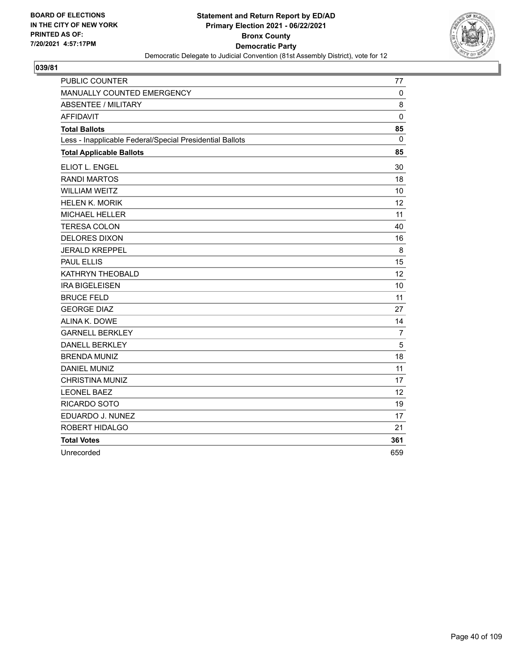

| <b>PUBLIC COUNTER</b>                                    | 77             |
|----------------------------------------------------------|----------------|
| MANUALLY COUNTED EMERGENCY                               | 0              |
| <b>ABSENTEE / MILITARY</b>                               | 8              |
| <b>AFFIDAVIT</b>                                         | $\mathbf 0$    |
| <b>Total Ballots</b>                                     | 85             |
| Less - Inapplicable Federal/Special Presidential Ballots | $\Omega$       |
| <b>Total Applicable Ballots</b>                          | 85             |
| ELIOT L. ENGEL                                           | 30             |
| <b>RANDI MARTOS</b>                                      | 18             |
| <b>WILLIAM WEITZ</b>                                     | 10             |
| <b>HELEN K. MORIK</b>                                    | 12             |
| <b>MICHAEL HELLER</b>                                    | 11             |
| <b>TERESA COLON</b>                                      | 40             |
| <b>DELORES DIXON</b>                                     | 16             |
| <b>JERALD KREPPEL</b>                                    | 8              |
| <b>PAUL ELLIS</b>                                        | 15             |
| KATHRYN THEOBALD                                         | 12             |
| <b>IRA BIGELEISEN</b>                                    | 10             |
| <b>BRUCE FELD</b>                                        | 11             |
| <b>GEORGE DIAZ</b>                                       | 27             |
| ALINA K. DOWE                                            | 14             |
| <b>GARNELL BERKLEY</b>                                   | $\overline{7}$ |
| <b>DANELL BERKLEY</b>                                    | 5              |
| <b>BRENDA MUNIZ</b>                                      | 18             |
| <b>DANIEL MUNIZ</b>                                      | 11             |
| <b>CHRISTINA MUNIZ</b>                                   | 17             |
| <b>LEONEL BAEZ</b>                                       | 12             |
| RICARDO SOTO                                             | 19             |
| EDUARDO J. NUNEZ                                         | 17             |
| ROBERT HIDALGO                                           | 21             |
| <b>Total Votes</b>                                       | 361            |
| Unrecorded                                               | 659            |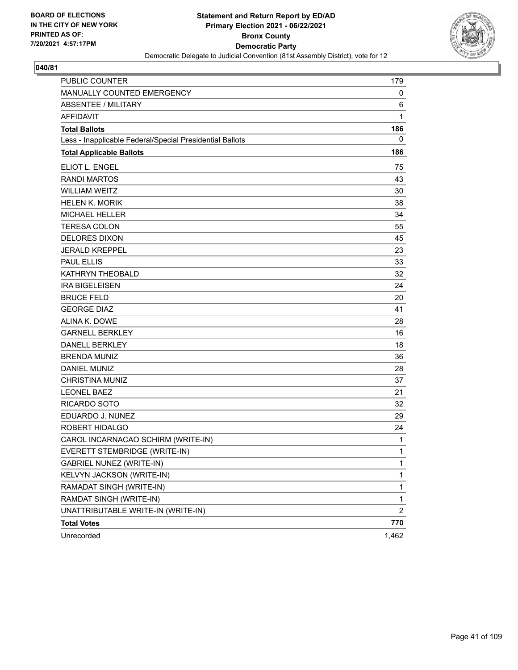

| <b>PUBLIC COUNTER</b>                                    | 179            |
|----------------------------------------------------------|----------------|
| MANUALLY COUNTED EMERGENCY                               | 0              |
| <b>ABSENTEE / MILITARY</b>                               | 6              |
| <b>AFFIDAVIT</b>                                         | 1              |
| <b>Total Ballots</b>                                     | 186            |
| Less - Inapplicable Federal/Special Presidential Ballots | 0              |
| <b>Total Applicable Ballots</b>                          | 186            |
| <b>ELIOT L. ENGEL</b>                                    | 75             |
| <b>RANDI MARTOS</b>                                      | 43             |
| <b>WILLIAM WEITZ</b>                                     | 30             |
| <b>HELEN K. MORIK</b>                                    | 38             |
| <b>MICHAEL HELLER</b>                                    | 34             |
| <b>TERESA COLON</b>                                      | 55             |
| <b>DELORES DIXON</b>                                     | 45             |
| <b>JERALD KREPPEL</b>                                    | 23             |
| <b>PAUL ELLIS</b>                                        | 33             |
| <b>KATHRYN THEOBALD</b>                                  | 32             |
| <b>IRA BIGELEISEN</b>                                    | 24             |
| <b>BRUCE FELD</b>                                        | 20             |
| <b>GEORGE DIAZ</b>                                       | 41             |
| ALINA K. DOWE                                            | 28             |
| <b>GARNELL BERKLEY</b>                                   | 16             |
| <b>DANELL BERKLEY</b>                                    | 18             |
| <b>BRENDA MUNIZ</b>                                      | 36             |
| <b>DANIEL MUNIZ</b>                                      | 28             |
| <b>CHRISTINA MUNIZ</b>                                   | 37             |
| <b>LEONEL BAEZ</b>                                       | 21             |
| <b>RICARDO SOTO</b>                                      | 32             |
| EDUARDO J. NUNEZ                                         | 29             |
| ROBERT HIDALGO                                           | 24             |
| CAROL INCARNACAO SCHIRM (WRITE-IN)                       | 1              |
| EVERETT STEMBRIDGE (WRITE-IN)                            | 1              |
| <b>GABRIEL NUNEZ (WRITE-IN)</b>                          | $\mathbf{1}$   |
| KELVYN JACKSON (WRITE-IN)                                | $\mathbf{1}$   |
| RAMADAT SINGH (WRITE-IN)                                 | $\mathbf{1}$   |
| RAMDAT SINGH (WRITE-IN)                                  | 1              |
| UNATTRIBUTABLE WRITE-IN (WRITE-IN)                       | $\overline{2}$ |
| <b>Total Votes</b>                                       | 770            |
| Unrecorded                                               | 1,462          |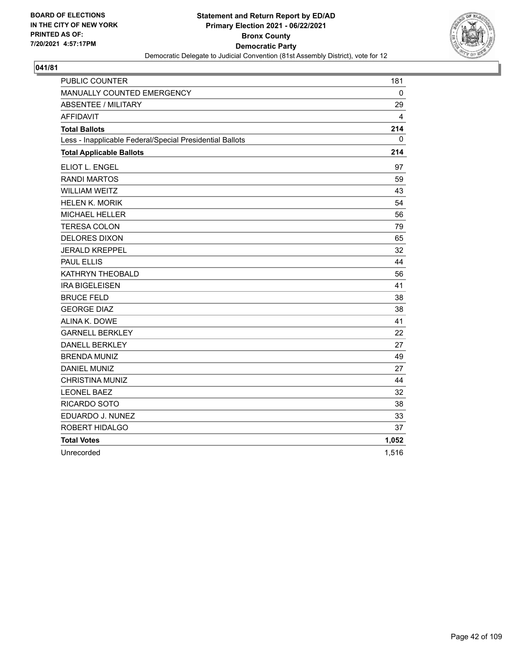

| <b>PUBLIC COUNTER</b>                                    | 181   |
|----------------------------------------------------------|-------|
| MANUALLY COUNTED EMERGENCY                               | 0     |
| <b>ABSENTEE / MILITARY</b>                               | 29    |
| <b>AFFIDAVIT</b>                                         | 4     |
| <b>Total Ballots</b>                                     | 214   |
| Less - Inapplicable Federal/Special Presidential Ballots | 0     |
| <b>Total Applicable Ballots</b>                          | 214   |
| ELIOT L. ENGEL                                           | 97    |
| <b>RANDI MARTOS</b>                                      | 59    |
| <b>WILLIAM WEITZ</b>                                     | 43    |
| <b>HELEN K. MORIK</b>                                    | 54    |
| <b>MICHAEL HELLER</b>                                    | 56    |
| <b>TERESA COLON</b>                                      | 79    |
| <b>DELORES DIXON</b>                                     | 65    |
| <b>JERALD KREPPEL</b>                                    | 32    |
| <b>PAUL ELLIS</b>                                        | 44    |
| KATHRYN THEOBALD                                         | 56    |
| <b>IRA BIGELEISEN</b>                                    | 41    |
| <b>BRUCE FELD</b>                                        | 38    |
| <b>GEORGE DIAZ</b>                                       | 38    |
| ALINA K. DOWE                                            | 41    |
| <b>GARNELL BERKLEY</b>                                   | 22    |
| <b>DANELL BERKLEY</b>                                    | 27    |
| <b>BRENDA MUNIZ</b>                                      | 49    |
| <b>DANIEL MUNIZ</b>                                      | 27    |
| <b>CHRISTINA MUNIZ</b>                                   | 44    |
| <b>LEONEL BAEZ</b>                                       | 32    |
| <b>RICARDO SOTO</b>                                      | 38    |
| EDUARDO J. NUNEZ                                         | 33    |
| ROBERT HIDALGO                                           | 37    |
| <b>Total Votes</b>                                       | 1,052 |
| Unrecorded                                               | 1,516 |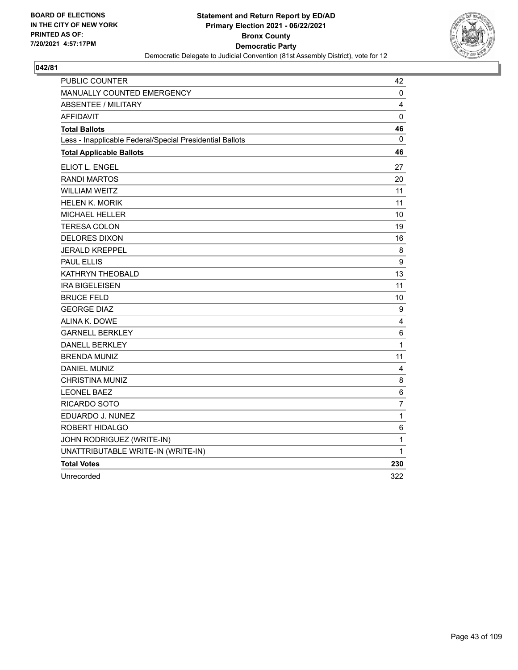

| <b>PUBLIC COUNTER</b>                                    | 42           |
|----------------------------------------------------------|--------------|
| <b>MANUALLY COUNTED EMERGENCY</b>                        | 0            |
| <b>ABSENTEE / MILITARY</b>                               | 4            |
| <b>AFFIDAVIT</b>                                         | $\mathbf 0$  |
| <b>Total Ballots</b>                                     | 46           |
| Less - Inapplicable Federal/Special Presidential Ballots | 0            |
| <b>Total Applicable Ballots</b>                          | 46           |
| ELIOT L. ENGEL                                           | 27           |
| <b>RANDI MARTOS</b>                                      | 20           |
| <b>WILLIAM WEITZ</b>                                     | 11           |
| <b>HELEN K. MORIK</b>                                    | 11           |
| <b>MICHAEL HELLER</b>                                    | 10           |
| <b>TERESA COLON</b>                                      | 19           |
| <b>DELORES DIXON</b>                                     | 16           |
| <b>JERALD KREPPEL</b>                                    | 8            |
| <b>PAUL ELLIS</b>                                        | 9            |
| KATHRYN THEOBALD                                         | 13           |
| <b>IRA BIGELEISEN</b>                                    | 11           |
| <b>BRUCE FELD</b>                                        | 10           |
| <b>GEORGE DIAZ</b>                                       | 9            |
| ALINA K. DOWE                                            | 4            |
| <b>GARNELL BERKLEY</b>                                   | 6            |
| <b>DANELL BERKLEY</b>                                    | $\mathbf{1}$ |
| <b>BRENDA MUNIZ</b>                                      | 11           |
| <b>DANIEL MUNIZ</b>                                      | 4            |
| CHRISTINA MUNIZ                                          | 8            |
| <b>LEONEL BAEZ</b>                                       | 6            |
| RICARDO SOTO                                             | 7            |
| EDUARDO J. NUNEZ                                         | 1            |
| ROBERT HIDALGO                                           | 6            |
| JOHN RODRIGUEZ (WRITE-IN)                                | 1            |
| UNATTRIBUTABLE WRITE-IN (WRITE-IN)                       | 1            |
| <b>Total Votes</b>                                       | 230          |
| Unrecorded                                               | 322          |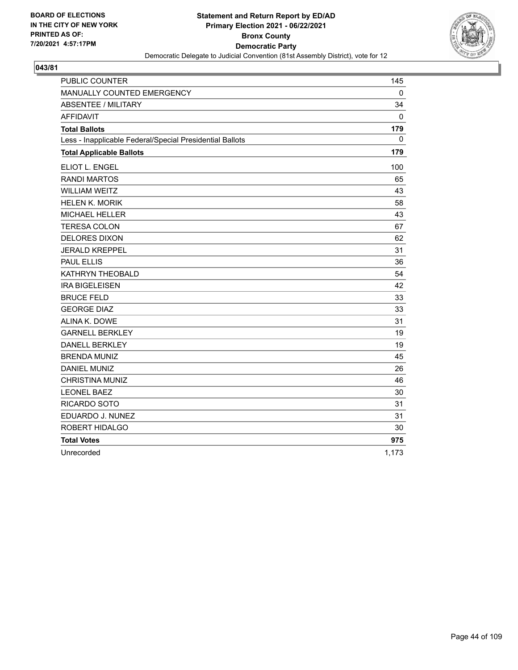

| <b>PUBLIC COUNTER</b>                                    | 145      |
|----------------------------------------------------------|----------|
| MANUALLY COUNTED EMERGENCY                               | 0        |
| <b>ABSENTEE / MILITARY</b>                               | 34       |
| <b>AFFIDAVIT</b>                                         | 0        |
| <b>Total Ballots</b>                                     | 179      |
| Less - Inapplicable Federal/Special Presidential Ballots | $\Omega$ |
| <b>Total Applicable Ballots</b>                          | 179      |
| ELIOT L. ENGEL                                           | 100      |
| <b>RANDI MARTOS</b>                                      | 65       |
| <b>WILLIAM WEITZ</b>                                     | 43       |
| <b>HELEN K. MORIK</b>                                    | 58       |
| <b>MICHAEL HELLER</b>                                    | 43       |
| <b>TERESA COLON</b>                                      | 67       |
| <b>DELORES DIXON</b>                                     | 62       |
| <b>JERALD KREPPEL</b>                                    | 31       |
| <b>PAUL ELLIS</b>                                        | 36       |
| KATHRYN THEOBALD                                         | 54       |
| <b>IRA BIGELEISEN</b>                                    | 42       |
| <b>BRUCE FELD</b>                                        | 33       |
| <b>GEORGE DIAZ</b>                                       | 33       |
| ALINA K. DOWE                                            | 31       |
| <b>GARNELL BERKLEY</b>                                   | 19       |
| <b>DANELL BERKLEY</b>                                    | 19       |
| <b>BRENDA MUNIZ</b>                                      | 45       |
| <b>DANIEL MUNIZ</b>                                      | 26       |
| <b>CHRISTINA MUNIZ</b>                                   | 46       |
| <b>LEONEL BAEZ</b>                                       | 30       |
| RICARDO SOTO                                             | 31       |
| EDUARDO J. NUNEZ                                         | 31       |
| ROBERT HIDALGO                                           | 30       |
| <b>Total Votes</b>                                       | 975      |
| Unrecorded                                               | 1,173    |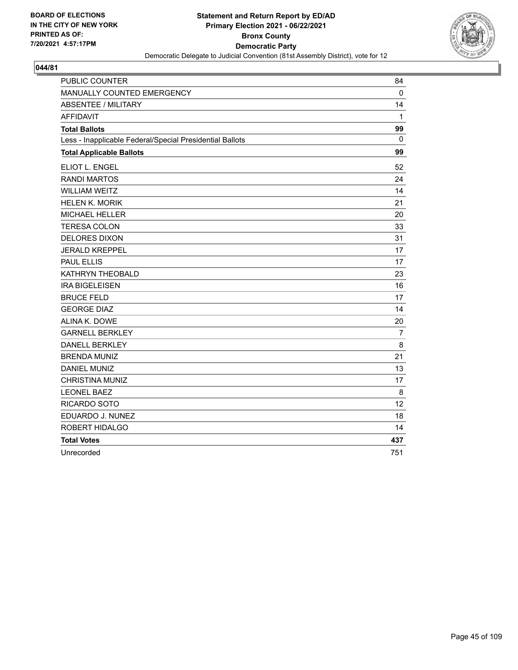

| <b>PUBLIC COUNTER</b>                                    | 84             |
|----------------------------------------------------------|----------------|
| MANUALLY COUNTED EMERGENCY                               | $\mathbf{0}$   |
| <b>ABSENTEE / MILITARY</b>                               | 14             |
| <b>AFFIDAVIT</b>                                         | $\mathbf{1}$   |
| <b>Total Ballots</b>                                     | 99             |
| Less - Inapplicable Federal/Special Presidential Ballots | $\mathbf{0}$   |
| <b>Total Applicable Ballots</b>                          | 99             |
| <b>ELIOT L. ENGEL</b>                                    | 52             |
| <b>RANDI MARTOS</b>                                      | 24             |
| <b>WILLIAM WEITZ</b>                                     | 14             |
| <b>HELEN K. MORIK</b>                                    | 21             |
| <b>MICHAEL HELLER</b>                                    | 20             |
| <b>TERESA COLON</b>                                      | 33             |
| <b>DELORES DIXON</b>                                     | 31             |
| <b>JERALD KREPPEL</b>                                    | 17             |
| <b>PAUL ELLIS</b>                                        | 17             |
| KATHRYN THEOBALD                                         | 23             |
| <b>IRA BIGELEISEN</b>                                    | 16             |
| <b>BRUCE FELD</b>                                        | 17             |
| <b>GEORGE DIAZ</b>                                       | 14             |
| ALINA K. DOWE                                            | 20             |
| <b>GARNELL BERKLEY</b>                                   | $\overline{7}$ |
| <b>DANELL BERKLEY</b>                                    | 8              |
| <b>BRENDA MUNIZ</b>                                      | 21             |
| <b>DANIEL MUNIZ</b>                                      | 13             |
| <b>CHRISTINA MUNIZ</b>                                   | 17             |
| <b>LEONEL BAEZ</b>                                       | 8              |
| RICARDO SOTO                                             | 12             |
| EDUARDO J. NUNEZ                                         | 18             |
| ROBERT HIDALGO                                           | 14             |
| <b>Total Votes</b>                                       | 437            |
| Unrecorded                                               | 751            |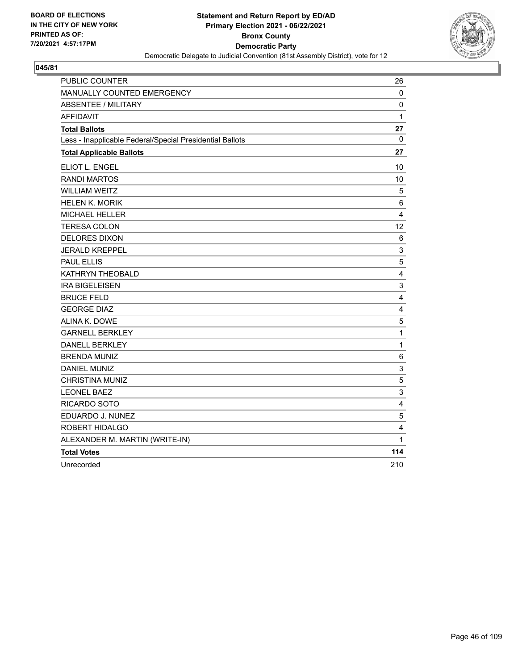

| PUBLIC COUNTER                                           | 26                      |
|----------------------------------------------------------|-------------------------|
| MANUALLY COUNTED EMERGENCY                               | 0                       |
| <b>ABSENTEE / MILITARY</b>                               | $\pmb{0}$               |
| <b>AFFIDAVIT</b>                                         | 1                       |
| <b>Total Ballots</b>                                     | 27                      |
| Less - Inapplicable Federal/Special Presidential Ballots | 0                       |
| <b>Total Applicable Ballots</b>                          | 27                      |
| <b>ELIOT L. ENGEL</b>                                    | 10                      |
| <b>RANDI MARTOS</b>                                      | 10                      |
| <b>WILLIAM WEITZ</b>                                     | 5                       |
| <b>HELEN K. MORIK</b>                                    | 6                       |
| <b>MICHAEL HELLER</b>                                    | $\overline{\mathbf{4}}$ |
| <b>TERESA COLON</b>                                      | 12                      |
| <b>DELORES DIXON</b>                                     | 6                       |
| <b>JERALD KREPPEL</b>                                    | 3                       |
| <b>PAUL ELLIS</b>                                        | $\sqrt{5}$              |
| KATHRYN THEOBALD                                         | $\overline{4}$          |
| <b>IRA BIGELEISEN</b>                                    | 3                       |
| <b>BRUCE FELD</b>                                        | $\overline{4}$          |
| <b>GEORGE DIAZ</b>                                       | 4                       |
| ALINA K. DOWE                                            | 5                       |
| <b>GARNELL BERKLEY</b>                                   | 1                       |
| <b>DANELL BERKLEY</b>                                    | $\mathbf{1}$            |
| <b>BRENDA MUNIZ</b>                                      | 6                       |
| <b>DANIEL MUNIZ</b>                                      | $\mathsf 3$             |
| <b>CHRISTINA MUNIZ</b>                                   | $\mathbf 5$             |
| <b>LEONEL BAEZ</b>                                       | 3                       |
| RICARDO SOTO                                             | 4                       |
| EDUARDO J. NUNEZ                                         | 5                       |
| ROBERT HIDALGO                                           | 4                       |
| ALEXANDER M. MARTIN (WRITE-IN)                           | 1                       |
| <b>Total Votes</b>                                       | 114                     |
| Unrecorded                                               | 210                     |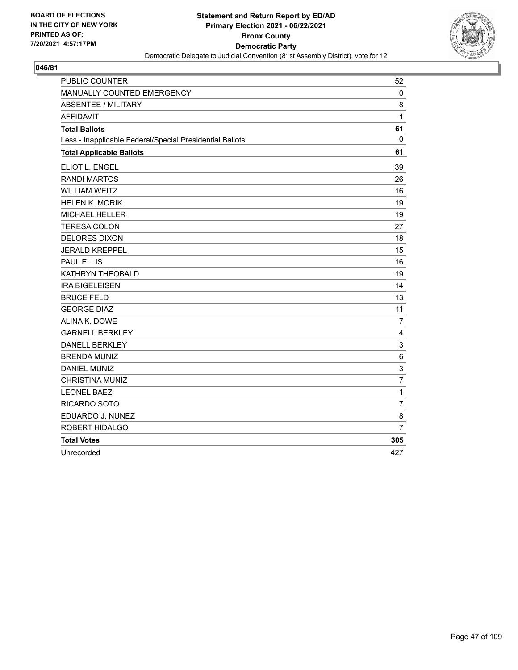

| PUBLIC COUNTER                                           | 52             |
|----------------------------------------------------------|----------------|
| MANUALLY COUNTED EMERGENCY                               | 0              |
| <b>ABSENTEE / MILITARY</b>                               | 8              |
| <b>AFFIDAVIT</b>                                         | $\mathbf{1}$   |
| <b>Total Ballots</b>                                     | 61             |
| Less - Inapplicable Federal/Special Presidential Ballots | $\mathbf{0}$   |
| <b>Total Applicable Ballots</b>                          | 61             |
| <b>ELIOT L. ENGEL</b>                                    | 39             |
| <b>RANDI MARTOS</b>                                      | 26             |
| <b>WILLIAM WEITZ</b>                                     | 16             |
| <b>HELEN K. MORIK</b>                                    | 19             |
| <b>MICHAEL HELLER</b>                                    | 19             |
| <b>TERESA COLON</b>                                      | 27             |
| <b>DELORES DIXON</b>                                     | 18             |
| <b>JERALD KREPPEL</b>                                    | 15             |
| <b>PAUL ELLIS</b>                                        | 16             |
| KATHRYN THEOBALD                                         | 19             |
| <b>IRA BIGELEISEN</b>                                    | 14             |
| <b>BRUCE FELD</b>                                        | 13             |
| <b>GEORGE DIAZ</b>                                       | 11             |
| ALINA K. DOWE                                            | $\overline{7}$ |
| <b>GARNELL BERKLEY</b>                                   | 4              |
| <b>DANELL BERKLEY</b>                                    | 3              |
| <b>BRENDA MUNIZ</b>                                      | $6\phantom{1}$ |
| <b>DANIEL MUNIZ</b>                                      | 3              |
| <b>CHRISTINA MUNIZ</b>                                   | $\overline{7}$ |
| <b>LEONEL BAEZ</b>                                       | $\mathbf{1}$   |
| RICARDO SOTO                                             | $\overline{7}$ |
| EDUARDO J. NUNEZ                                         | 8              |
| ROBERT HIDALGO                                           | $\overline{7}$ |
| <b>Total Votes</b>                                       | 305            |
| Unrecorded                                               | 427            |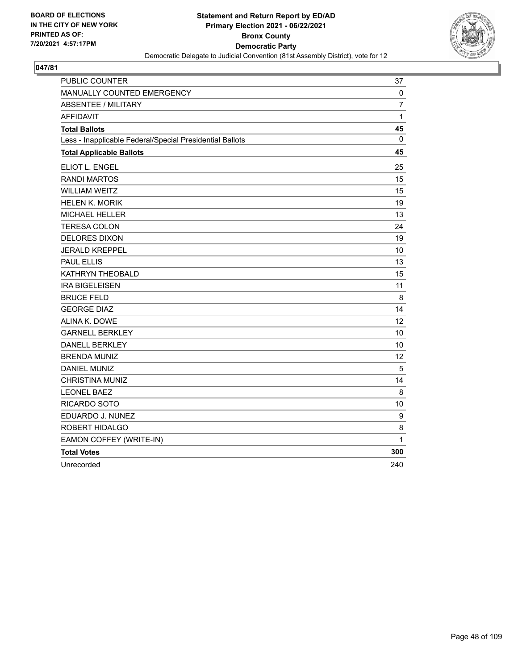

| PUBLIC COUNTER                                           | 37  |
|----------------------------------------------------------|-----|
| MANUALLY COUNTED EMERGENCY                               | 0   |
| <b>ABSENTEE / MILITARY</b>                               | 7   |
| <b>AFFIDAVIT</b>                                         | 1   |
| <b>Total Ballots</b>                                     | 45  |
| Less - Inapplicable Federal/Special Presidential Ballots | 0   |
| <b>Total Applicable Ballots</b>                          | 45  |
| ELIOT L. ENGEL                                           | 25  |
| <b>RANDI MARTOS</b>                                      | 15  |
| <b>WILLIAM WEITZ</b>                                     | 15  |
| <b>HELEN K. MORIK</b>                                    | 19  |
| <b>MICHAEL HELLER</b>                                    | 13  |
| <b>TERESA COLON</b>                                      | 24  |
| <b>DELORES DIXON</b>                                     | 19  |
| <b>JERALD KREPPEL</b>                                    | 10  |
| <b>PAUL ELLIS</b>                                        | 13  |
| KATHRYN THEOBALD                                         | 15  |
| <b>IRA BIGELEISEN</b>                                    | 11  |
| <b>BRUCE FELD</b>                                        | 8   |
| <b>GEORGE DIAZ</b>                                       | 14  |
| ALINA K. DOWE                                            | 12  |
| <b>GARNELL BERKLEY</b>                                   | 10  |
| <b>DANELL BERKLEY</b>                                    | 10  |
| <b>BRENDA MUNIZ</b>                                      | 12  |
| <b>DANIEL MUNIZ</b>                                      | 5   |
| <b>CHRISTINA MUNIZ</b>                                   | 14  |
| <b>LEONEL BAEZ</b>                                       | 8   |
| RICARDO SOTO                                             | 10  |
| EDUARDO J. NUNEZ                                         | 9   |
| ROBERT HIDALGO                                           | 8   |
| EAMON COFFEY (WRITE-IN)                                  | 1   |
| <b>Total Votes</b>                                       | 300 |
| Unrecorded                                               | 240 |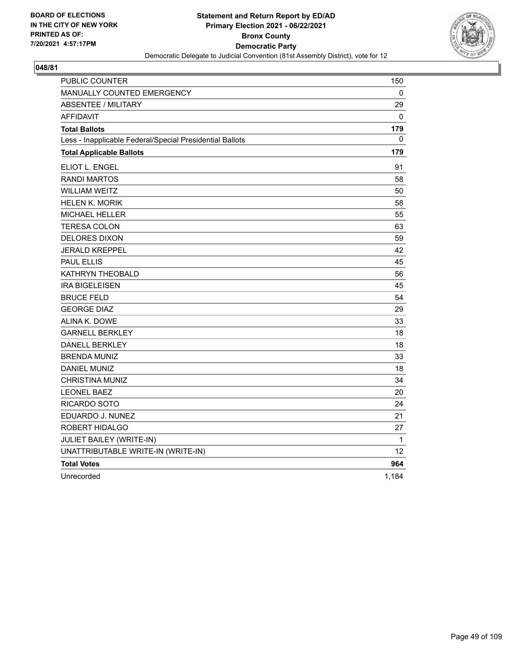

| PUBLIC COUNTER                                           | 150             |
|----------------------------------------------------------|-----------------|
| MANUALLY COUNTED EMERGENCY                               | 0               |
| <b>ABSENTEE / MILITARY</b>                               | 29              |
| <b>AFFIDAVIT</b>                                         | 0               |
| <b>Total Ballots</b>                                     | 179             |
| Less - Inapplicable Federal/Special Presidential Ballots | 0               |
| <b>Total Applicable Ballots</b>                          | 179             |
| ELIOT L. ENGEL                                           | 91              |
| <b>RANDI MARTOS</b>                                      | 58              |
| <b>WILLIAM WEITZ</b>                                     | 50              |
| <b>HELEN K. MORIK</b>                                    | 58              |
| <b>MICHAEL HELLER</b>                                    | 55              |
| <b>TERESA COLON</b>                                      | 63              |
| <b>DELORES DIXON</b>                                     | 59              |
| <b>JERALD KREPPEL</b>                                    | 42              |
| <b>PAUL ELLIS</b>                                        | 45              |
| KATHRYN THEOBALD                                         | 56              |
| <b>IRA BIGELEISEN</b>                                    | 45              |
| <b>BRUCE FELD</b>                                        | 54              |
| <b>GEORGE DIAZ</b>                                       | 29              |
| ALINA K. DOWE                                            | 33              |
| <b>GARNELL BERKLEY</b>                                   | 18              |
| <b>DANELL BERKLEY</b>                                    | 18              |
| <b>BRENDA MUNIZ</b>                                      | 33              |
| <b>DANIEL MUNIZ</b>                                      | 18              |
| CHRISTINA MUNIZ                                          | 34              |
| <b>LEONEL BAEZ</b>                                       | 20              |
| RICARDO SOTO                                             | 24              |
| EDUARDO J. NUNEZ                                         | 21              |
| ROBERT HIDALGO                                           | 27              |
| JULIET BAILEY (WRITE-IN)                                 | $\mathbf{1}$    |
| UNATTRIBUTABLE WRITE-IN (WRITE-IN)                       | 12 <sup>2</sup> |
| <b>Total Votes</b>                                       | 964             |
| Unrecorded                                               | 1,184           |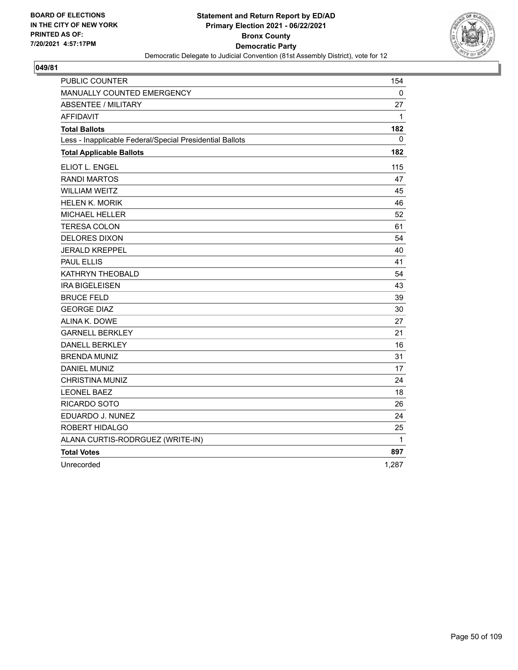

| <b>PUBLIC COUNTER</b>                                    | 154          |
|----------------------------------------------------------|--------------|
| <b>MANUALLY COUNTED EMERGENCY</b>                        | 0            |
| <b>ABSENTEE / MILITARY</b>                               | 27           |
| <b>AFFIDAVIT</b>                                         | $\mathbf{1}$ |
| <b>Total Ballots</b>                                     | 182          |
| Less - Inapplicable Federal/Special Presidential Ballots | 0            |
| <b>Total Applicable Ballots</b>                          | 182          |
| ELIOT L. ENGEL                                           | 115          |
| <b>RANDI MARTOS</b>                                      | 47           |
| <b>WILLIAM WEITZ</b>                                     | 45           |
| <b>HELEN K. MORIK</b>                                    | 46           |
| MICHAEL HELLER                                           | 52           |
| <b>TERESA COLON</b>                                      | 61           |
| <b>DELORES DIXON</b>                                     | 54           |
| <b>JERALD KREPPEL</b>                                    | 40           |
| <b>PAUL ELLIS</b>                                        | 41           |
| KATHRYN THEOBALD                                         | 54           |
| <b>IRA BIGELEISEN</b>                                    | 43           |
| <b>BRUCE FELD</b>                                        | 39           |
| <b>GEORGE DIAZ</b>                                       | 30           |
| ALINA K. DOWE                                            | 27           |
| <b>GARNELL BERKLEY</b>                                   | 21           |
| <b>DANELL BERKLEY</b>                                    | 16           |
| <b>BRENDA MUNIZ</b>                                      | 31           |
| <b>DANIEL MUNIZ</b>                                      | 17           |
| <b>CHRISTINA MUNIZ</b>                                   | 24           |
| <b>LEONEL BAEZ</b>                                       | 18           |
| RICARDO SOTO                                             | 26           |
| EDUARDO J. NUNEZ                                         | 24           |
| ROBERT HIDALGO                                           | 25           |
| ALANA CURTIS-RODRGUEZ (WRITE-IN)                         | $\mathbf{1}$ |
| <b>Total Votes</b>                                       | 897          |
| Unrecorded                                               | 1,287        |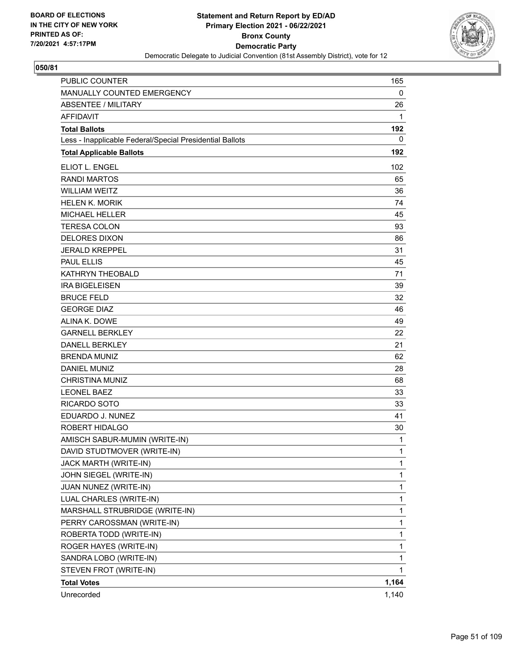

| <b>PUBLIC COUNTER</b>                                    | 165   |
|----------------------------------------------------------|-------|
| MANUALLY COUNTED EMERGENCY                               | 0     |
| <b>ABSENTEE / MILITARY</b>                               | 26    |
| <b>AFFIDAVIT</b>                                         | 1     |
| <b>Total Ballots</b>                                     | 192   |
| Less - Inapplicable Federal/Special Presidential Ballots | 0     |
| <b>Total Applicable Ballots</b>                          | 192   |
| ELIOT L. ENGEL                                           | 102   |
| <b>RANDI MARTOS</b>                                      | 65    |
| <b>WILLIAM WEITZ</b>                                     | 36    |
| <b>HELEN K. MORIK</b>                                    | 74    |
| <b>MICHAEL HELLER</b>                                    | 45    |
| <b>TERESA COLON</b>                                      | 93    |
| <b>DELORES DIXON</b>                                     | 86    |
| <b>JERALD KREPPEL</b>                                    | 31    |
| <b>PAUL ELLIS</b>                                        | 45    |
| <b>KATHRYN THEOBALD</b>                                  | 71    |
| <b>IRA BIGELEISEN</b>                                    | 39    |
| <b>BRUCE FELD</b>                                        | 32    |
| <b>GEORGE DIAZ</b>                                       | 46    |
| ALINA K. DOWE                                            | 49    |
| <b>GARNELL BERKLEY</b>                                   | 22    |
| <b>DANELL BERKLEY</b>                                    | 21    |
| <b>BRENDA MUNIZ</b>                                      | 62    |
| <b>DANIEL MUNIZ</b>                                      | 28    |
| <b>CHRISTINA MUNIZ</b>                                   | 68    |
| <b>LEONEL BAEZ</b>                                       | 33    |
| <b>RICARDO SOTO</b>                                      | 33    |
| EDUARDO J. NUNEZ                                         | 41    |
| ROBERT HIDALGO                                           | 30    |
| AMISCH SABUR-MUMIN (WRITE-IN)                            | 1     |
| DAVID STUDTMOVER (WRITE-IN)                              | 1     |
| JACK MARTH (WRITE-IN)                                    | 1     |
| JOHN SIEGEL (WRITE-IN)                                   | 1     |
| JUAN NUNEZ (WRITE-IN)                                    | 1     |
| LUAL CHARLES (WRITE-IN)                                  | 1     |
| MARSHALL STRUBRIDGE (WRITE-IN)                           | 1     |
| PERRY CAROSSMAN (WRITE-IN)                               | 1     |
| ROBERTA TODD (WRITE-IN)                                  | 1     |
| ROGER HAYES (WRITE-IN)                                   | 1     |
| SANDRA LOBO (WRITE-IN)                                   | 1     |
| STEVEN FROT (WRITE-IN)                                   | 1     |
| <b>Total Votes</b>                                       | 1,164 |
| Unrecorded                                               | 1,140 |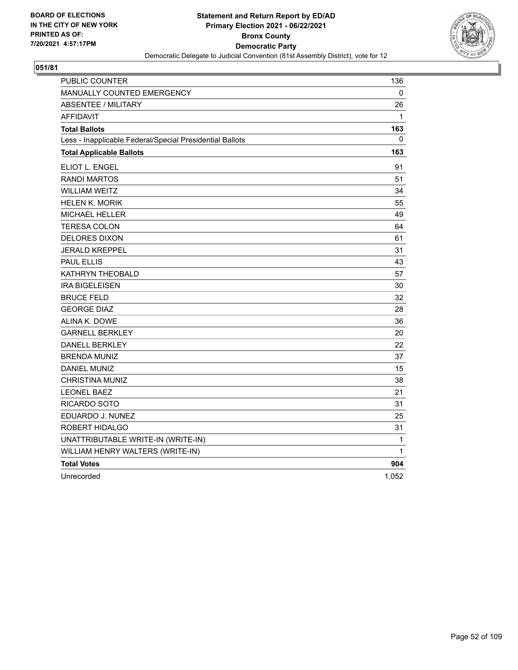

| PUBLIC COUNTER                                           | 136   |
|----------------------------------------------------------|-------|
| <b>MANUALLY COUNTED EMERGENCY</b>                        | 0     |
| <b>ABSENTEE / MILITARY</b>                               | 26    |
| <b>AFFIDAVIT</b>                                         | 1     |
| <b>Total Ballots</b>                                     | 163   |
| Less - Inapplicable Federal/Special Presidential Ballots | 0     |
| <b>Total Applicable Ballots</b>                          | 163   |
| ELIOT L. ENGEL                                           | 91    |
| <b>RANDI MARTOS</b>                                      | 51    |
| <b>WILLIAM WEITZ</b>                                     | 34    |
| <b>HELEN K. MORIK</b>                                    | 55    |
| MICHAEL HELLER                                           | 49    |
| <b>TERESA COLON</b>                                      | 64    |
| <b>DELORES DIXON</b>                                     | 61    |
| <b>JERALD KREPPEL</b>                                    | 31    |
| <b>PAUL ELLIS</b>                                        | 43    |
| KATHRYN THEOBALD                                         | 57    |
| <b>IRA BIGELEISEN</b>                                    | 30    |
| <b>BRUCE FELD</b>                                        | 32    |
| <b>GEORGE DIAZ</b>                                       | 28    |
| ALINA K. DOWE                                            | 36    |
| <b>GARNELL BERKLEY</b>                                   | 20    |
| <b>DANELL BERKLEY</b>                                    | 22    |
| <b>BRENDA MUNIZ</b>                                      | 37    |
| <b>DANIEL MUNIZ</b>                                      | 15    |
| <b>CHRISTINA MUNIZ</b>                                   | 38    |
| <b>LEONEL BAEZ</b>                                       | 21    |
| RICARDO SOTO                                             | 31    |
| EDUARDO J. NUNEZ                                         | 25    |
| ROBERT HIDALGO                                           | 31    |
| UNATTRIBUTABLE WRITE-IN (WRITE-IN)                       | 1     |
| WILLIAM HENRY WALTERS (WRITE-IN)                         | 1     |
| <b>Total Votes</b>                                       | 904   |
| Unrecorded                                               | 1,052 |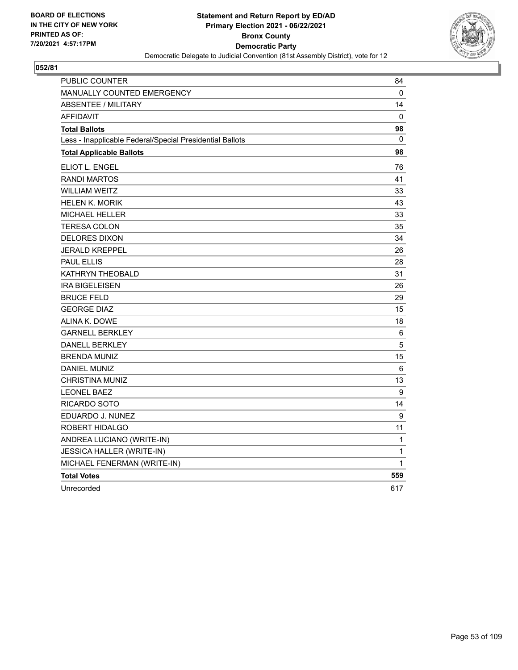

| PUBLIC COUNTER                                           | 84           |
|----------------------------------------------------------|--------------|
| <b>MANUALLY COUNTED EMERGENCY</b>                        | 0            |
| <b>ABSENTEE / MILITARY</b>                               | 14           |
| <b>AFFIDAVIT</b>                                         | 0            |
| <b>Total Ballots</b>                                     | 98           |
| Less - Inapplicable Federal/Special Presidential Ballots | $\mathbf{0}$ |
| <b>Total Applicable Ballots</b>                          | 98           |
| ELIOT L. ENGEL                                           | 76           |
| <b>RANDI MARTOS</b>                                      | 41           |
| <b>WILLIAM WEITZ</b>                                     | 33           |
| <b>HELEN K. MORIK</b>                                    | 43           |
| <b>MICHAEL HELLER</b>                                    | 33           |
| <b>TERESA COLON</b>                                      | 35           |
| <b>DELORES DIXON</b>                                     | 34           |
| <b>JERALD KREPPEL</b>                                    | 26           |
| <b>PAUL ELLIS</b>                                        | 28           |
| KATHRYN THEOBALD                                         | 31           |
| <b>IRA BIGELEISEN</b>                                    | 26           |
| <b>BRUCE FELD</b>                                        | 29           |
| <b>GEORGE DIAZ</b>                                       | 15           |
| ALINA K. DOWE                                            | 18           |
| <b>GARNELL BERKLEY</b>                                   | 6            |
| <b>DANELL BERKLEY</b>                                    | 5            |
| <b>BRENDA MUNIZ</b>                                      | 15           |
| <b>DANIEL MUNIZ</b>                                      | 6            |
| <b>CHRISTINA MUNIZ</b>                                   | 13           |
| <b>LEONEL BAEZ</b>                                       | 9            |
| RICARDO SOTO                                             | 14           |
| EDUARDO J. NUNEZ                                         | 9            |
| ROBERT HIDALGO                                           | 11           |
| ANDREA LUCIANO (WRITE-IN)                                | 1            |
| JESSICA HALLER (WRITE-IN)                                | $\mathbf{1}$ |
| MICHAEL FENERMAN (WRITE-IN)                              | 1            |
| <b>Total Votes</b>                                       | 559          |
| Unrecorded                                               | 617          |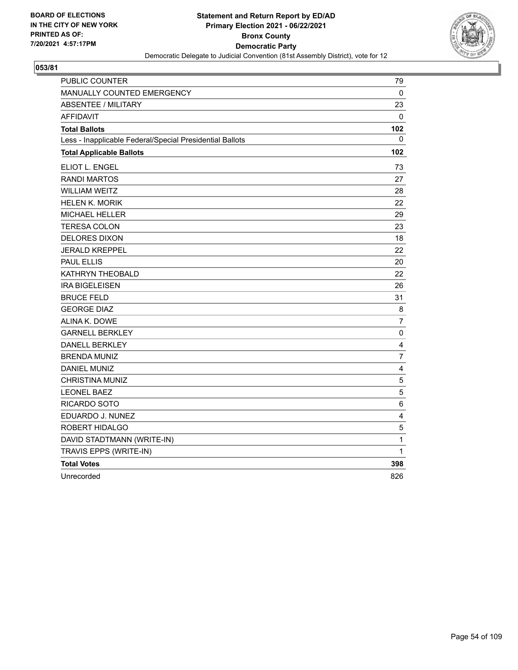

| <b>PUBLIC COUNTER</b>                                    | 79                      |
|----------------------------------------------------------|-------------------------|
| <b>MANUALLY COUNTED EMERGENCY</b>                        | 0                       |
| <b>ABSENTEE / MILITARY</b>                               | 23                      |
| <b>AFFIDAVIT</b>                                         | $\Omega$                |
| <b>Total Ballots</b>                                     | 102                     |
| Less - Inapplicable Federal/Special Presidential Ballots | 0                       |
| <b>Total Applicable Ballots</b>                          | 102                     |
| ELIOT L. ENGEL                                           | 73                      |
| <b>RANDI MARTOS</b>                                      | 27                      |
| <b>WILLIAM WEITZ</b>                                     | 28                      |
| <b>HELEN K. MORIK</b>                                    | 22                      |
| MICHAEL HELLER                                           | 29                      |
| TERESA COLON                                             | 23                      |
| <b>DELORES DIXON</b>                                     | 18                      |
| <b>JERALD KREPPEL</b>                                    | 22                      |
| <b>PAUL ELLIS</b>                                        | 20                      |
| KATHRYN THEOBALD                                         | 22                      |
| <b>IRA BIGELEISEN</b>                                    | 26                      |
| <b>BRUCE FELD</b>                                        | 31                      |
| <b>GEORGE DIAZ</b>                                       | 8                       |
| ALINA K. DOWE                                            | $\overline{7}$          |
| <b>GARNELL BERKLEY</b>                                   | $\pmb{0}$               |
| <b>DANELL BERKLEY</b>                                    | 4                       |
| <b>BRENDA MUNIZ</b>                                      | $\overline{7}$          |
| <b>DANIEL MUNIZ</b>                                      | $\overline{\mathbf{4}}$ |
| <b>CHRISTINA MUNIZ</b>                                   | $\mathbf 5$             |
| <b>LEONEL BAEZ</b>                                       | $\sqrt{5}$              |
| RICARDO SOTO                                             | 6                       |
| EDUARDO J. NUNEZ                                         | 4                       |
| ROBERT HIDALGO                                           | 5                       |
| DAVID STADTMANN (WRITE-IN)                               | $\mathbf{1}$            |
| TRAVIS EPPS (WRITE-IN)                                   | 1                       |
| <b>Total Votes</b>                                       | 398                     |
| Unrecorded                                               | 826                     |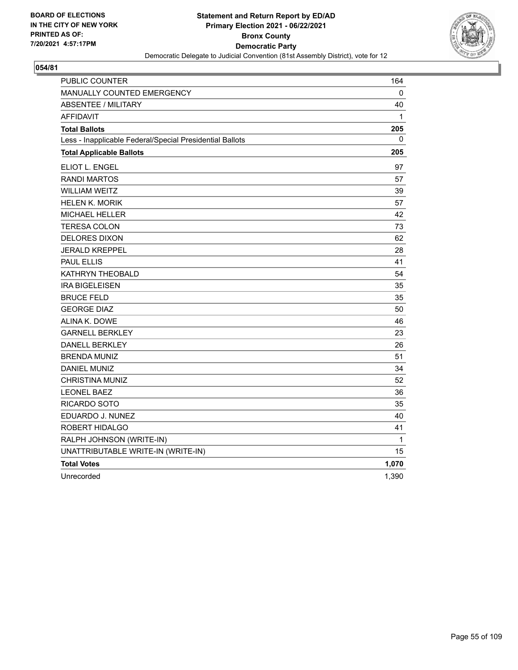

| PUBLIC COUNTER                                           | 164   |
|----------------------------------------------------------|-------|
| <b>MANUALLY COUNTED EMERGENCY</b>                        | 0     |
| <b>ABSENTEE / MILITARY</b>                               | 40    |
| <b>AFFIDAVIT</b>                                         | 1     |
| <b>Total Ballots</b>                                     | 205   |
| Less - Inapplicable Federal/Special Presidential Ballots | 0     |
| <b>Total Applicable Ballots</b>                          | 205   |
| ELIOT L. ENGEL                                           | 97    |
| <b>RANDI MARTOS</b>                                      | 57    |
| <b>WILLIAM WEITZ</b>                                     | 39    |
| <b>HELEN K. MORIK</b>                                    | 57    |
| MICHAEL HELLER                                           | 42    |
| <b>TERESA COLON</b>                                      | 73    |
| <b>DELORES DIXON</b>                                     | 62    |
| <b>JERALD KREPPEL</b>                                    | 28    |
| <b>PAUL ELLIS</b>                                        | 41    |
| KATHRYN THEOBALD                                         | 54    |
| <b>IRA BIGELEISEN</b>                                    | 35    |
| <b>BRUCE FELD</b>                                        | 35    |
| <b>GEORGE DIAZ</b>                                       | 50    |
| ALINA K. DOWE                                            | 46    |
| <b>GARNELL BERKLEY</b>                                   | 23    |
| <b>DANELL BERKLEY</b>                                    | 26    |
| <b>BRENDA MUNIZ</b>                                      | 51    |
| <b>DANIEL MUNIZ</b>                                      | 34    |
| <b>CHRISTINA MUNIZ</b>                                   | 52    |
| <b>LEONEL BAEZ</b>                                       | 36    |
| RICARDO SOTO                                             | 35    |
| EDUARDO J. NUNEZ                                         | 40    |
| ROBERT HIDALGO                                           | 41    |
| RALPH JOHNSON (WRITE-IN)                                 | 1     |
| UNATTRIBUTABLE WRITE-IN (WRITE-IN)                       | 15    |
| <b>Total Votes</b>                                       | 1,070 |
| Unrecorded                                               | 1,390 |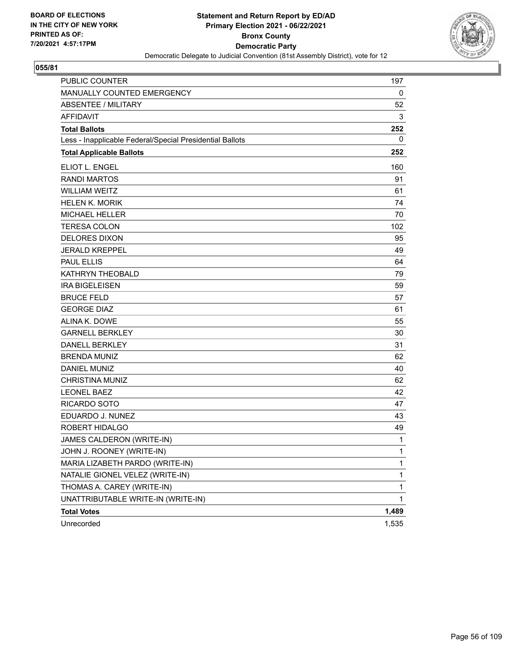

| PUBLIC COUNTER                                           | 197          |
|----------------------------------------------------------|--------------|
| MANUALLY COUNTED EMERGENCY                               | 0            |
| <b>ABSENTEE / MILITARY</b>                               | 52           |
| <b>AFFIDAVIT</b>                                         | 3            |
| <b>Total Ballots</b>                                     | 252          |
| Less - Inapplicable Federal/Special Presidential Ballots | 0            |
| <b>Total Applicable Ballots</b>                          | 252          |
| ELIOT L. ENGEL                                           | 160          |
| <b>RANDI MARTOS</b>                                      | 91           |
| <b>WILLIAM WEITZ</b>                                     | 61           |
| <b>HELEN K. MORIK</b>                                    | 74           |
| <b>MICHAEL HELLER</b>                                    | 70           |
| <b>TERESA COLON</b>                                      | 102          |
| <b>DELORES DIXON</b>                                     | 95           |
| <b>JERALD KREPPEL</b>                                    | 49           |
| <b>PAUL ELLIS</b>                                        | 64           |
| KATHRYN THEOBALD                                         | 79           |
| <b>IRA BIGELEISEN</b>                                    | 59           |
| <b>BRUCE FELD</b>                                        | 57           |
| <b>GEORGE DIAZ</b>                                       | 61           |
| ALINA K. DOWE                                            | 55           |
| <b>GARNELL BERKLEY</b>                                   | 30           |
| <b>DANELL BERKLEY</b>                                    | 31           |
| <b>BRENDA MUNIZ</b>                                      | 62           |
| <b>DANIEL MUNIZ</b>                                      | 40           |
| <b>CHRISTINA MUNIZ</b>                                   | 62           |
| <b>LEONEL BAEZ</b>                                       | 42           |
| RICARDO SOTO                                             | 47           |
| EDUARDO J. NUNEZ                                         | 43           |
| ROBERT HIDALGO                                           | 49           |
| JAMES CALDERON (WRITE-IN)                                | 1            |
| JOHN J. ROONEY (WRITE-IN)                                | 1            |
| MARIA LIZABETH PARDO (WRITE-IN)                          | 1            |
| NATALIE GIONEL VELEZ (WRITE-IN)                          | 1            |
| THOMAS A. CAREY (WRITE-IN)                               | 1            |
| UNATTRIBUTABLE WRITE-IN (WRITE-IN)                       | $\mathbf{1}$ |
| <b>Total Votes</b>                                       | 1,489        |
| Unrecorded                                               | 1,535        |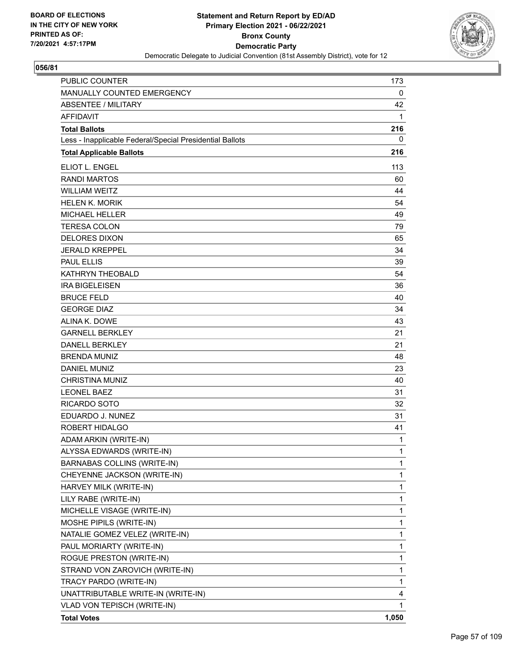

| <b>PUBLIC COUNTER</b>                                    | 173         |
|----------------------------------------------------------|-------------|
| MANUALLY COUNTED EMERGENCY                               | 0           |
| <b>ABSENTEE / MILITARY</b>                               | 42          |
| <b>AFFIDAVIT</b>                                         | 1           |
| <b>Total Ballots</b>                                     | 216         |
| Less - Inapplicable Federal/Special Presidential Ballots | 0           |
| <b>Total Applicable Ballots</b>                          | 216         |
| <b>ELIOT L. ENGEL</b>                                    | 113         |
| <b>RANDI MARTOS</b>                                      | 60          |
| <b>WILLIAM WEITZ</b>                                     | 44          |
| <b>HELEN K. MORIK</b>                                    | 54          |
| <b>MICHAEL HELLER</b>                                    | 49          |
| <b>TERESA COLON</b>                                      | 79          |
| <b>DELORES DIXON</b>                                     | 65          |
| <b>JERALD KREPPEL</b>                                    | 34          |
| <b>PAUL ELLIS</b>                                        | 39          |
| <b>KATHRYN THEOBALD</b>                                  | 54          |
| <b>IRA BIGELEISEN</b>                                    | 36          |
| <b>BRUCE FELD</b>                                        | 40          |
| <b>GEORGE DIAZ</b>                                       | 34          |
| ALINA K. DOWE                                            | 43          |
| <b>GARNELL BERKLEY</b>                                   | 21          |
| <b>DANELL BERKLEY</b>                                    | 21          |
| <b>BRENDA MUNIZ</b>                                      | 48          |
| <b>DANIEL MUNIZ</b>                                      | 23          |
| <b>CHRISTINA MUNIZ</b>                                   | 40          |
| <b>LEONEL BAEZ</b>                                       | 31          |
| <b>RICARDO SOTO</b>                                      | 32          |
| EDUARDO J. NUNEZ                                         | 31          |
| ROBERT HIDALGO                                           | 41          |
| ADAM ARKIN (WRITE-IN)                                    | 1           |
| ALYSSA EDWARDS (WRITE-IN)                                | 1           |
| <b>BARNABAS COLLINS (WRITE-IN)</b>                       | 1           |
| CHEYENNE JACKSON (WRITE-IN)                              | 1           |
| HARVEY MILK (WRITE-IN)                                   | $\mathbf 1$ |
| LILY RABE (WRITE-IN)                                     | 1           |
| MICHELLE VISAGE (WRITE-IN)                               | 1           |
| MOSHE PIPILS (WRITE-IN)                                  | 1           |
| NATALIE GOMEZ VELEZ (WRITE-IN)                           | 1           |
| PAUL MORIARTY (WRITE-IN)                                 | 1           |
| ROGUE PRESTON (WRITE-IN)                                 | 1           |
| STRAND VON ZAROVICH (WRITE-IN)                           | 1           |
| TRACY PARDO (WRITE-IN)                                   | 1           |
| UNATTRIBUTABLE WRITE-IN (WRITE-IN)                       | 4           |
| VLAD VON TEPISCH (WRITE-IN)                              | 1           |
| <b>Total Votes</b>                                       | 1,050       |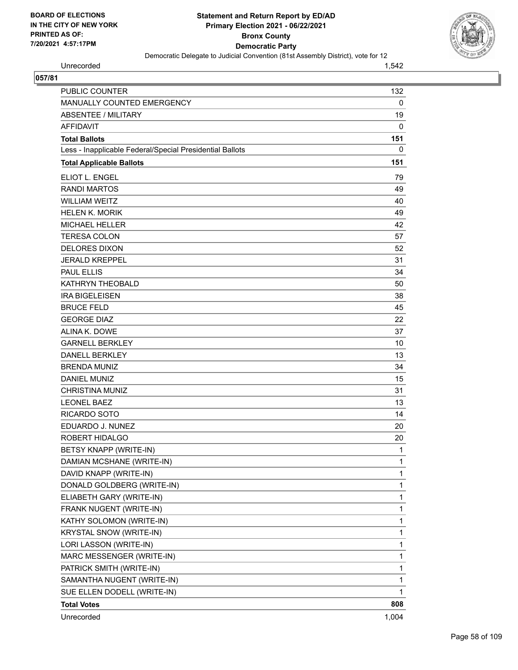

Unrecorded 1,542

| PUBLIC COUNTER                                           | 132          |
|----------------------------------------------------------|--------------|
| MANUALLY COUNTED EMERGENCY                               | $\mathbf 0$  |
| <b>ABSENTEE / MILITARY</b>                               | 19           |
| <b>AFFIDAVIT</b>                                         | 0            |
| <b>Total Ballots</b>                                     | 151          |
| Less - Inapplicable Federal/Special Presidential Ballots | 0            |
| <b>Total Applicable Ballots</b>                          | 151          |
| ELIOT L. ENGEL                                           | 79           |
| <b>RANDI MARTOS</b>                                      | 49           |
| <b>WILLIAM WEITZ</b>                                     | 40           |
| <b>HELEN K. MORIK</b>                                    | 49           |
| MICHAEL HELLER                                           | 42           |
| <b>TERESA COLON</b>                                      | 57           |
| <b>DELORES DIXON</b>                                     | 52           |
| <b>JERALD KREPPEL</b>                                    | 31           |
| <b>PAUL ELLIS</b>                                        | 34           |
| KATHRYN THEOBALD                                         | 50           |
| <b>IRA BIGELEISEN</b>                                    | 38           |
| <b>BRUCE FELD</b>                                        | 45           |
| <b>GEORGE DIAZ</b>                                       | 22           |
| ALINA K. DOWE                                            | 37           |
| <b>GARNELL BERKLEY</b>                                   | 10           |
| <b>DANELL BERKLEY</b>                                    | 13           |
| <b>BRENDA MUNIZ</b>                                      | 34           |
| <b>DANIEL MUNIZ</b>                                      | 15           |
| <b>CHRISTINA MUNIZ</b>                                   | 31           |
| <b>LEONEL BAEZ</b>                                       | 13           |
| <b>RICARDO SOTO</b>                                      | 14           |
| EDUARDO J. NUNEZ                                         | 20           |
| ROBERT HIDALGO                                           | 20           |
| BETSY KNAPP (WRITE-IN)                                   | 1            |
| DAMIAN MCSHANE (WRITE-IN)                                | 1            |
| DAVID KNAPP (WRITE-IN)                                   | $\mathbf{1}$ |
| DONALD GOLDBERG (WRITE-IN)                               | 1            |
| ELIABETH GARY (WRITE-IN)                                 | 1            |
| FRANK NUGENT (WRITE-IN)                                  | $\mathbf{1}$ |
| KATHY SOLOMON (WRITE-IN)                                 | 1            |
| KRYSTAL SNOW (WRITE-IN)                                  | 1            |
| LORI LASSON (WRITE-IN)                                   | $\mathbf{1}$ |
| MARC MESSENGER (WRITE-IN)                                | 1            |
| PATRICK SMITH (WRITE-IN)                                 | 1            |
| SAMANTHA NUGENT (WRITE-IN)                               | $\mathbf{1}$ |
| SUE ELLEN DODELL (WRITE-IN)                              | 1            |
| <b>Total Votes</b>                                       | 808          |
| Unrecorded                                               | 1,004        |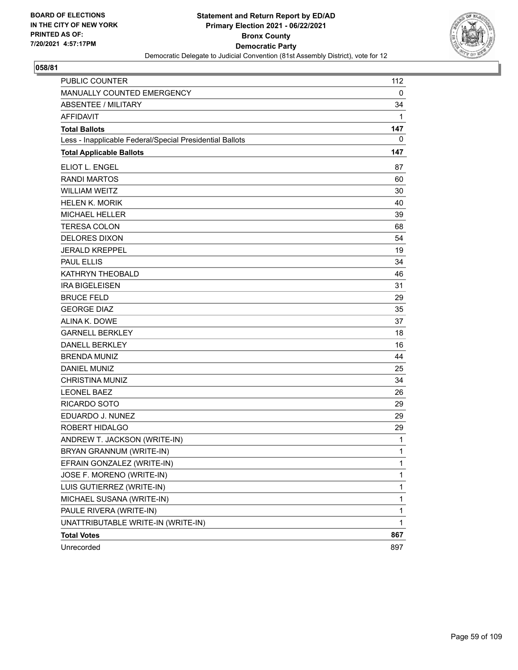

| <b>PUBLIC COUNTER</b>                                    | 112          |
|----------------------------------------------------------|--------------|
| MANUALLY COUNTED EMERGENCY                               | 0            |
| <b>ABSENTEE / MILITARY</b>                               | 34           |
| <b>AFFIDAVIT</b>                                         | 1            |
| <b>Total Ballots</b>                                     | 147          |
| Less - Inapplicable Federal/Special Presidential Ballots | 0            |
| <b>Total Applicable Ballots</b>                          | 147          |
| ELIOT L. ENGEL                                           | 87           |
| <b>RANDI MARTOS</b>                                      | 60           |
| <b>WILLIAM WEITZ</b>                                     | 30           |
| <b>HELEN K. MORIK</b>                                    | 40           |
| <b>MICHAEL HELLER</b>                                    | 39           |
| <b>TERESA COLON</b>                                      | 68           |
| <b>DELORES DIXON</b>                                     | 54           |
| <b>JERALD KREPPEL</b>                                    | 19           |
| <b>PAUL ELLIS</b>                                        | 34           |
| <b>KATHRYN THEOBALD</b>                                  | 46           |
| <b>IRA BIGELEISEN</b>                                    | 31           |
| <b>BRUCE FELD</b>                                        | 29           |
| <b>GEORGE DIAZ</b>                                       | 35           |
| ALINA K. DOWE                                            | 37           |
| <b>GARNELL BERKLEY</b>                                   | 18           |
| <b>DANELL BERKLEY</b>                                    | 16           |
| <b>BRENDA MUNIZ</b>                                      | 44           |
| <b>DANIEL MUNIZ</b>                                      | 25           |
| <b>CHRISTINA MUNIZ</b>                                   | 34           |
| <b>LEONEL BAEZ</b>                                       | 26           |
| <b>RICARDO SOTO</b>                                      | 29           |
| EDUARDO J. NUNEZ                                         | 29           |
| ROBERT HIDALGO                                           | 29           |
| ANDREW T. JACKSON (WRITE-IN)                             | 1            |
| BRYAN GRANNUM (WRITE-IN)                                 | 1            |
| EFRAIN GONZALEZ (WRITE-IN)                               | 1            |
| JOSE F. MORENO (WRITE-IN)                                | 1            |
| LUIS GUTIERREZ (WRITE-IN)                                | $\mathbf{1}$ |
| MICHAEL SUSANA (WRITE-IN)                                | 1            |
| PAULE RIVERA (WRITE-IN)                                  | 1            |
| UNATTRIBUTABLE WRITE-IN (WRITE-IN)                       | 1            |
| <b>Total Votes</b>                                       | 867          |
| Unrecorded                                               | 897          |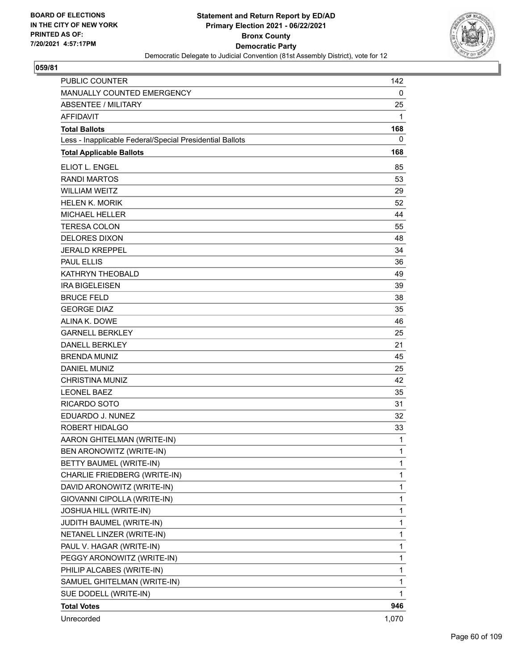

| PUBLIC COUNTER                                           | 142   |
|----------------------------------------------------------|-------|
| MANUALLY COUNTED EMERGENCY                               | 0     |
| ABSENTEE / MILITARY                                      | 25    |
| <b>AFFIDAVIT</b>                                         | 1     |
| <b>Total Ballots</b>                                     | 168   |
| Less - Inapplicable Federal/Special Presidential Ballots | 0     |
| <b>Total Applicable Ballots</b>                          | 168   |
| ELIOT L. ENGEL                                           | 85    |
| <b>RANDI MARTOS</b>                                      | 53    |
| <b>WILLIAM WEITZ</b>                                     | 29    |
| <b>HELEN K. MORIK</b>                                    | 52    |
| <b>MICHAEL HELLER</b>                                    | 44    |
| <b>TERESA COLON</b>                                      | 55    |
| <b>DELORES DIXON</b>                                     | 48    |
| <b>JERALD KREPPEL</b>                                    | 34    |
| <b>PAUL ELLIS</b>                                        | 36    |
| KATHRYN THEOBALD                                         | 49    |
| <b>IRA BIGELEISEN</b>                                    | 39    |
| <b>BRUCE FELD</b>                                        | 38    |
| <b>GEORGE DIAZ</b>                                       | 35    |
| ALINA K. DOWE                                            | 46    |
| <b>GARNELL BERKLEY</b>                                   | 25    |
| <b>DANELL BERKLEY</b>                                    | 21    |
| <b>BRENDA MUNIZ</b>                                      | 45    |
| <b>DANIEL MUNIZ</b>                                      | 25    |
| <b>CHRISTINA MUNIZ</b>                                   | 42    |
| <b>LEONEL BAEZ</b>                                       | 35    |
| <b>RICARDO SOTO</b>                                      | 31    |
| EDUARDO J. NUNEZ                                         | 32    |
| <b>ROBERT HIDALGO</b>                                    | 33    |
| AARON GHITELMAN (WRITE-IN)                               | 1     |
| BEN ARONOWITZ (WRITE-IN)                                 | 1     |
| BETTY BAUMEL (WRITE-IN)                                  | 1     |
| CHARLIE FRIEDBERG (WRITE-IN)                             | 1     |
| DAVID ARONOWITZ (WRITE-IN)                               | 1     |
| GIOVANNI CIPOLLA (WRITE-IN)                              | 1     |
| JOSHUA HILL (WRITE-IN)                                   | 1     |
| JUDITH BAUMEL (WRITE-IN)                                 | 1     |
| NETANEL LINZER (WRITE-IN)                                | 1     |
| PAUL V. HAGAR (WRITE-IN)                                 | 1     |
| PEGGY ARONOWITZ (WRITE-IN)                               | 1     |
| PHILIP ALCABES (WRITE-IN)                                | 1     |
| SAMUEL GHITELMAN (WRITE-IN)                              | 1     |
| SUE DODELL (WRITE-IN)                                    | 1     |
| <b>Total Votes</b>                                       | 946   |
| Unrecorded                                               | 1,070 |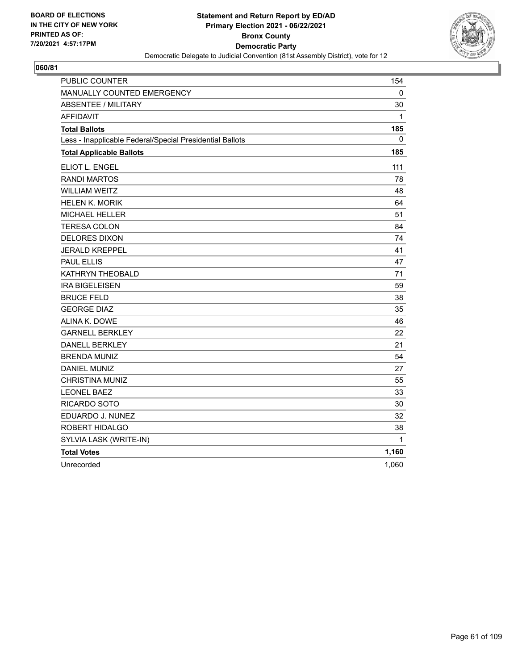

| <b>PUBLIC COUNTER</b>                                    | 154   |
|----------------------------------------------------------|-------|
| <b>MANUALLY COUNTED EMERGENCY</b>                        | 0     |
| <b>ABSENTEE / MILITARY</b>                               | 30    |
| <b>AFFIDAVIT</b>                                         | 1     |
| <b>Total Ballots</b>                                     | 185   |
| Less - Inapplicable Federal/Special Presidential Ballots | 0     |
| <b>Total Applicable Ballots</b>                          | 185   |
| ELIOT L. ENGEL                                           | 111   |
| <b>RANDI MARTOS</b>                                      | 78    |
| <b>WILLIAM WEITZ</b>                                     | 48    |
| <b>HELEN K. MORIK</b>                                    | 64    |
| <b>MICHAEL HELLER</b>                                    | 51    |
| <b>TERESA COLON</b>                                      | 84    |
| <b>DELORES DIXON</b>                                     | 74    |
| <b>JERALD KREPPEL</b>                                    | 41    |
| <b>PAUL ELLIS</b>                                        | 47    |
| KATHRYN THEOBALD                                         | 71    |
| <b>IRA BIGELEISEN</b>                                    | 59    |
| <b>BRUCE FELD</b>                                        | 38    |
| <b>GEORGE DIAZ</b>                                       | 35    |
| ALINA K. DOWE                                            | 46    |
| <b>GARNELL BERKLEY</b>                                   | 22    |
| <b>DANELL BERKLEY</b>                                    | 21    |
| <b>BRENDA MUNIZ</b>                                      | 54    |
| DANIEL MUNIZ                                             | 27    |
| <b>CHRISTINA MUNIZ</b>                                   | 55    |
| <b>LEONEL BAEZ</b>                                       | 33    |
| RICARDO SOTO                                             | 30    |
| EDUARDO J. NUNEZ                                         | 32    |
| ROBERT HIDALGO                                           | 38    |
| SYLVIA LASK (WRITE-IN)                                   | 1     |
| <b>Total Votes</b>                                       | 1,160 |
| Unrecorded                                               | 1,060 |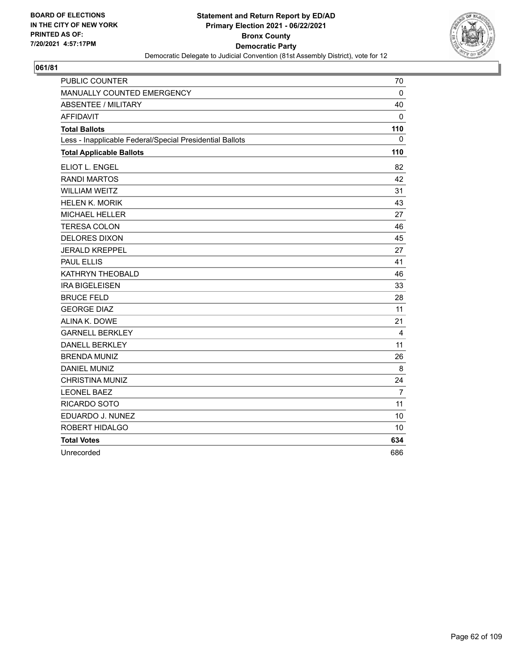

| <b>PUBLIC COUNTER</b>                                    | 70             |
|----------------------------------------------------------|----------------|
| MANUALLY COUNTED EMERGENCY                               | $\mathbf{0}$   |
| <b>ABSENTEE / MILITARY</b>                               | 40             |
| <b>AFFIDAVIT</b>                                         | 0              |
| <b>Total Ballots</b>                                     | 110            |
| Less - Inapplicable Federal/Special Presidential Ballots | $\Omega$       |
| <b>Total Applicable Ballots</b>                          | 110            |
| ELIOT L. ENGEL                                           | 82             |
| <b>RANDI MARTOS</b>                                      | 42             |
| <b>WILLIAM WEITZ</b>                                     | 31             |
| <b>HELEN K. MORIK</b>                                    | 43             |
| <b>MICHAEL HELLER</b>                                    | 27             |
| <b>TERESA COLON</b>                                      | 46             |
| <b>DELORES DIXON</b>                                     | 45             |
| <b>JERALD KREPPEL</b>                                    | 27             |
| <b>PAUL ELLIS</b>                                        | 41             |
| KATHRYN THEOBALD                                         | 46             |
| <b>IRA BIGELEISEN</b>                                    | 33             |
| <b>BRUCE FELD</b>                                        | 28             |
| <b>GEORGE DIAZ</b>                                       | 11             |
| ALINA K. DOWE                                            | 21             |
| <b>GARNELL BERKLEY</b>                                   | $\overline{4}$ |
| <b>DANELL BERKLEY</b>                                    | 11             |
| <b>BRENDA MUNIZ</b>                                      | 26             |
| <b>DANIEL MUNIZ</b>                                      | 8              |
| <b>CHRISTINA MUNIZ</b>                                   | 24             |
| <b>LEONEL BAEZ</b>                                       | $\overline{7}$ |
| RICARDO SOTO                                             | 11             |
| EDUARDO J. NUNEZ                                         | 10             |
| <b>ROBERT HIDALGO</b>                                    | 10             |
| <b>Total Votes</b>                                       | 634            |
| Unrecorded                                               | 686            |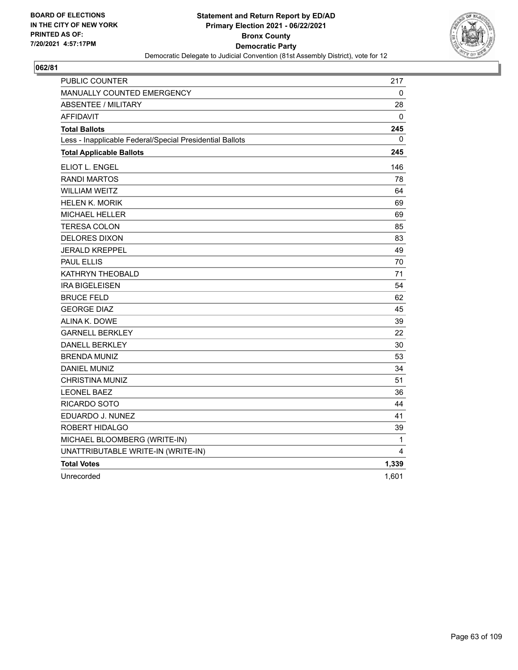

| PUBLIC COUNTER                                           | 217   |
|----------------------------------------------------------|-------|
| <b>MANUALLY COUNTED EMERGENCY</b>                        | 0     |
| <b>ABSENTEE / MILITARY</b>                               | 28    |
| <b>AFFIDAVIT</b>                                         | 0     |
| <b>Total Ballots</b>                                     | 245   |
| Less - Inapplicable Federal/Special Presidential Ballots | 0     |
| <b>Total Applicable Ballots</b>                          | 245   |
| <b>ELIOT L. ENGEL</b>                                    | 146   |
| <b>RANDI MARTOS</b>                                      | 78    |
| WILLIAM WEITZ                                            | 64    |
| <b>HELEN K. MORIK</b>                                    | 69    |
| <b>MICHAEL HELLER</b>                                    | 69    |
| <b>TERESA COLON</b>                                      | 85    |
| <b>DELORES DIXON</b>                                     | 83    |
| <b>JERALD KREPPEL</b>                                    | 49    |
| <b>PAUL ELLIS</b>                                        | 70    |
| KATHRYN THEOBALD                                         | 71    |
| <b>IRA BIGELEISEN</b>                                    | 54    |
| <b>BRUCE FELD</b>                                        | 62    |
| <b>GEORGE DIAZ</b>                                       | 45    |
| ALINA K. DOWE                                            | 39    |
| <b>GARNELL BERKLEY</b>                                   | 22    |
| <b>DANELL BERKLEY</b>                                    | 30    |
| <b>BRENDA MUNIZ</b>                                      | 53    |
| <b>DANIEL MUNIZ</b>                                      | 34    |
| CHRISTINA MUNIZ                                          | 51    |
| <b>LEONEL BAEZ</b>                                       | 36    |
| RICARDO SOTO                                             | 44    |
| EDUARDO J. NUNEZ                                         | 41    |
| ROBERT HIDALGO                                           | 39    |
| MICHAEL BLOOMBERG (WRITE-IN)                             | 1     |
| UNATTRIBUTABLE WRITE-IN (WRITE-IN)                       | 4     |
| <b>Total Votes</b>                                       | 1,339 |
| Unrecorded                                               | 1,601 |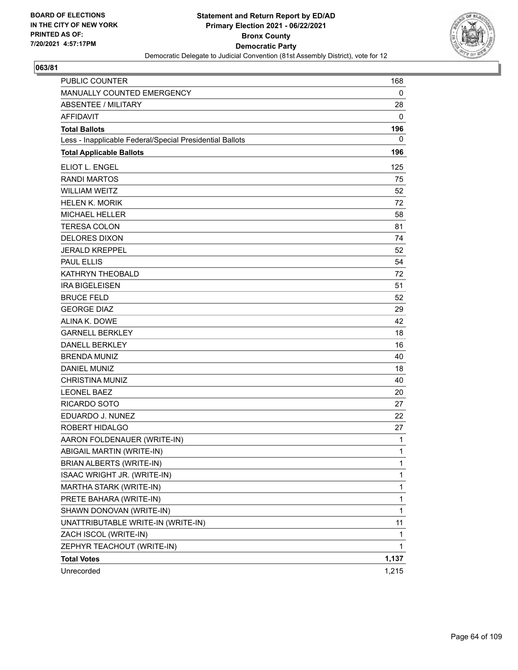

| PUBLIC COUNTER                                           | 168   |
|----------------------------------------------------------|-------|
| MANUALLY COUNTED EMERGENCY                               | 0     |
| <b>ABSENTEE / MILITARY</b>                               | 28    |
| <b>AFFIDAVIT</b>                                         | 0     |
| <b>Total Ballots</b>                                     | 196   |
| Less - Inapplicable Federal/Special Presidential Ballots | 0     |
| <b>Total Applicable Ballots</b>                          | 196   |
| ELIOT L. ENGEL                                           | 125   |
| <b>RANDI MARTOS</b>                                      | 75    |
| <b>WILLIAM WEITZ</b>                                     | 52    |
| <b>HELEN K. MORIK</b>                                    | 72    |
| <b>MICHAEL HELLER</b>                                    | 58    |
| <b>TERESA COLON</b>                                      | 81    |
| DELORES DIXON                                            | 74    |
| <b>JERALD KREPPEL</b>                                    | 52    |
| <b>PAUL ELLIS</b>                                        | 54    |
| KATHRYN THEOBALD                                         | 72    |
| <b>IRA BIGELEISEN</b>                                    | 51    |
| <b>BRUCE FELD</b>                                        | 52    |
| <b>GEORGE DIAZ</b>                                       | 29    |
| ALINA K. DOWE                                            | 42    |
| <b>GARNELL BERKLEY</b>                                   | 18    |
| <b>DANELL BERKLEY</b>                                    | 16    |
| <b>BRENDA MUNIZ</b>                                      | 40    |
| <b>DANIEL MUNIZ</b>                                      | 18    |
| <b>CHRISTINA MUNIZ</b>                                   | 40    |
| <b>LEONEL BAEZ</b>                                       | 20    |
| RICARDO SOTO                                             | 27    |
| EDUARDO J. NUNEZ                                         | 22    |
| ROBERT HIDALGO                                           | 27    |
| AARON FOLDENAUER (WRITE-IN)                              | 1     |
| ABIGAIL MARTIN (WRITE-IN)                                | 1     |
| BRIAN ALBERTS (WRITE-IN)                                 | 1     |
| ISAAC WRIGHT JR. (WRITE-IN)                              | 1     |
| MARTHA STARK (WRITE-IN)                                  | 1     |
| PRETE BAHARA (WRITE-IN)                                  | 1     |
| SHAWN DONOVAN (WRITE-IN)                                 | 1     |
| UNATTRIBUTABLE WRITE-IN (WRITE-IN)                       | 11    |
| ZACH ISCOL (WRITE-IN)                                    | 1     |
| ZEPHYR TEACHOUT (WRITE-IN)                               | 1     |
| <b>Total Votes</b>                                       | 1,137 |
| Unrecorded                                               | 1,215 |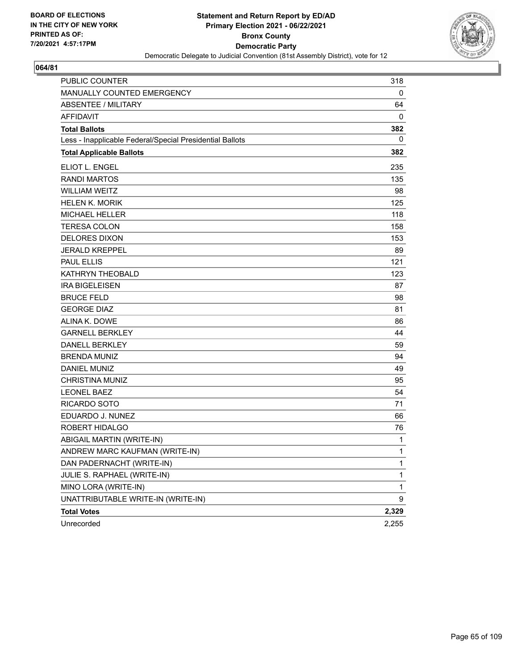

| <b>PUBLIC COUNTER</b>                                    | 318   |
|----------------------------------------------------------|-------|
| MANUALLY COUNTED EMERGENCY                               | 0     |
| ABSENTEE / MILITARY                                      | 64    |
| <b>AFFIDAVIT</b>                                         | 0     |
| <b>Total Ballots</b>                                     | 382   |
| Less - Inapplicable Federal/Special Presidential Ballots | 0     |
| <b>Total Applicable Ballots</b>                          | 382   |
| ELIOT L. ENGEL                                           | 235   |
| <b>RANDI MARTOS</b>                                      | 135   |
| <b>WILLIAM WEITZ</b>                                     | 98    |
| <b>HELEN K. MORIK</b>                                    | 125   |
| <b>MICHAEL HELLER</b>                                    | 118   |
| <b>TERESA COLON</b>                                      | 158   |
| <b>DELORES DIXON</b>                                     | 153   |
| <b>JERALD KREPPEL</b>                                    | 89    |
| <b>PAUL ELLIS</b>                                        | 121   |
| KATHRYN THEOBALD                                         | 123   |
| <b>IRA BIGELEISEN</b>                                    | 87    |
| <b>BRUCE FELD</b>                                        | 98    |
| <b>GEORGE DIAZ</b>                                       | 81    |
| ALINA K. DOWE                                            | 86    |
| <b>GARNELL BERKLEY</b>                                   | 44    |
| <b>DANELL BERKLEY</b>                                    | 59    |
| <b>BRENDA MUNIZ</b>                                      | 94    |
| <b>DANIEL MUNIZ</b>                                      | 49    |
| <b>CHRISTINA MUNIZ</b>                                   | 95    |
| <b>LEONEL BAEZ</b>                                       | 54    |
| RICARDO SOTO                                             | 71    |
| EDUARDO J. NUNEZ                                         | 66    |
| <b>ROBERT HIDALGO</b>                                    | 76    |
| ABIGAIL MARTIN (WRITE-IN)                                | 1     |
| ANDREW MARC KAUFMAN (WRITE-IN)                           | 1     |
| DAN PADERNACHT (WRITE-IN)                                | 1     |
| JULIE S. RAPHAEL (WRITE-IN)                              | 1     |
| MINO LORA (WRITE-IN)                                     | 1     |
| UNATTRIBUTABLE WRITE-IN (WRITE-IN)                       | 9     |
| <b>Total Votes</b>                                       | 2,329 |
| Unrecorded                                               | 2,255 |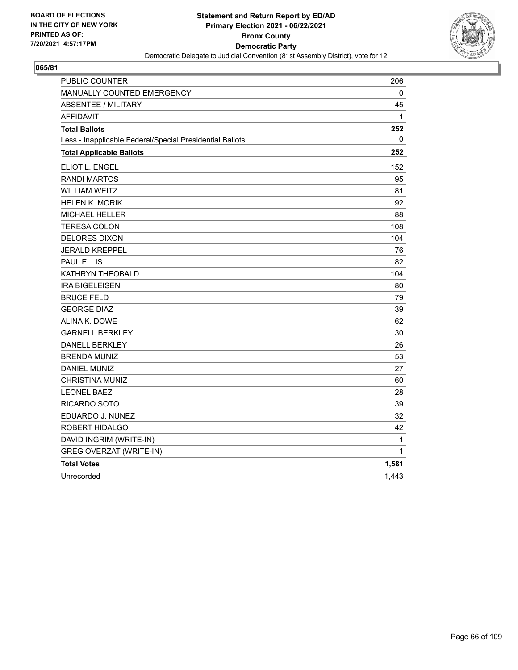

| PUBLIC COUNTER                                           | 206          |
|----------------------------------------------------------|--------------|
| MANUALLY COUNTED EMERGENCY                               | 0            |
| <b>ABSENTEE / MILITARY</b>                               | 45           |
| <b>AFFIDAVIT</b>                                         | $\mathbf{1}$ |
| <b>Total Ballots</b>                                     | 252          |
| Less - Inapplicable Federal/Special Presidential Ballots | 0            |
| <b>Total Applicable Ballots</b>                          | 252          |
| ELIOT L. ENGEL                                           | 152          |
| <b>RANDI MARTOS</b>                                      | 95           |
| <b>WILLIAM WEITZ</b>                                     | 81           |
| <b>HELEN K. MORIK</b>                                    | 92           |
| <b>MICHAEL HELLER</b>                                    | 88           |
| <b>TERESA COLON</b>                                      | 108          |
| <b>DELORES DIXON</b>                                     | 104          |
| <b>JERALD KREPPEL</b>                                    | 76           |
| <b>PAUL ELLIS</b>                                        | 82           |
| KATHRYN THEOBALD                                         | 104          |
| <b>IRA BIGELEISEN</b>                                    | 80           |
| <b>BRUCE FELD</b>                                        | 79           |
| <b>GEORGE DIAZ</b>                                       | 39           |
| ALINA K. DOWE                                            | 62           |
| <b>GARNELL BERKLEY</b>                                   | 30           |
| <b>DANELL BERKLEY</b>                                    | 26           |
| <b>BRENDA MUNIZ</b>                                      | 53           |
| DANIEL MUNIZ                                             | 27           |
| <b>CHRISTINA MUNIZ</b>                                   | 60           |
| <b>LEONEL BAEZ</b>                                       | 28           |
| RICARDO SOTO                                             | 39           |
| EDUARDO J. NUNEZ                                         | 32           |
| ROBERT HIDALGO                                           | 42           |
| DAVID INGRIM (WRITE-IN)                                  | 1            |
| <b>GREG OVERZAT (WRITE-IN)</b>                           | 1            |
| <b>Total Votes</b>                                       | 1,581        |
| Unrecorded                                               | 1,443        |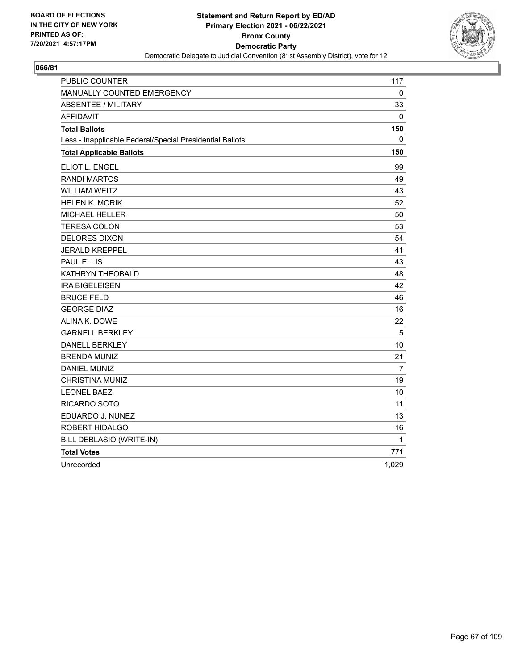

| <b>PUBLIC COUNTER</b>                                    | 117   |
|----------------------------------------------------------|-------|
| MANUALLY COUNTED EMERGENCY                               | 0     |
| <b>ABSENTEE / MILITARY</b>                               | 33    |
| <b>AFFIDAVIT</b>                                         | 0     |
| <b>Total Ballots</b>                                     | 150   |
| Less - Inapplicable Federal/Special Presidential Ballots | 0     |
| <b>Total Applicable Ballots</b>                          | 150   |
| ELIOT L. ENGEL                                           | 99    |
| <b>RANDI MARTOS</b>                                      | 49    |
| <b>WILLIAM WEITZ</b>                                     | 43    |
| <b>HELEN K. MORIK</b>                                    | 52    |
| <b>MICHAEL HELLER</b>                                    | 50    |
| <b>TERESA COLON</b>                                      | 53    |
| <b>DELORES DIXON</b>                                     | 54    |
| <b>JERALD KREPPEL</b>                                    | 41    |
| <b>PAUL ELLIS</b>                                        | 43    |
| KATHRYN THEOBALD                                         | 48    |
| <b>IRA BIGELEISEN</b>                                    | 42    |
| <b>BRUCE FELD</b>                                        | 46    |
| <b>GEORGE DIAZ</b>                                       | 16    |
| ALINA K. DOWE                                            | 22    |
| <b>GARNELL BERKLEY</b>                                   | 5     |
| <b>DANELL BERKLEY</b>                                    | 10    |
| <b>BRENDA MUNIZ</b>                                      | 21    |
| <b>DANIEL MUNIZ</b>                                      | 7     |
| <b>CHRISTINA MUNIZ</b>                                   | 19    |
| <b>LEONEL BAEZ</b>                                       | 10    |
| RICARDO SOTO                                             | 11    |
| EDUARDO J. NUNEZ                                         | 13    |
| ROBERT HIDALGO                                           | 16    |
| BILL DEBLASIO (WRITE-IN)                                 | 1     |
| <b>Total Votes</b>                                       | 771   |
| Unrecorded                                               | 1,029 |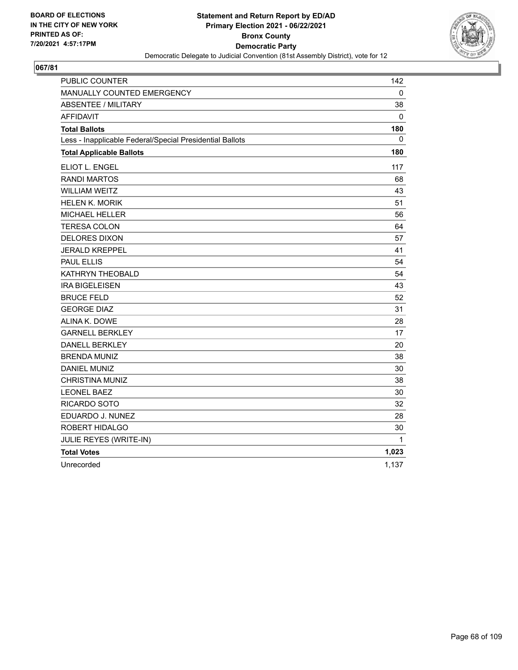

| PUBLIC COUNTER                                           | 142   |
|----------------------------------------------------------|-------|
| MANUALLY COUNTED EMERGENCY                               | 0     |
| <b>ABSENTEE / MILITARY</b>                               | 38    |
| <b>AFFIDAVIT</b>                                         | 0     |
| <b>Total Ballots</b>                                     | 180   |
| Less - Inapplicable Federal/Special Presidential Ballots | 0     |
| <b>Total Applicable Ballots</b>                          | 180   |
| ELIOT L. ENGEL                                           | 117   |
| <b>RANDI MARTOS</b>                                      | 68    |
| <b>WILLIAM WEITZ</b>                                     | 43    |
| <b>HELEN K. MORIK</b>                                    | 51    |
| <b>MICHAEL HELLER</b>                                    | 56    |
| <b>TERESA COLON</b>                                      | 64    |
| <b>DELORES DIXON</b>                                     | 57    |
| <b>JERALD KREPPEL</b>                                    | 41    |
| <b>PAUL ELLIS</b>                                        | 54    |
| KATHRYN THEOBALD                                         | 54    |
| <b>IRA BIGELEISEN</b>                                    | 43    |
| <b>BRUCE FELD</b>                                        | 52    |
| <b>GEORGE DIAZ</b>                                       | 31    |
| ALINA K. DOWE                                            | 28    |
| <b>GARNELL BERKLEY</b>                                   | 17    |
| <b>DANELL BERKLEY</b>                                    | 20    |
| <b>BRENDA MUNIZ</b>                                      | 38    |
| DANIEL MUNIZ                                             | 30    |
| <b>CHRISTINA MUNIZ</b>                                   | 38    |
| <b>LEONEL BAEZ</b>                                       | 30    |
| <b>RICARDO SOTO</b>                                      | 32    |
| EDUARDO J. NUNEZ                                         | 28    |
| ROBERT HIDALGO                                           | 30    |
| JULIE REYES (WRITE-IN)                                   | 1     |
| <b>Total Votes</b>                                       | 1,023 |
| Unrecorded                                               | 1,137 |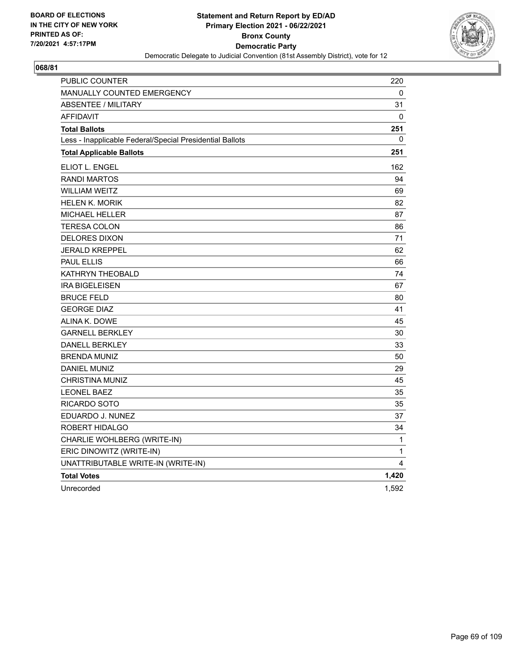

| PUBLIC COUNTER                                           | 220      |
|----------------------------------------------------------|----------|
| <b>MANUALLY COUNTED EMERGENCY</b>                        | 0        |
| <b>ABSENTEE / MILITARY</b>                               | 31       |
| <b>AFFIDAVIT</b>                                         | $\Omega$ |
| <b>Total Ballots</b>                                     | 251      |
| Less - Inapplicable Federal/Special Presidential Ballots | 0        |
| <b>Total Applicable Ballots</b>                          | 251      |
| ELIOT L. ENGEL                                           | 162      |
| <b>RANDI MARTOS</b>                                      | 94       |
| <b>WILLIAM WEITZ</b>                                     | 69       |
| <b>HELEN K. MORIK</b>                                    | 82       |
| <b>MICHAEL HELLER</b>                                    | 87       |
| <b>TERESA COLON</b>                                      | 86       |
| <b>DELORES DIXON</b>                                     | 71       |
| <b>JERALD KREPPEL</b>                                    | 62       |
| <b>PAUL ELLIS</b>                                        | 66       |
| KATHRYN THEOBALD                                         | 74       |
| <b>IRA BIGELEISEN</b>                                    | 67       |
| <b>BRUCE FELD</b>                                        | 80       |
| <b>GEORGE DIAZ</b>                                       | 41       |
| ALINA K. DOWE                                            | 45       |
| <b>GARNELL BERKLEY</b>                                   | 30       |
| <b>DANELL BERKLEY</b>                                    | 33       |
| <b>BRENDA MUNIZ</b>                                      | 50       |
| <b>DANIEL MUNIZ</b>                                      | 29       |
| <b>CHRISTINA MUNIZ</b>                                   | 45       |
| <b>LEONEL BAEZ</b>                                       | 35       |
| RICARDO SOTO                                             | 35       |
| EDUARDO J. NUNEZ                                         | 37       |
| ROBERT HIDALGO                                           | 34       |
| CHARLIE WOHLBERG (WRITE-IN)                              | 1        |
| ERIC DINOWITZ (WRITE-IN)                                 | 1        |
| UNATTRIBUTABLE WRITE-IN (WRITE-IN)                       | 4        |
| <b>Total Votes</b>                                       | 1,420    |
| Unrecorded                                               | 1,592    |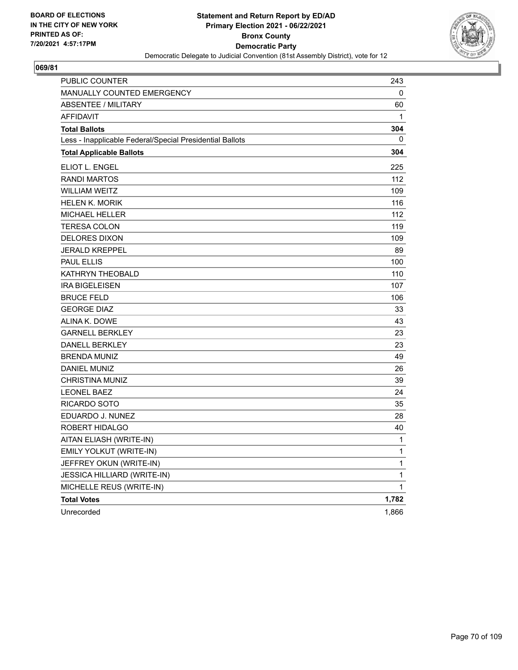

| PUBLIC COUNTER                                           | 243          |
|----------------------------------------------------------|--------------|
| <b>MANUALLY COUNTED EMERGENCY</b>                        | 0            |
| <b>ABSENTEE / MILITARY</b>                               | 60           |
| <b>AFFIDAVIT</b>                                         | $\mathbf{1}$ |
| <b>Total Ballots</b>                                     | 304          |
| Less - Inapplicable Federal/Special Presidential Ballots | 0            |
| <b>Total Applicable Ballots</b>                          | 304          |
| ELIOT L. ENGEL                                           | 225          |
| <b>RANDI MARTOS</b>                                      | 112          |
| <b>WILLIAM WEITZ</b>                                     | 109          |
| <b>HELEN K. MORIK</b>                                    | 116          |
| MICHAEL HELLER                                           | 112          |
| <b>TERESA COLON</b>                                      | 119          |
| <b>DELORES DIXON</b>                                     | 109          |
| <b>JERALD KREPPEL</b>                                    | 89           |
| PAUL ELLIS                                               | 100          |
| KATHRYN THEOBALD                                         | 110          |
| <b>IRA BIGELEISEN</b>                                    | 107          |
| <b>BRUCE FELD</b>                                        | 106          |
| <b>GEORGE DIAZ</b>                                       | 33           |
| ALINA K. DOWE                                            | 43           |
| <b>GARNELL BERKLEY</b>                                   | 23           |
| <b>DANELL BERKLEY</b>                                    | 23           |
| <b>BRENDA MUNIZ</b>                                      | 49           |
| <b>DANIEL MUNIZ</b>                                      | 26           |
| <b>CHRISTINA MUNIZ</b>                                   | 39           |
| <b>LEONEL BAEZ</b>                                       | 24           |
| RICARDO SOTO                                             | 35           |
| EDUARDO J. NUNEZ                                         | 28           |
| ROBERT HIDALGO                                           | 40           |
| AITAN ELIASH (WRITE-IN)                                  | 1            |
| EMILY YOLKUT (WRITE-IN)                                  | 1            |
| JEFFREY OKUN (WRITE-IN)                                  | 1            |
| JESSICA HILLIARD (WRITE-IN)                              | $\mathbf{1}$ |
| MICHELLE REUS (WRITE-IN)                                 | $\mathbf{1}$ |
| <b>Total Votes</b>                                       | 1,782        |
| Unrecorded                                               | 1,866        |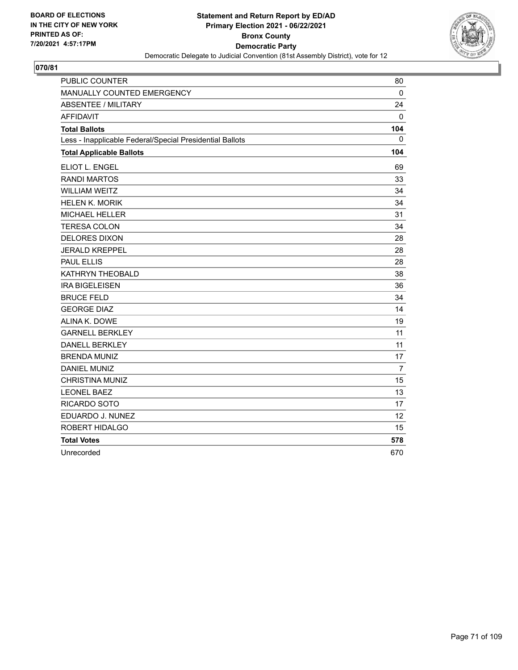

| <b>PUBLIC COUNTER</b>                                    | 80             |
|----------------------------------------------------------|----------------|
| MANUALLY COUNTED EMERGENCY                               | $\Omega$       |
| <b>ABSENTEE / MILITARY</b>                               | 24             |
| <b>AFFIDAVIT</b>                                         | 0              |
| <b>Total Ballots</b>                                     | 104            |
| Less - Inapplicable Federal/Special Presidential Ballots | 0              |
| <b>Total Applicable Ballots</b>                          | 104            |
| ELIOT L. ENGEL                                           | 69             |
| <b>RANDI MARTOS</b>                                      | 33             |
| <b>WILLIAM WEITZ</b>                                     | 34             |
| <b>HELEN K. MORIK</b>                                    | 34             |
| <b>MICHAEL HELLER</b>                                    | 31             |
| <b>TERESA COLON</b>                                      | 34             |
| <b>DELORES DIXON</b>                                     | 28             |
| <b>JERALD KREPPEL</b>                                    | 28             |
| <b>PAUL ELLIS</b>                                        | 28             |
| <b>KATHRYN THEOBALD</b>                                  | 38             |
| <b>IRA BIGELEISEN</b>                                    | 36             |
| <b>BRUCE FELD</b>                                        | 34             |
| <b>GEORGE DIAZ</b>                                       | 14             |
| ALINA K. DOWE                                            | 19             |
| <b>GARNELL BERKLEY</b>                                   | 11             |
| <b>DANELL BERKLEY</b>                                    | 11             |
| <b>BRENDA MUNIZ</b>                                      | 17             |
| <b>DANIEL MUNIZ</b>                                      | $\overline{7}$ |
| <b>CHRISTINA MUNIZ</b>                                   | 15             |
| <b>LEONEL BAEZ</b>                                       | 13             |
| RICARDO SOTO                                             | 17             |
| EDUARDO J. NUNEZ                                         | 12             |
| ROBERT HIDALGO                                           | 15             |
| <b>Total Votes</b>                                       | 578            |
| Unrecorded                                               | 670            |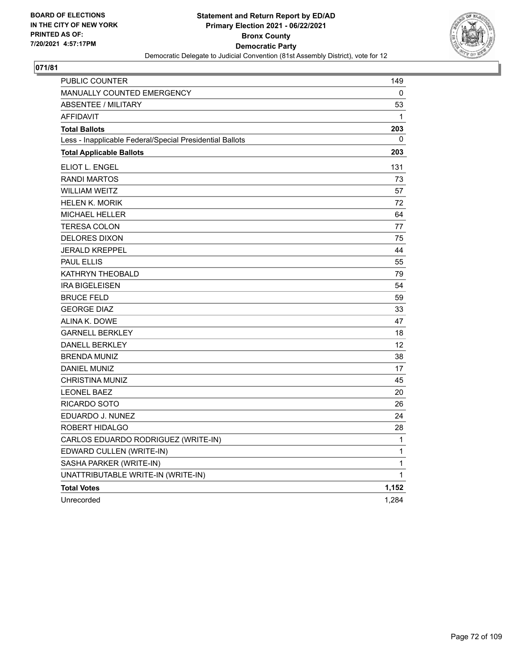

| PUBLIC COUNTER                                           | 149          |
|----------------------------------------------------------|--------------|
| <b>MANUALLY COUNTED EMERGENCY</b>                        | 0            |
| ABSENTEE / MILITARY                                      | 53           |
| <b>AFFIDAVIT</b>                                         | $\mathbf{1}$ |
| <b>Total Ballots</b>                                     | 203          |
| Less - Inapplicable Federal/Special Presidential Ballots | 0            |
| <b>Total Applicable Ballots</b>                          | 203          |
| <b>ELIOT L. ENGEL</b>                                    | 131          |
| <b>RANDI MARTOS</b>                                      | 73           |
| <b>WILLIAM WEITZ</b>                                     | 57           |
| HELEN K. MORIK                                           | 72           |
| <b>MICHAEL HELLER</b>                                    | 64           |
| <b>TERESA COLON</b>                                      | 77           |
| <b>DELORES DIXON</b>                                     | 75           |
| <b>JERALD KREPPEL</b>                                    | 44           |
| <b>PAUL ELLIS</b>                                        | 55           |
| KATHRYN THEOBALD                                         | 79           |
| <b>IRA BIGELEISEN</b>                                    | 54           |
| <b>BRUCE FELD</b>                                        | 59           |
| <b>GEORGE DIAZ</b>                                       | 33           |
| ALINA K. DOWE                                            | 47           |
| <b>GARNELL BERKLEY</b>                                   | 18           |
| <b>DANELL BERKLEY</b>                                    | 12           |
| <b>BRENDA MUNIZ</b>                                      | 38           |
| <b>DANIEL MUNIZ</b>                                      | 17           |
| CHRISTINA MUNIZ                                          | 45           |
| <b>LEONEL BAEZ</b>                                       | 20           |
| RICARDO SOTO                                             | 26           |
| EDUARDO J. NUNEZ                                         | 24           |
| ROBERT HIDALGO                                           | 28           |
| CARLOS EDUARDO RODRIGUEZ (WRITE-IN)                      | 1            |
| EDWARD CULLEN (WRITE-IN)                                 | 1            |
| SASHA PARKER (WRITE-IN)                                  | $\mathbf{1}$ |
| UNATTRIBUTABLE WRITE-IN (WRITE-IN)                       | 1            |
| <b>Total Votes</b>                                       | 1,152        |
| Unrecorded                                               | 1,284        |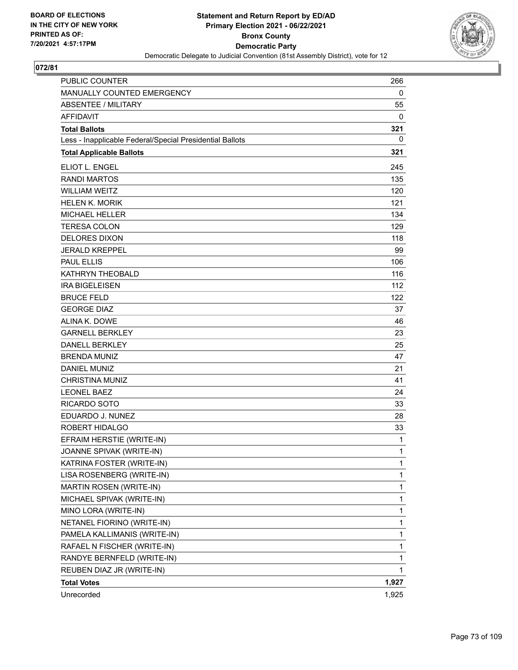

| PUBLIC COUNTER                                           | 266   |
|----------------------------------------------------------|-------|
| MANUALLY COUNTED EMERGENCY                               | 0     |
| <b>ABSENTEE / MILITARY</b>                               | 55    |
| <b>AFFIDAVIT</b>                                         | 0     |
| <b>Total Ballots</b>                                     | 321   |
| Less - Inapplicable Federal/Special Presidential Ballots | 0     |
| <b>Total Applicable Ballots</b>                          | 321   |
| ELIOT L. ENGEL                                           | 245   |
| <b>RANDI MARTOS</b>                                      | 135   |
| <b>WILLIAM WEITZ</b>                                     | 120   |
| <b>HELEN K. MORIK</b>                                    | 121   |
| <b>MICHAEL HELLER</b>                                    | 134   |
| <b>TERESA COLON</b>                                      | 129   |
| DELORES DIXON                                            | 118   |
| <b>JERALD KREPPEL</b>                                    | 99    |
| <b>PAUL ELLIS</b>                                        | 106   |
| KATHRYN THEOBALD                                         | 116   |
| <b>IRA BIGELEISEN</b>                                    | 112   |
| <b>BRUCE FELD</b>                                        | 122   |
| <b>GEORGE DIAZ</b>                                       | 37    |
| ALINA K. DOWE                                            | 46    |
| <b>GARNELL BERKLEY</b>                                   | 23    |
| <b>DANELL BERKLEY</b>                                    | 25    |
| <b>BRENDA MUNIZ</b>                                      | 47    |
| <b>DANIEL MUNIZ</b>                                      | 21    |
| <b>CHRISTINA MUNIZ</b>                                   | 41    |
| <b>LEONEL BAEZ</b>                                       | 24    |
| RICARDO SOTO                                             | 33    |
| EDUARDO J. NUNEZ                                         | 28    |
| ROBERT HIDALGO                                           | 33    |
| EFRAIM HERSTIE (WRITE-IN)                                | 1     |
| JOANNE SPIVAK (WRITE-IN)                                 | 1     |
| KATRINA FOSTER (WRITE-IN)                                | 1     |
| LISA ROSENBERG (WRITE-IN)                                | 1     |
| MARTIN ROSEN (WRITE-IN)                                  | 1     |
| MICHAEL SPIVAK (WRITE-IN)                                | 1     |
| MINO LORA (WRITE-IN)                                     | 1     |
| NETANEL FIORINO (WRITE-IN)                               | 1     |
| PAMELA KALLIMANIS (WRITE-IN)                             | 1     |
| RAFAEL N FISCHER (WRITE-IN)                              | 1     |
| RANDYE BERNFELD (WRITE-IN)                               | 1     |
| REUBEN DIAZ JR (WRITE-IN)                                | 1     |
| <b>Total Votes</b>                                       | 1,927 |
| Unrecorded                                               | 1,925 |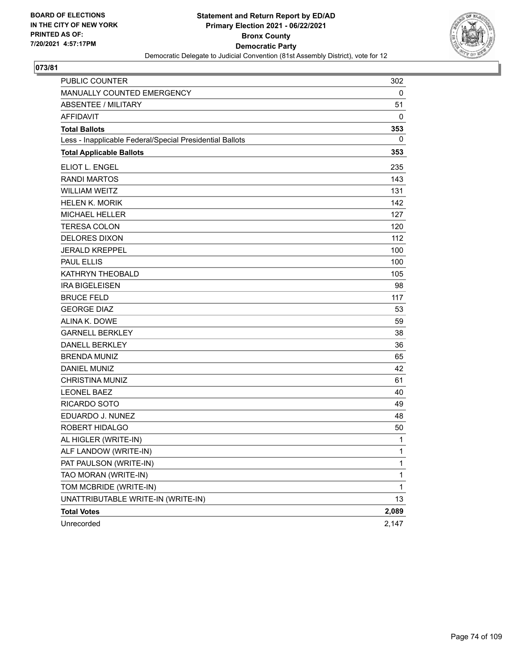

| <b>PUBLIC COUNTER</b>                                    | 302          |
|----------------------------------------------------------|--------------|
| MANUALLY COUNTED EMERGENCY                               | 0            |
| <b>ABSENTEE / MILITARY</b>                               | 51           |
| <b>AFFIDAVIT</b>                                         | 0            |
| <b>Total Ballots</b>                                     | 353          |
| Less - Inapplicable Federal/Special Presidential Ballots | 0            |
| <b>Total Applicable Ballots</b>                          | 353          |
| ELIOT L. ENGEL                                           | 235          |
| <b>RANDI MARTOS</b>                                      | 143          |
| <b>WILLIAM WEITZ</b>                                     | 131          |
| <b>HELEN K. MORIK</b>                                    | 142          |
| <b>MICHAEL HELLER</b>                                    | 127          |
| <b>TERESA COLON</b>                                      | 120          |
| <b>DELORES DIXON</b>                                     | 112          |
| <b>JERALD KREPPEL</b>                                    | 100          |
| <b>PAUL ELLIS</b>                                        | 100          |
| KATHRYN THEOBALD                                         | 105          |
| <b>IRA BIGELEISEN</b>                                    | 98           |
| <b>BRUCE FELD</b>                                        | 117          |
| <b>GEORGE DIAZ</b>                                       | 53           |
| ALINA K. DOWE                                            | 59           |
| <b>GARNELL BERKLEY</b>                                   | 38           |
| <b>DANELL BERKLEY</b>                                    | 36           |
| <b>BRENDA MUNIZ</b>                                      | 65           |
| <b>DANIEL MUNIZ</b>                                      | 42           |
| <b>CHRISTINA MUNIZ</b>                                   | 61           |
| <b>LEONEL BAEZ</b>                                       | 40           |
| <b>RICARDO SOTO</b>                                      | 49           |
| EDUARDO J. NUNEZ                                         | 48           |
| ROBERT HIDALGO                                           | 50           |
| AL HIGLER (WRITE-IN)                                     | 1            |
| ALF LANDOW (WRITE-IN)                                    | 1            |
| PAT PAULSON (WRITE-IN)                                   | 1            |
| TAO MORAN (WRITE-IN)                                     | 1            |
| TOM MCBRIDE (WRITE-IN)                                   | $\mathbf{1}$ |
| UNATTRIBUTABLE WRITE-IN (WRITE-IN)                       | 13           |
| <b>Total Votes</b>                                       | 2,089        |
| Unrecorded                                               | 2,147        |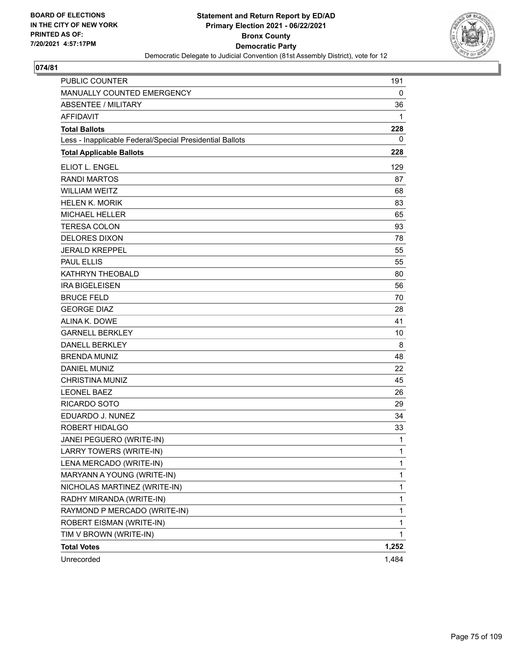

| <b>PUBLIC COUNTER</b>                                    | 191          |
|----------------------------------------------------------|--------------|
| MANUALLY COUNTED EMERGENCY                               | 0            |
| <b>ABSENTEE / MILITARY</b>                               | 36           |
| <b>AFFIDAVIT</b>                                         | 1            |
| <b>Total Ballots</b>                                     | 228          |
| Less - Inapplicable Federal/Special Presidential Ballots | 0            |
| <b>Total Applicable Ballots</b>                          | 228          |
| ELIOT L. ENGEL                                           | 129          |
| <b>RANDI MARTOS</b>                                      | 87           |
| <b>WILLIAM WEITZ</b>                                     | 68           |
| <b>HELEN K. MORIK</b>                                    | 83           |
| <b>MICHAEL HELLER</b>                                    | 65           |
| <b>TERESA COLON</b>                                      | 93           |
| <b>DELORES DIXON</b>                                     | 78           |
| <b>JERALD KREPPEL</b>                                    | 55           |
| <b>PAUL ELLIS</b>                                        | 55           |
| <b>KATHRYN THEOBALD</b>                                  | 80           |
| <b>IRA BIGELEISEN</b>                                    | 56           |
| <b>BRUCE FELD</b>                                        | 70           |
| <b>GEORGE DIAZ</b>                                       | 28           |
| ALINA K. DOWE                                            | 41           |
| <b>GARNELL BERKLEY</b>                                   | 10           |
| <b>DANELL BERKLEY</b>                                    | 8            |
| <b>BRENDA MUNIZ</b>                                      | 48           |
| <b>DANIEL MUNIZ</b>                                      | 22           |
| <b>CHRISTINA MUNIZ</b>                                   | 45           |
| <b>LEONEL BAEZ</b>                                       | 26           |
| <b>RICARDO SOTO</b>                                      | 29           |
| EDUARDO J. NUNEZ                                         | 34           |
| ROBERT HIDALGO                                           | 33           |
| JANEI PEGUERO (WRITE-IN)                                 | 1            |
| LARRY TOWERS (WRITE-IN)                                  | 1            |
| LENA MERCADO (WRITE-IN)                                  | $\mathbf{1}$ |
| MARYANN A YOUNG (WRITE-IN)                               | 1            |
| NICHOLAS MARTINEZ (WRITE-IN)                             | 1            |
| RADHY MIRANDA (WRITE-IN)                                 | 1            |
| RAYMOND P MERCADO (WRITE-IN)                             | 1            |
| ROBERT EISMAN (WRITE-IN)                                 | 1            |
| TIM V BROWN (WRITE-IN)                                   | 1            |
| <b>Total Votes</b>                                       | 1,252        |
| Unrecorded                                               | 1,484        |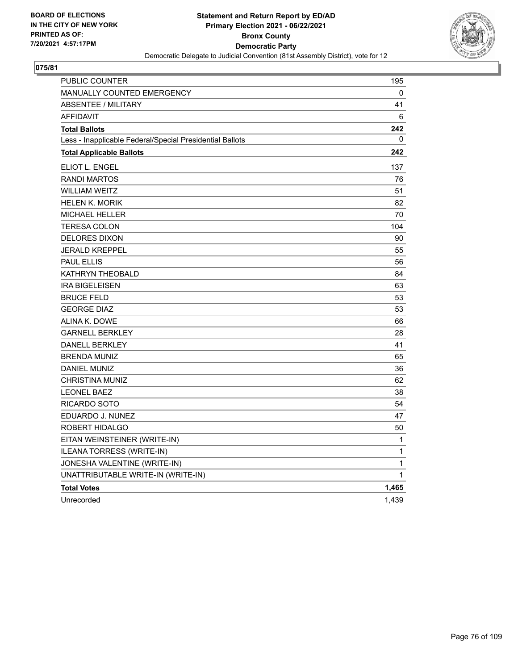

| <b>PUBLIC COUNTER</b>                                    | 195          |
|----------------------------------------------------------|--------------|
| MANUALLY COUNTED EMERGENCY                               | 0            |
| ABSENTEE / MILITARY                                      | 41           |
| <b>AFFIDAVIT</b>                                         | 6            |
| <b>Total Ballots</b>                                     | 242          |
| Less - Inapplicable Federal/Special Presidential Ballots | 0            |
| <b>Total Applicable Ballots</b>                          | 242          |
| <b>ELIOT L. ENGEL</b>                                    | 137          |
| <b>RANDI MARTOS</b>                                      | 76           |
| <b>WILLIAM WEITZ</b>                                     | 51           |
| <b>HELEN K. MORIK</b>                                    | 82           |
| MICHAEL HELLER                                           | 70           |
| <b>TERESA COLON</b>                                      | 104          |
| <b>DELORES DIXON</b>                                     | 90           |
| <b>JERALD KREPPEL</b>                                    | 55           |
| <b>PAUL ELLIS</b>                                        | 56           |
| KATHRYN THEOBALD                                         | 84           |
| <b>IRA BIGELEISEN</b>                                    | 63           |
| <b>BRUCE FELD</b>                                        | 53           |
| <b>GEORGE DIAZ</b>                                       | 53           |
| ALINA K. DOWE                                            | 66           |
| <b>GARNELL BERKLEY</b>                                   | 28           |
| <b>DANELL BERKLEY</b>                                    | 41           |
| <b>BRENDA MUNIZ</b>                                      | 65           |
| DANIEL MUNIZ                                             | 36           |
| CHRISTINA MUNIZ                                          | 62           |
| <b>LEONEL BAEZ</b>                                       | 38           |
| RICARDO SOTO                                             | 54           |
| EDUARDO J. NUNEZ                                         | 47           |
| ROBERT HIDALGO                                           | 50           |
| EITAN WEINSTEINER (WRITE-IN)                             | 1            |
| ILEANA TORRESS (WRITE-IN)                                | 1            |
| JONESHA VALENTINE (WRITE-IN)                             | 1            |
| UNATTRIBUTABLE WRITE-IN (WRITE-IN)                       | $\mathbf{1}$ |
| <b>Total Votes</b>                                       | 1,465        |
| Unrecorded                                               | 1,439        |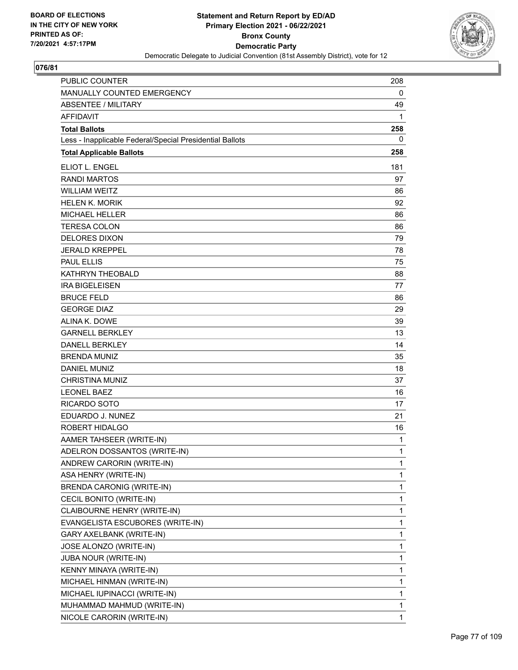

| <b>PUBLIC COUNTER</b>                                    | 208          |
|----------------------------------------------------------|--------------|
| MANUALLY COUNTED EMERGENCY                               | 0            |
| <b>ABSENTEE / MILITARY</b>                               | 49           |
| <b>AFFIDAVIT</b>                                         | 1            |
| <b>Total Ballots</b>                                     | 258          |
| Less - Inapplicable Federal/Special Presidential Ballots | 0            |
| <b>Total Applicable Ballots</b>                          | 258          |
| ELIOT L. ENGEL                                           | 181          |
| <b>RANDI MARTOS</b>                                      | 97           |
| <b>WILLIAM WEITZ</b>                                     | 86           |
| <b>HELEN K. MORIK</b>                                    | 92           |
| <b>MICHAEL HELLER</b>                                    | 86           |
| <b>TERESA COLON</b>                                      | 86           |
| <b>DELORES DIXON</b>                                     | 79           |
| <b>JERALD KREPPEL</b>                                    | 78           |
| <b>PAUL ELLIS</b>                                        | 75           |
| <b>KATHRYN THEOBALD</b>                                  | 88           |
| <b>IRA BIGELEISEN</b>                                    | 77           |
| <b>BRUCE FELD</b>                                        | 86           |
| <b>GEORGE DIAZ</b>                                       | 29           |
| ALINA K. DOWE                                            | 39           |
| <b>GARNELL BERKLEY</b>                                   | 13           |
| <b>DANELL BERKLEY</b>                                    | 14           |
| <b>BRENDA MUNIZ</b>                                      | 35           |
| <b>DANIEL MUNIZ</b>                                      | 18           |
| <b>CHRISTINA MUNIZ</b>                                   | 37           |
| <b>LEONEL BAEZ</b>                                       | 16           |
| <b>RICARDO SOTO</b>                                      | 17           |
| EDUARDO J. NUNEZ                                         | 21           |
| ROBERT HIDALGO                                           | 16           |
| AAMER TAHSEER (WRITE-IN)                                 | 1            |
| ADELRON DOSSANTOS (WRITE-IN)                             | 1            |
| ANDREW CARORIN (WRITE-IN)                                | 1            |
| ASA HENRY (WRITE-IN)                                     | 1            |
| BRENDA CARONIG (WRITE-IN)                                | $\mathbf{1}$ |
| CECIL BONITO (WRITE-IN)                                  | 1            |
| CLAIBOURNE HENRY (WRITE-IN)                              | 1            |
| EVANGELISTA ESCUBORES (WRITE-IN)                         | 1            |
| GARY AXELBANK (WRITE-IN)                                 | 1            |
| JOSE ALONZO (WRITE-IN)                                   | 1            |
| JUBA NOUR (WRITE-IN)                                     | 1            |
| KENNY MINAYA (WRITE-IN)                                  | 1            |
| MICHAEL HINMAN (WRITE-IN)                                | 1            |
| MICHAEL IUPINACCI (WRITE-IN)                             | 1            |
| MUHAMMAD MAHMUD (WRITE-IN)                               | 1            |
| NICOLE CARORIN (WRITE-IN)                                | 1            |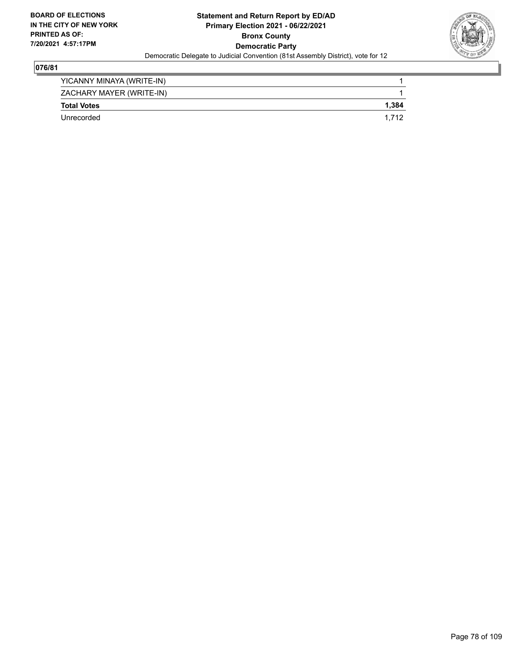

| YICANNY MINAYA (WRITE-IN) |       |
|---------------------------|-------|
| ZACHARY MAYER (WRITE-IN)  |       |
| <b>Total Votes</b>        | 1.384 |
| Unrecorded                | 1.712 |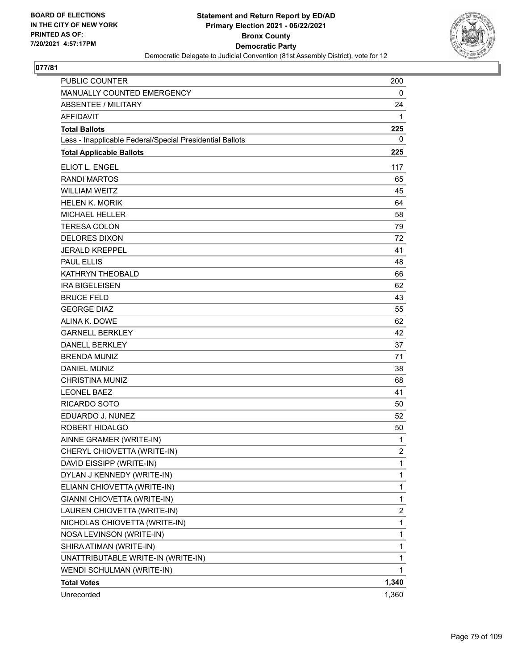

| PUBLIC COUNTER                                           | 200            |
|----------------------------------------------------------|----------------|
| MANUALLY COUNTED EMERGENCY                               | 0              |
| <b>ABSENTEE / MILITARY</b>                               | 24             |
| <b>AFFIDAVIT</b>                                         | 1              |
| <b>Total Ballots</b>                                     | 225            |
| Less - Inapplicable Federal/Special Presidential Ballots | 0              |
| <b>Total Applicable Ballots</b>                          | 225            |
| ELIOT L. ENGEL                                           | 117            |
| <b>RANDI MARTOS</b>                                      | 65             |
| <b>WILLIAM WEITZ</b>                                     | 45             |
| <b>HELEN K. MORIK</b>                                    | 64             |
| <b>MICHAEL HELLER</b>                                    | 58             |
| <b>TERESA COLON</b>                                      | 79             |
| <b>DELORES DIXON</b>                                     | 72             |
| <b>JERALD KREPPEL</b>                                    | 41             |
| <b>PAUL ELLIS</b>                                        | 48             |
| KATHRYN THEOBALD                                         | 66             |
| <b>IRA BIGELEISEN</b>                                    | 62             |
| <b>BRUCE FELD</b>                                        | 43             |
| <b>GEORGE DIAZ</b>                                       | 55             |
| ALINA K. DOWE                                            | 62             |
| <b>GARNELL BERKLEY</b>                                   | 42             |
| <b>DANELL BERKLEY</b>                                    | 37             |
| <b>BRENDA MUNIZ</b>                                      | 71             |
| <b>DANIEL MUNIZ</b>                                      | 38             |
| <b>CHRISTINA MUNIZ</b>                                   | 68             |
| <b>LEONEL BAEZ</b>                                       | 41             |
| RICARDO SOTO                                             | 50             |
| EDUARDO J. NUNEZ                                         | 52             |
| ROBERT HIDALGO                                           | 50             |
| AINNE GRAMER (WRITE-IN)                                  | 1              |
| CHERYL CHIOVETTA (WRITE-IN)                              | $\overline{2}$ |
| DAVID EISSIPP (WRITE-IN)                                 | 1              |
| DYLAN J KENNEDY (WRITE-IN)                               | 1              |
| ELIANN CHIOVETTA (WRITE-IN)                              | 1              |
| GIANNI CHIOVETTA (WRITE-IN)                              | 1              |
| LAUREN CHIOVETTA (WRITE-IN)                              | 2              |
| NICHOLAS CHIOVETTA (WRITE-IN)                            | 1              |
| NOSA LEVINSON (WRITE-IN)                                 | 1              |
| SHIRA ATIMAN (WRITE-IN)                                  | 1              |
| UNATTRIBUTABLE WRITE-IN (WRITE-IN)                       | 1              |
| WENDI SCHULMAN (WRITE-IN)                                | 1              |
| <b>Total Votes</b>                                       | 1,340          |
| Unrecorded                                               | 1,360          |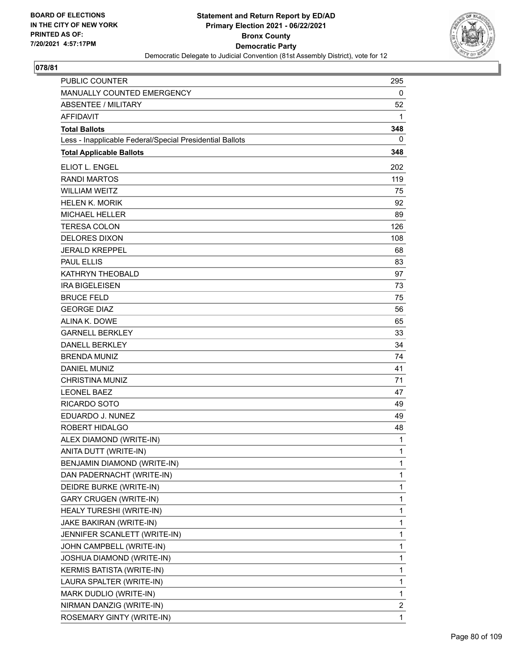

| <b>PUBLIC COUNTER</b>                                    | 295          |
|----------------------------------------------------------|--------------|
| MANUALLY COUNTED EMERGENCY                               | 0            |
| <b>ABSENTEE / MILITARY</b>                               | 52           |
| <b>AFFIDAVIT</b>                                         | 1            |
| <b>Total Ballots</b>                                     | 348          |
| Less - Inapplicable Federal/Special Presidential Ballots | 0            |
| <b>Total Applicable Ballots</b>                          | 348          |
| ELIOT L. ENGEL                                           | 202          |
| <b>RANDI MARTOS</b>                                      | 119          |
| <b>WILLIAM WEITZ</b>                                     | 75           |
| <b>HELEN K. MORIK</b>                                    | 92           |
| <b>MICHAEL HELLER</b>                                    | 89           |
| <b>TERESA COLON</b>                                      | 126          |
| <b>DELORES DIXON</b>                                     | 108          |
| <b>JERALD KREPPEL</b>                                    | 68           |
| <b>PAUL ELLIS</b>                                        | 83           |
| KATHRYN THEOBALD                                         | 97           |
| <b>IRA BIGELEISEN</b>                                    | 73           |
| <b>BRUCE FELD</b>                                        | 75           |
| <b>GEORGE DIAZ</b>                                       | 56           |
| ALINA K. DOWE                                            | 65           |
| <b>GARNELL BERKLEY</b>                                   | 33           |
| <b>DANELL BERKLEY</b>                                    | 34           |
| <b>BRENDA MUNIZ</b>                                      | 74           |
| <b>DANIEL MUNIZ</b>                                      | 41           |
| <b>CHRISTINA MUNIZ</b>                                   | 71           |
| <b>LEONEL BAEZ</b>                                       | 47           |
| <b>RICARDO SOTO</b>                                      | 49           |
| EDUARDO J. NUNEZ                                         | 49           |
| ROBERT HIDALGO                                           | 48           |
| ALEX DIAMOND (WRITE-IN)                                  | 1            |
| ANITA DUTT (WRITE-IN)                                    | 1            |
| BENJAMIN DIAMOND (WRITE-IN)                              | 1            |
| DAN PADERNACHT (WRITE-IN)                                | 1            |
| DEIDRE BURKE (WRITE-IN)                                  | $\mathbf{1}$ |
| <b>GARY CRUGEN (WRITE-IN)</b>                            | 1            |
| HEALY TURESHI (WRITE-IN)                                 | 1            |
| JAKE BAKIRAN (WRITE-IN)                                  | 1            |
| JENNIFER SCANLETT (WRITE-IN)                             | 1            |
| JOHN CAMPBELL (WRITE-IN)                                 | 1            |
| JOSHUA DIAMOND (WRITE-IN)                                | $\mathbf{1}$ |
| <b>KERMIS BATISTA (WRITE-IN)</b>                         | 1            |
| LAURA SPALTER (WRITE-IN)                                 | 1            |
| MARK DUDLIO (WRITE-IN)                                   | 1            |
| NIRMAN DANZIG (WRITE-IN)                                 | 2            |
| ROSEMARY GINTY (WRITE-IN)                                | 1            |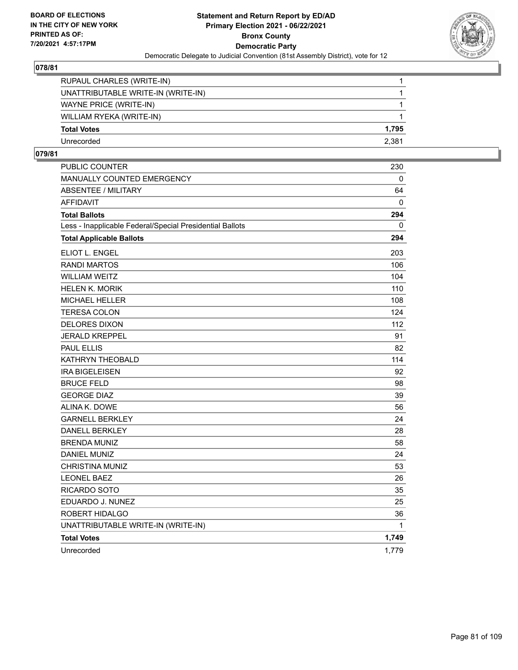

| RUPAUL CHARLES (WRITE-IN)          |       |
|------------------------------------|-------|
| UNATTRIBUTABLE WRITE-IN (WRITE-IN) |       |
| WAYNE PRICE (WRITE-IN)             |       |
| WILLIAM RYEKA (WRITE-IN)           |       |
| <b>Total Votes</b>                 | 1.795 |
| Unrecorded                         | 2.381 |

| <b>PUBLIC COUNTER</b>                                    | 230      |
|----------------------------------------------------------|----------|
| <b>MANUALLY COUNTED EMERGENCY</b>                        | $\Omega$ |
| <b>ABSENTEE / MILITARY</b>                               | 64       |
| <b>AFFIDAVIT</b>                                         | 0        |
| <b>Total Ballots</b>                                     | 294      |
| Less - Inapplicable Federal/Special Presidential Ballots | 0        |
| <b>Total Applicable Ballots</b>                          | 294      |
| ELIOT L. ENGEL                                           | 203      |
| <b>RANDI MARTOS</b>                                      | 106      |
| <b>WILLIAM WEITZ</b>                                     | 104      |
| <b>HELEN K. MORIK</b>                                    | 110      |
| <b>MICHAEL HELLER</b>                                    | 108      |
| <b>TERESA COLON</b>                                      | 124      |
| <b>DELORES DIXON</b>                                     | 112      |
| <b>JERALD KREPPEL</b>                                    | 91       |
| <b>PAUL ELLIS</b>                                        | 82       |
| KATHRYN THEOBALD                                         | 114      |
| <b>IRA BIGELEISEN</b>                                    | 92       |
| <b>BRUCE FELD</b>                                        | 98       |
| <b>GEORGE DIAZ</b>                                       | 39       |
| ALINA K. DOWE                                            | 56       |
| <b>GARNELL BERKLEY</b>                                   | 24       |
| <b>DANELL BERKLEY</b>                                    | 28       |
| <b>BRENDA MUNIZ</b>                                      | 58       |
| <b>DANIEL MUNIZ</b>                                      | 24       |
| <b>CHRISTINA MUNIZ</b>                                   | 53       |
| <b>LEONEL BAEZ</b>                                       | 26       |
| RICARDO SOTO                                             | 35       |
| EDUARDO J. NUNEZ                                         | 25       |
| ROBERT HIDALGO                                           | 36       |
| UNATTRIBUTABLE WRITE-IN (WRITE-IN)                       | 1        |
| <b>Total Votes</b>                                       | 1,749    |
| Unrecorded                                               | 1,779    |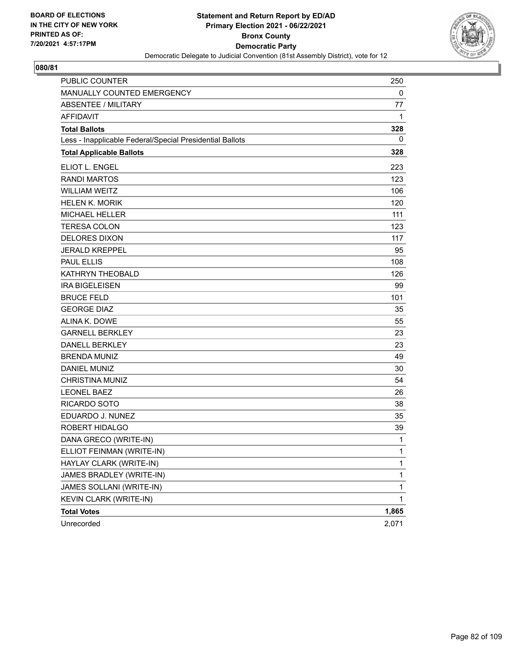

| <b>PUBLIC COUNTER</b>                                    | 250          |
|----------------------------------------------------------|--------------|
| MANUALLY COUNTED EMERGENCY                               | $\mathbf 0$  |
| <b>ABSENTEE / MILITARY</b>                               | 77           |
| <b>AFFIDAVIT</b>                                         | 1            |
| <b>Total Ballots</b>                                     | 328          |
| Less - Inapplicable Federal/Special Presidential Ballots | 0            |
| <b>Total Applicable Ballots</b>                          | 328          |
| ELIOT L. ENGEL                                           | 223          |
| <b>RANDI MARTOS</b>                                      | 123          |
| <b>WILLIAM WEITZ</b>                                     | 106          |
| <b>HELEN K. MORIK</b>                                    | 120          |
| MICHAEL HELLER                                           | 111          |
| <b>TERESA COLON</b>                                      | 123          |
| <b>DELORES DIXON</b>                                     | 117          |
| <b>JERALD KREPPEL</b>                                    | 95           |
| <b>PAUL ELLIS</b>                                        | 108          |
| KATHRYN THEOBALD                                         | 126          |
| <b>IRA BIGELEISEN</b>                                    | 99           |
| <b>BRUCE FELD</b>                                        | 101          |
| <b>GEORGE DIAZ</b>                                       | 35           |
| ALINA K. DOWE                                            | 55           |
| <b>GARNELL BERKLEY</b>                                   | 23           |
| <b>DANELL BERKLEY</b>                                    | 23           |
| <b>BRENDA MUNIZ</b>                                      | 49           |
| <b>DANIEL MUNIZ</b>                                      | 30           |
| <b>CHRISTINA MUNIZ</b>                                   | 54           |
| <b>LEONEL BAEZ</b>                                       | 26           |
| <b>RICARDO SOTO</b>                                      | 38           |
| EDUARDO J. NUNEZ                                         | 35           |
| ROBERT HIDALGO                                           | 39           |
| DANA GRECO (WRITE-IN)                                    | 1            |
| ELLIOT FEINMAN (WRITE-IN)                                | 1            |
| HAYLAY CLARK (WRITE-IN)                                  | $\mathbf{1}$ |
| JAMES BRADLEY (WRITE-IN)                                 | $\mathbf{1}$ |
| JAMES SOLLANI (WRITE-IN)                                 | 1            |
| KEVIN CLARK (WRITE-IN)                                   | $\mathbf{1}$ |
| <b>Total Votes</b>                                       | 1,865        |
| Unrecorded                                               | 2,071        |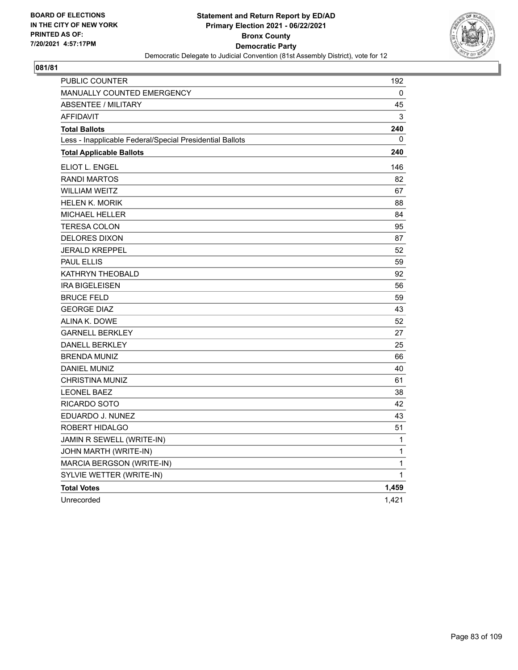

| PUBLIC COUNTER                                           | 192          |
|----------------------------------------------------------|--------------|
| <b>MANUALLY COUNTED EMERGENCY</b>                        | 0            |
| <b>ABSENTEE / MILITARY</b>                               | 45           |
| <b>AFFIDAVIT</b>                                         | 3            |
| <b>Total Ballots</b>                                     | 240          |
| Less - Inapplicable Federal/Special Presidential Ballots | 0            |
| <b>Total Applicable Ballots</b>                          | 240          |
| ELIOT L. ENGEL                                           | 146          |
| <b>RANDI MARTOS</b>                                      | 82           |
| <b>WILLIAM WEITZ</b>                                     | 67           |
| <b>HELEN K. MORIK</b>                                    | 88           |
| <b>MICHAEL HELLER</b>                                    | 84           |
| <b>TERESA COLON</b>                                      | 95           |
| <b>DELORES DIXON</b>                                     | 87           |
| <b>JERALD KREPPEL</b>                                    | 52           |
| <b>PAUL ELLIS</b>                                        | 59           |
| KATHRYN THEOBALD                                         | 92           |
| <b>IRA BIGELEISEN</b>                                    | 56           |
| <b>BRUCE FELD</b>                                        | 59           |
| <b>GEORGE DIAZ</b>                                       | 43           |
| ALINA K. DOWE                                            | 52           |
| <b>GARNELL BERKLEY</b>                                   | 27           |
| <b>DANELL BERKLEY</b>                                    | 25           |
| <b>BRENDA MUNIZ</b>                                      | 66           |
| DANIEL MUNIZ                                             | 40           |
| <b>CHRISTINA MUNIZ</b>                                   | 61           |
| <b>LEONEL BAEZ</b>                                       | 38           |
| RICARDO SOTO                                             | 42           |
| EDUARDO J. NUNEZ                                         | 43           |
| ROBERT HIDALGO                                           | 51           |
| JAMIN R SEWELL (WRITE-IN)                                | 1            |
| JOHN MARTH (WRITE-IN)                                    | $\mathbf{1}$ |
| MARCIA BERGSON (WRITE-IN)                                | $\mathbf{1}$ |
| SYLVIE WETTER (WRITE-IN)                                 | $\mathbf{1}$ |
| <b>Total Votes</b>                                       | 1,459        |
| Unrecorded                                               | 1,421        |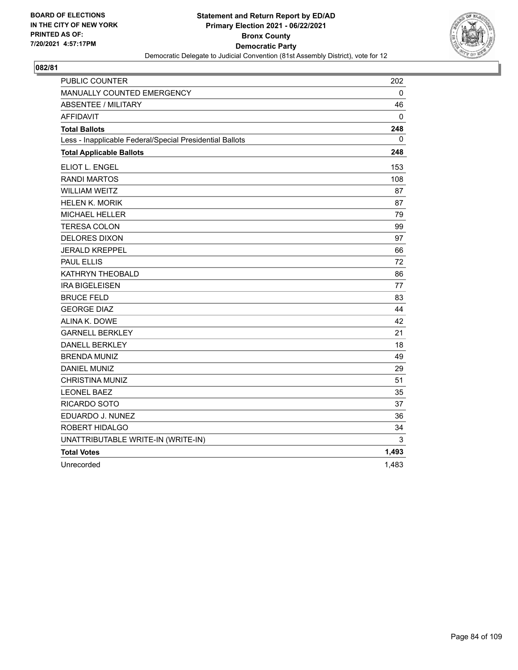

| PUBLIC COUNTER                                           | 202          |
|----------------------------------------------------------|--------------|
| MANUALLY COUNTED EMERGENCY                               | 0            |
| <b>ABSENTEE / MILITARY</b>                               | 46           |
| <b>AFFIDAVIT</b>                                         | 0            |
| <b>Total Ballots</b>                                     | 248          |
| Less - Inapplicable Federal/Special Presidential Ballots | $\mathbf{0}$ |
| <b>Total Applicable Ballots</b>                          | 248          |
| ELIOT L. ENGEL                                           | 153          |
| <b>RANDI MARTOS</b>                                      | 108          |
| <b>WILLIAM WEITZ</b>                                     | 87           |
| <b>HELEN K. MORIK</b>                                    | 87           |
| <b>MICHAEL HELLER</b>                                    | 79           |
| <b>TERESA COLON</b>                                      | 99           |
| <b>DELORES DIXON</b>                                     | 97           |
| <b>JERALD KREPPEL</b>                                    | 66           |
| <b>PAUL ELLIS</b>                                        | 72           |
| KATHRYN THEOBALD                                         | 86           |
| <b>IRA BIGELEISEN</b>                                    | 77           |
| <b>BRUCE FELD</b>                                        | 83           |
| <b>GEORGE DIAZ</b>                                       | 44           |
| ALINA K. DOWE                                            | 42           |
| <b>GARNELL BERKLEY</b>                                   | 21           |
| <b>DANELL BERKLEY</b>                                    | 18           |
| <b>BRENDA MUNIZ</b>                                      | 49           |
| DANIEL MUNIZ                                             | 29           |
| <b>CHRISTINA MUNIZ</b>                                   | 51           |
| <b>LEONEL BAEZ</b>                                       | 35           |
| RICARDO SOTO                                             | 37           |
| EDUARDO J. NUNEZ                                         | 36           |
| ROBERT HIDALGO                                           | 34           |
| UNATTRIBUTABLE WRITE-IN (WRITE-IN)                       | 3            |
| <b>Total Votes</b>                                       | 1,493        |
| Unrecorded                                               | 1,483        |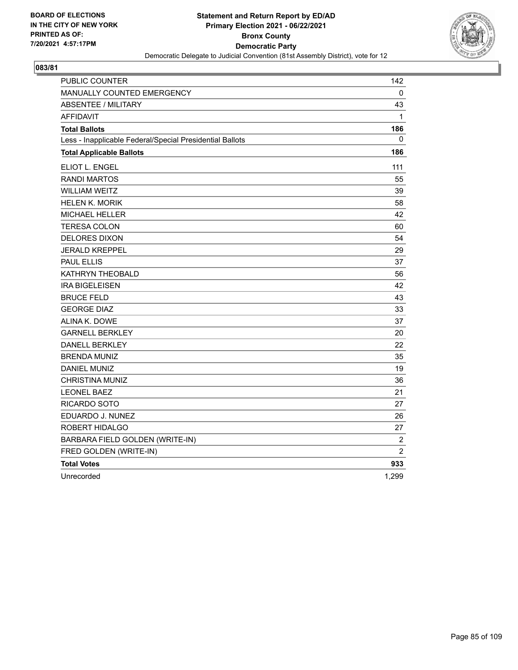

| <b>PUBLIC COUNTER</b>                                    | 142            |
|----------------------------------------------------------|----------------|
| MANUALLY COUNTED EMERGENCY                               | 0              |
| <b>ABSENTEE / MILITARY</b>                               | 43             |
| <b>AFFIDAVIT</b>                                         | $\mathbf{1}$   |
| <b>Total Ballots</b>                                     | 186            |
| Less - Inapplicable Federal/Special Presidential Ballots | 0              |
| <b>Total Applicable Ballots</b>                          | 186            |
| ELIOT L. ENGEL                                           | 111            |
| <b>RANDI MARTOS</b>                                      | 55             |
| WILLIAM WEITZ                                            | 39             |
| <b>HELEN K. MORIK</b>                                    | 58             |
| MICHAEL HELLER                                           | 42             |
| <b>TERESA COLON</b>                                      | 60             |
| <b>DELORES DIXON</b>                                     | 54             |
| <b>JERALD KREPPEL</b>                                    | 29             |
| <b>PAUL ELLIS</b>                                        | 37             |
| KATHRYN THEOBALD                                         | 56             |
| <b>IRA BIGELEISEN</b>                                    | 42             |
| <b>BRUCE FELD</b>                                        | 43             |
| <b>GEORGE DIAZ</b>                                       | 33             |
| ALINA K. DOWE                                            | 37             |
| <b>GARNELL BERKLEY</b>                                   | 20             |
| <b>DANELL BERKLEY</b>                                    | 22             |
| <b>BRENDA MUNIZ</b>                                      | 35             |
| <b>DANIEL MUNIZ</b>                                      | 19             |
| CHRISTINA MUNIZ                                          | 36             |
| <b>LEONEL BAEZ</b>                                       | 21             |
| RICARDO SOTO                                             | 27             |
| EDUARDO J. NUNEZ                                         | 26             |
| ROBERT HIDALGO                                           | 27             |
| BARBARA FIELD GOLDEN (WRITE-IN)                          | $\overline{2}$ |
| FRED GOLDEN (WRITE-IN)                                   | $\overline{2}$ |
| <b>Total Votes</b>                                       | 933            |
| Unrecorded                                               | 1,299          |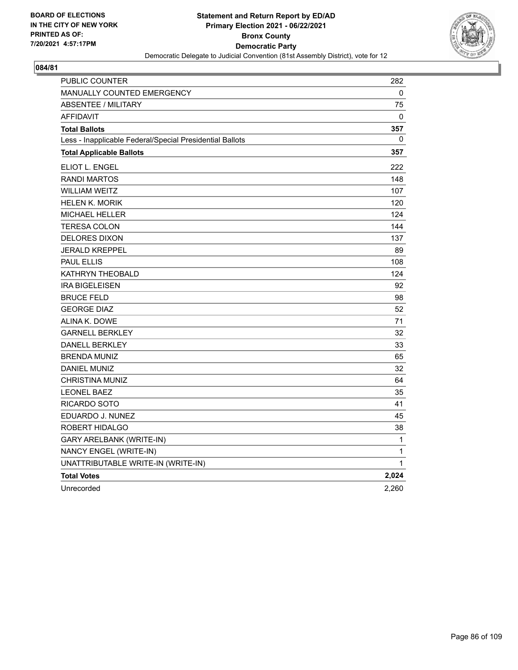

| PUBLIC COUNTER                                           | 282          |
|----------------------------------------------------------|--------------|
| <b>MANUALLY COUNTED EMERGENCY</b>                        | 0            |
| <b>ABSENTEE / MILITARY</b>                               | 75           |
| <b>AFFIDAVIT</b>                                         | $\Omega$     |
| <b>Total Ballots</b>                                     | 357          |
| Less - Inapplicable Federal/Special Presidential Ballots | $\mathbf{0}$ |
| <b>Total Applicable Ballots</b>                          | 357          |
| ELIOT L. ENGEL                                           | 222          |
| <b>RANDI MARTOS</b>                                      | 148          |
| <b>WILLIAM WEITZ</b>                                     | 107          |
| <b>HELEN K. MORIK</b>                                    | 120          |
| <b>MICHAEL HELLER</b>                                    | 124          |
| <b>TERESA COLON</b>                                      | 144          |
| <b>DELORES DIXON</b>                                     | 137          |
| <b>JERALD KREPPEL</b>                                    | 89           |
| <b>PAUL ELLIS</b>                                        | 108          |
| KATHRYN THEOBALD                                         | 124          |
| <b>IRA BIGELEISEN</b>                                    | 92           |
| <b>BRUCE FELD</b>                                        | 98           |
| <b>GEORGE DIAZ</b>                                       | 52           |
| ALINA K. DOWE                                            | 71           |
| <b>GARNELL BERKLEY</b>                                   | 32           |
| <b>DANELL BERKLEY</b>                                    | 33           |
| <b>BRENDA MUNIZ</b>                                      | 65           |
| <b>DANIEL MUNIZ</b>                                      | 32           |
| CHRISTINA MUNIZ                                          | 64           |
| <b>LEONEL BAEZ</b>                                       | 35           |
| RICARDO SOTO                                             | 41           |
| EDUARDO J. NUNEZ                                         | 45           |
| ROBERT HIDALGO                                           | 38           |
| GARY ARELBANK (WRITE-IN)                                 | 1            |
| NANCY ENGEL (WRITE-IN)                                   | 1            |
| UNATTRIBUTABLE WRITE-IN (WRITE-IN)                       | 1            |
| <b>Total Votes</b>                                       | 2,024        |
| Unrecorded                                               | 2,260        |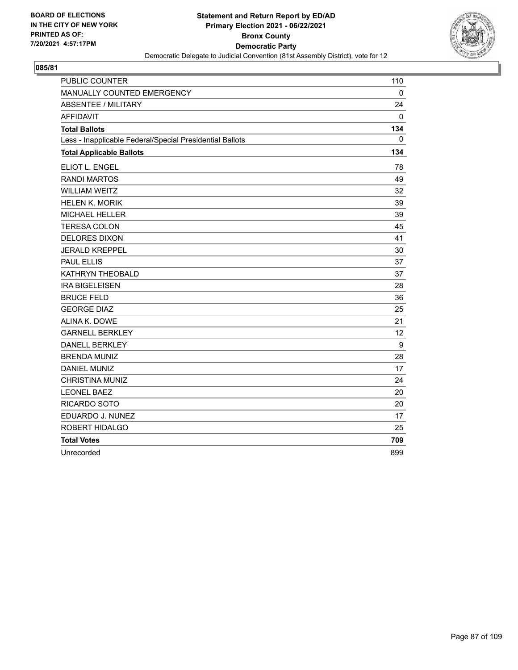

| PUBLIC COUNTER                                           | 110 |
|----------------------------------------------------------|-----|
| MANUALLY COUNTED EMERGENCY                               | 0   |
| <b>ABSENTEE / MILITARY</b>                               | 24  |
| <b>AFFIDAVIT</b>                                         | 0   |
| <b>Total Ballots</b>                                     | 134 |
| Less - Inapplicable Federal/Special Presidential Ballots | 0   |
| <b>Total Applicable Ballots</b>                          | 134 |
| <b>ELIOT L. ENGEL</b>                                    | 78  |
| <b>RANDI MARTOS</b>                                      | 49  |
| <b>WILLIAM WEITZ</b>                                     | 32  |
| <b>HELEN K. MORIK</b>                                    | 39  |
| <b>MICHAEL HELLER</b>                                    | 39  |
| <b>TERESA COLON</b>                                      | 45  |
| <b>DELORES DIXON</b>                                     | 41  |
| <b>JERALD KREPPEL</b>                                    | 30  |
| <b>PAUL ELLIS</b>                                        | 37  |
| KATHRYN THEOBALD                                         | 37  |
| <b>IRA BIGELEISEN</b>                                    | 28  |
| <b>BRUCE FELD</b>                                        | 36  |
| <b>GEORGE DIAZ</b>                                       | 25  |
| ALINA K. DOWE                                            | 21  |
| <b>GARNELL BERKLEY</b>                                   | 12  |
| <b>DANELL BERKLEY</b>                                    | 9   |
| <b>BRENDA MUNIZ</b>                                      | 28  |
| <b>DANIEL MUNIZ</b>                                      | 17  |
| <b>CHRISTINA MUNIZ</b>                                   | 24  |
| <b>LEONEL BAEZ</b>                                       | 20  |
| RICARDO SOTO                                             | 20  |
| EDUARDO J. NUNEZ                                         | 17  |
| ROBERT HIDALGO                                           | 25  |
| <b>Total Votes</b>                                       | 709 |
| Unrecorded                                               | 899 |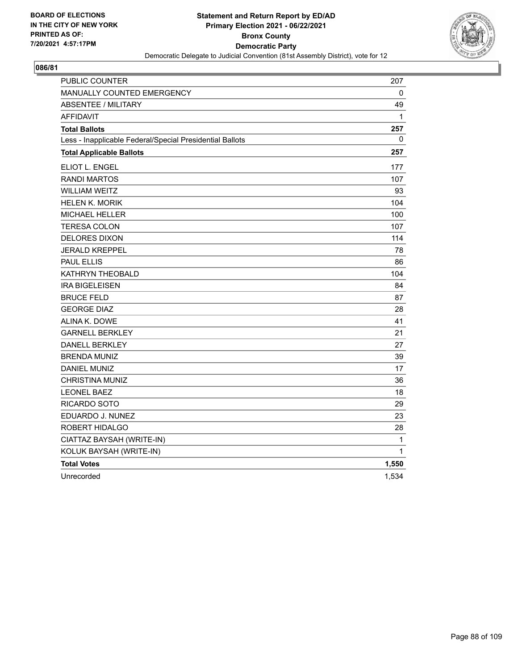

| <b>PUBLIC COUNTER</b>                                    | 207          |
|----------------------------------------------------------|--------------|
| MANUALLY COUNTED EMERGENCY                               | 0            |
| <b>ABSENTEE / MILITARY</b>                               | 49           |
| <b>AFFIDAVIT</b>                                         | $\mathbf{1}$ |
| <b>Total Ballots</b>                                     | 257          |
| Less - Inapplicable Federal/Special Presidential Ballots | 0            |
| <b>Total Applicable Ballots</b>                          | 257          |
| ELIOT L. ENGEL                                           | 177          |
| <b>RANDI MARTOS</b>                                      | 107          |
| <b>WILLIAM WEITZ</b>                                     | 93           |
| <b>HELEN K. MORIK</b>                                    | 104          |
| <b>MICHAEL HELLER</b>                                    | 100          |
| <b>TERESA COLON</b>                                      | 107          |
| <b>DELORES DIXON</b>                                     | 114          |
| JERALD KREPPEL                                           | 78           |
| <b>PAUL ELLIS</b>                                        | 86           |
| KATHRYN THEOBALD                                         | 104          |
| <b>IRA BIGELEISEN</b>                                    | 84           |
| <b>BRUCE FELD</b>                                        | 87           |
| <b>GEORGE DIAZ</b>                                       | 28           |
| ALINA K. DOWE                                            | 41           |
| <b>GARNELL BERKLEY</b>                                   | 21           |
| <b>DANELL BERKLEY</b>                                    | 27           |
| <b>BRENDA MUNIZ</b>                                      | 39           |
| DANIEL MUNIZ                                             | 17           |
| CHRISTINA MUNIZ                                          | 36           |
| <b>LEONEL BAEZ</b>                                       | 18           |
| RICARDO SOTO                                             | 29           |
| EDUARDO J. NUNEZ                                         | 23           |
| ROBERT HIDALGO                                           | 28           |
| CIATTAZ BAYSAH (WRITE-IN)                                | 1            |
| KOLUK BAYSAH (WRITE-IN)                                  | 1            |
| <b>Total Votes</b>                                       | 1,550        |
| Unrecorded                                               | 1,534        |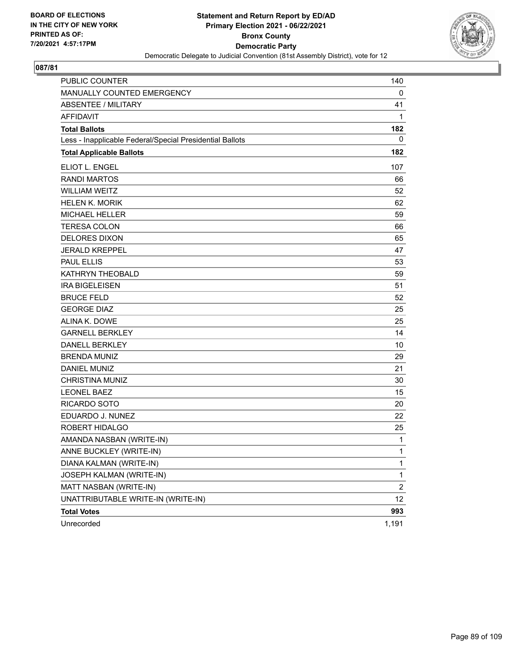

| PUBLIC COUNTER                                           | 140            |
|----------------------------------------------------------|----------------|
| MANUALLY COUNTED EMERGENCY                               | 0              |
| <b>ABSENTEE / MILITARY</b>                               | 41             |
| <b>AFFIDAVIT</b>                                         | 1              |
| <b>Total Ballots</b>                                     | 182            |
| Less - Inapplicable Federal/Special Presidential Ballots | 0              |
| <b>Total Applicable Ballots</b>                          | 182            |
| ELIOT L. ENGEL                                           | 107            |
| <b>RANDI MARTOS</b>                                      | 66             |
| <b>WILLIAM WEITZ</b>                                     | 52             |
| <b>HELEN K. MORIK</b>                                    | 62             |
| <b>MICHAEL HELLER</b>                                    | 59             |
| <b>TERESA COLON</b>                                      | 66             |
| <b>DELORES DIXON</b>                                     | 65             |
| <b>JERALD KREPPEL</b>                                    | 47             |
| <b>PAUL ELLIS</b>                                        | 53             |
| KATHRYN THEOBALD                                         | 59             |
| <b>IRA BIGELEISEN</b>                                    | 51             |
| <b>BRUCE FELD</b>                                        | 52             |
| <b>GEORGE DIAZ</b>                                       | 25             |
| ALINA K. DOWE                                            | 25             |
| <b>GARNELL BERKLEY</b>                                   | 14             |
| <b>DANELL BERKLEY</b>                                    | 10             |
| <b>BRENDA MUNIZ</b>                                      | 29             |
| <b>DANIEL MUNIZ</b>                                      | 21             |
| <b>CHRISTINA MUNIZ</b>                                   | 30             |
| <b>LEONEL BAEZ</b>                                       | 15             |
| RICARDO SOTO                                             | 20             |
| EDUARDO J. NUNEZ                                         | 22             |
| ROBERT HIDALGO                                           | 25             |
| AMANDA NASBAN (WRITE-IN)                                 | 1              |
| ANNE BUCKLEY (WRITE-IN)                                  | 1              |
| DIANA KALMAN (WRITE-IN)                                  | 1              |
| JOSEPH KALMAN (WRITE-IN)                                 | 1              |
| MATT NASBAN (WRITE-IN)                                   | $\overline{c}$ |
| UNATTRIBUTABLE WRITE-IN (WRITE-IN)                       | 12             |
| <b>Total Votes</b>                                       | 993            |
| Unrecorded                                               | 1,191          |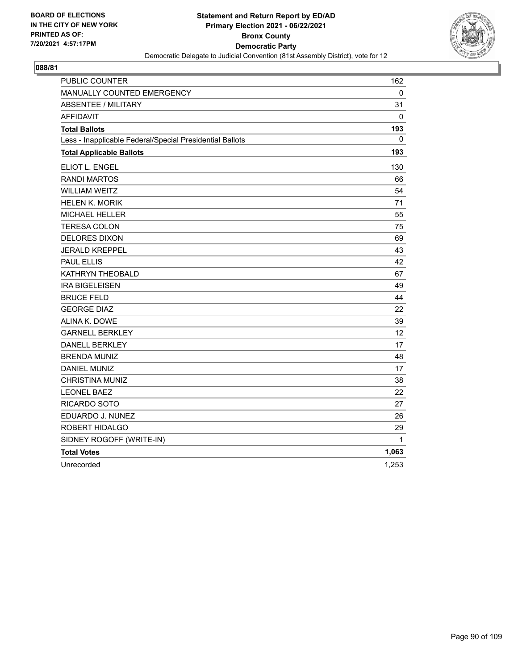

| <b>PUBLIC COUNTER</b>                                    | 162   |
|----------------------------------------------------------|-------|
| MANUALLY COUNTED EMERGENCY                               | 0     |
| <b>ABSENTEE / MILITARY</b>                               | 31    |
| <b>AFFIDAVIT</b>                                         | 0     |
| <b>Total Ballots</b>                                     | 193   |
| Less - Inapplicable Federal/Special Presidential Ballots | 0     |
| <b>Total Applicable Ballots</b>                          | 193   |
| ELIOT L. ENGEL                                           | 130   |
| <b>RANDI MARTOS</b>                                      | 66    |
| <b>WILLIAM WEITZ</b>                                     | 54    |
| <b>HELEN K. MORIK</b>                                    | 71    |
| <b>MICHAEL HELLER</b>                                    | 55    |
| <b>TERESA COLON</b>                                      | 75    |
| <b>DELORES DIXON</b>                                     | 69    |
| <b>JERALD KREPPEL</b>                                    | 43    |
| <b>PAUL ELLIS</b>                                        | 42    |
| KATHRYN THEOBALD                                         | 67    |
| <b>IRA BIGELEISEN</b>                                    | 49    |
| <b>BRUCE FELD</b>                                        | 44    |
| <b>GEORGE DIAZ</b>                                       | 22    |
| ALINA K. DOWE                                            | 39    |
| <b>GARNELL BERKLEY</b>                                   | 12    |
| <b>DANELL BERKLEY</b>                                    | 17    |
| <b>BRENDA MUNIZ</b>                                      | 48    |
| <b>DANIEL MUNIZ</b>                                      | 17    |
| <b>CHRISTINA MUNIZ</b>                                   | 38    |
| <b>LEONEL BAEZ</b>                                       | 22    |
| RICARDO SOTO                                             | 27    |
| EDUARDO J. NUNEZ                                         | 26    |
| ROBERT HIDALGO                                           | 29    |
| SIDNEY ROGOFF (WRITE-IN)                                 | 1     |
| <b>Total Votes</b>                                       | 1,063 |
| Unrecorded                                               | 1,253 |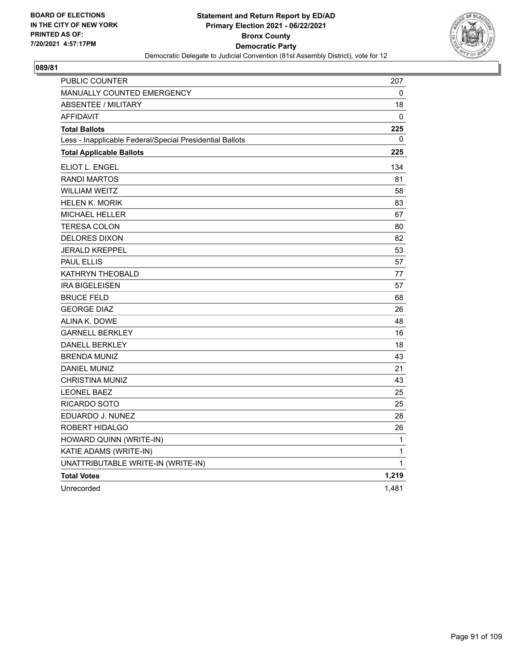

| PUBLIC COUNTER                                           | 207          |
|----------------------------------------------------------|--------------|
| MANUALLY COUNTED EMERGENCY                               | 0            |
| ABSENTEE / MILITARY                                      | 18           |
| <b>AFFIDAVIT</b>                                         | $\mathbf{0}$ |
| <b>Total Ballots</b>                                     | 225          |
| Less - Inapplicable Federal/Special Presidential Ballots | $\mathbf{0}$ |
| <b>Total Applicable Ballots</b>                          | 225          |
| <b>ELIOT L. ENGEL</b>                                    | 134          |
| <b>RANDI MARTOS</b>                                      | 81           |
| <b>WILLIAM WEITZ</b>                                     | 58           |
| <b>HELEN K. MORIK</b>                                    | 83           |
| MICHAEL HELLER                                           | 67           |
| <b>TERESA COLON</b>                                      | 80           |
| <b>DELORES DIXON</b>                                     | 82           |
| <b>JERALD KREPPEL</b>                                    | 53           |
| <b>PAUL ELLIS</b>                                        | 57           |
| KATHRYN THEOBALD                                         | 77           |
| <b>IRA BIGELEISEN</b>                                    | 57           |
| <b>BRUCE FELD</b>                                        | 68           |
| <b>GEORGE DIAZ</b>                                       | 26           |
| ALINA K. DOWE                                            | 48           |
| <b>GARNELL BERKLEY</b>                                   | 16           |
| <b>DANELL BERKLEY</b>                                    | 18           |
| <b>BRENDA MUNIZ</b>                                      | 43           |
| <b>DANIEL MUNIZ</b>                                      | 21           |
| <b>CHRISTINA MUNIZ</b>                                   | 43           |
| <b>LEONEL BAEZ</b>                                       | 25           |
| RICARDO SOTO                                             | 25           |
| EDUARDO J. NUNEZ                                         | 28           |
| ROBERT HIDALGO                                           | 26           |
| HOWARD QUINN (WRITE-IN)                                  | 1            |
| KATIE ADAMS (WRITE-IN)                                   | 1            |
| UNATTRIBUTABLE WRITE-IN (WRITE-IN)                       | $\mathbf{1}$ |
| <b>Total Votes</b>                                       | 1,219        |
| Unrecorded                                               | 1,481        |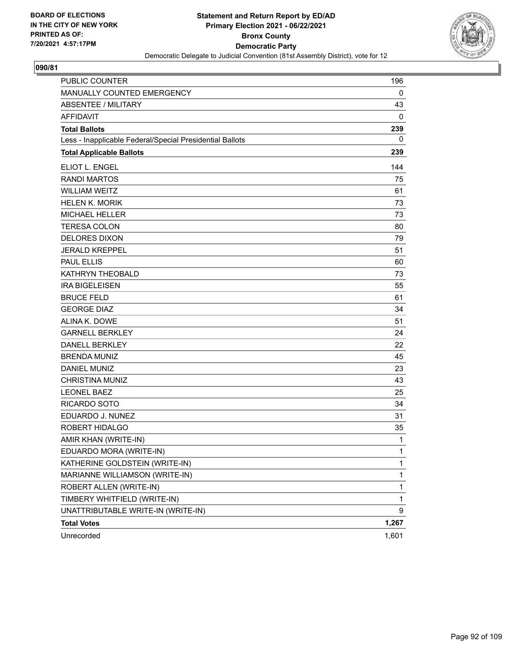

| <b>PUBLIC COUNTER</b>                                    | 196          |
|----------------------------------------------------------|--------------|
| MANUALLY COUNTED EMERGENCY                               | 0            |
| <b>ABSENTEE / MILITARY</b>                               | 43           |
| <b>AFFIDAVIT</b>                                         | 0            |
| <b>Total Ballots</b>                                     | 239          |
| Less - Inapplicable Federal/Special Presidential Ballots | 0            |
| <b>Total Applicable Ballots</b>                          | 239          |
| ELIOT L. ENGEL                                           | 144          |
| <b>RANDI MARTOS</b>                                      | 75           |
| <b>WILLIAM WEITZ</b>                                     | 61           |
| <b>HELEN K. MORIK</b>                                    | 73           |
| MICHAEL HELLER                                           | 73           |
| <b>TERESA COLON</b>                                      | 80           |
| <b>DELORES DIXON</b>                                     | 79           |
| <b>JERALD KREPPEL</b>                                    | 51           |
| <b>PAUL ELLIS</b>                                        | 60           |
| KATHRYN THEOBALD                                         | 73           |
| <b>IRA BIGELEISEN</b>                                    | 55           |
| <b>BRUCE FELD</b>                                        | 61           |
| <b>GEORGE DIAZ</b>                                       | 34           |
| ALINA K. DOWE                                            | 51           |
| <b>GARNELL BERKLEY</b>                                   | 24           |
| <b>DANELL BERKLEY</b>                                    | 22           |
| <b>BRENDA MUNIZ</b>                                      | 45           |
| <b>DANIEL MUNIZ</b>                                      | 23           |
| <b>CHRISTINA MUNIZ</b>                                   | 43           |
| <b>LEONEL BAEZ</b>                                       | 25           |
| <b>RICARDO SOTO</b>                                      | 34           |
| EDUARDO J. NUNEZ                                         | 31           |
| ROBERT HIDALGO                                           | 35           |
| AMIR KHAN (WRITE-IN)                                     | 1            |
| EDUARDO MORA (WRITE-IN)                                  | 1            |
| KATHERINE GOLDSTEIN (WRITE-IN)                           | 1            |
| MARIANNE WILLIAMSON (WRITE-IN)                           | $\mathbf{1}$ |
| ROBERT ALLEN (WRITE-IN)                                  | 1            |
| TIMBERY WHITFIELD (WRITE-IN)                             | $\mathbf{1}$ |
| UNATTRIBUTABLE WRITE-IN (WRITE-IN)                       | 9            |
| <b>Total Votes</b>                                       | 1,267        |
| Unrecorded                                               | 1,601        |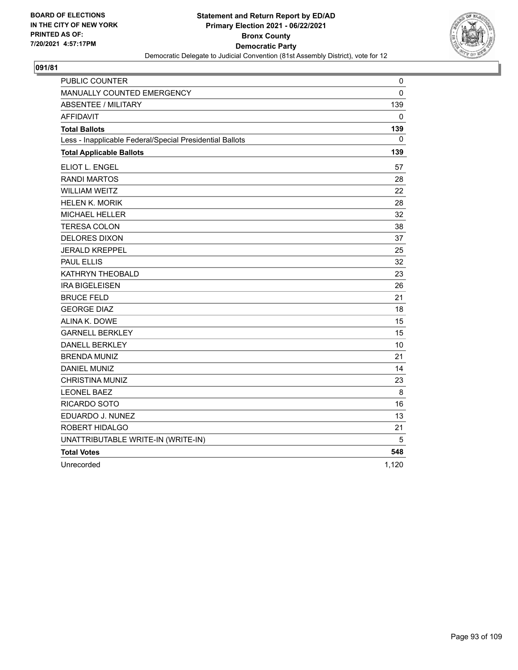

| PUBLIC COUNTER                                           | 0     |
|----------------------------------------------------------|-------|
| MANUALLY COUNTED EMERGENCY                               | 0     |
| <b>ABSENTEE / MILITARY</b>                               | 139   |
| <b>AFFIDAVIT</b>                                         | 0     |
| <b>Total Ballots</b>                                     | 139   |
| Less - Inapplicable Federal/Special Presidential Ballots | 0     |
| <b>Total Applicable Ballots</b>                          | 139   |
| ELIOT L. ENGEL                                           | 57    |
| <b>RANDI MARTOS</b>                                      | 28    |
| <b>WILLIAM WEITZ</b>                                     | 22    |
| <b>HELEN K. MORIK</b>                                    | 28    |
| <b>MICHAEL HELLER</b>                                    | 32    |
| <b>TERESA COLON</b>                                      | 38    |
| <b>DELORES DIXON</b>                                     | 37    |
| <b>JERALD KREPPEL</b>                                    | 25    |
| <b>PAUL ELLIS</b>                                        | 32    |
| KATHRYN THEOBALD                                         | 23    |
| <b>IRA BIGELEISEN</b>                                    | 26    |
| <b>BRUCE FELD</b>                                        | 21    |
| <b>GEORGE DIAZ</b>                                       | 18    |
| ALINA K. DOWE                                            | 15    |
| <b>GARNELL BERKLEY</b>                                   | 15    |
| <b>DANELL BERKLEY</b>                                    | 10    |
| <b>BRENDA MUNIZ</b>                                      | 21    |
| <b>DANIEL MUNIZ</b>                                      | 14    |
| <b>CHRISTINA MUNIZ</b>                                   | 23    |
| <b>LEONEL BAEZ</b>                                       | 8     |
| RICARDO SOTO                                             | 16    |
| EDUARDO J. NUNEZ                                         | 13    |
| ROBERT HIDALGO                                           | 21    |
| UNATTRIBUTABLE WRITE-IN (WRITE-IN)                       | 5     |
| <b>Total Votes</b>                                       | 548   |
| Unrecorded                                               | 1,120 |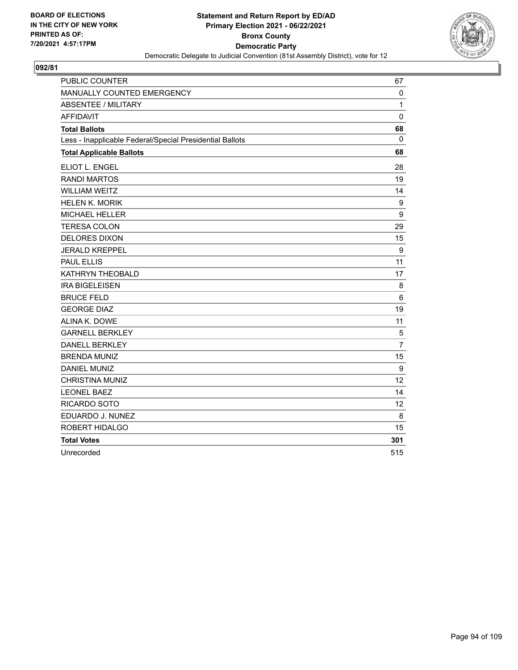

| PUBLIC COUNTER                                           | 67             |
|----------------------------------------------------------|----------------|
| MANUALLY COUNTED EMERGENCY                               | 0              |
| <b>ABSENTEE / MILITARY</b>                               | $\mathbf{1}$   |
| <b>AFFIDAVIT</b>                                         | $\pmb{0}$      |
| <b>Total Ballots</b>                                     | 68             |
| Less - Inapplicable Federal/Special Presidential Ballots | 0              |
| <b>Total Applicable Ballots</b>                          | 68             |
| ELIOT L. ENGEL                                           | 28             |
| <b>RANDI MARTOS</b>                                      | 19             |
| <b>WILLIAM WEITZ</b>                                     | 14             |
| <b>HELEN K. MORIK</b>                                    | 9              |
| MICHAEL HELLER                                           | 9              |
| <b>TERESA COLON</b>                                      | 29             |
| <b>DELORES DIXON</b>                                     | 15             |
| <b>JERALD KREPPEL</b>                                    | 9              |
| <b>PAUL ELLIS</b>                                        | 11             |
| KATHRYN THEOBALD                                         | 17             |
| <b>IRA BIGELEISEN</b>                                    | 8              |
| <b>BRUCE FELD</b>                                        | 6              |
| <b>GEORGE DIAZ</b>                                       | 19             |
| ALINA K. DOWE                                            | 11             |
| <b>GARNELL BERKLEY</b>                                   | $\sqrt{5}$     |
| <b>DANELL BERKLEY</b>                                    | $\overline{7}$ |
| <b>BRENDA MUNIZ</b>                                      | 15             |
| <b>DANIEL MUNIZ</b>                                      | 9              |
| CHRISTINA MUNIZ                                          | 12             |
| <b>LEONEL BAEZ</b>                                       | 14             |
| <b>RICARDO SOTO</b>                                      | 12             |
| EDUARDO J. NUNEZ                                         | 8              |
| ROBERT HIDALGO                                           | 15             |
| <b>Total Votes</b>                                       | 301            |
| Unrecorded                                               | 515            |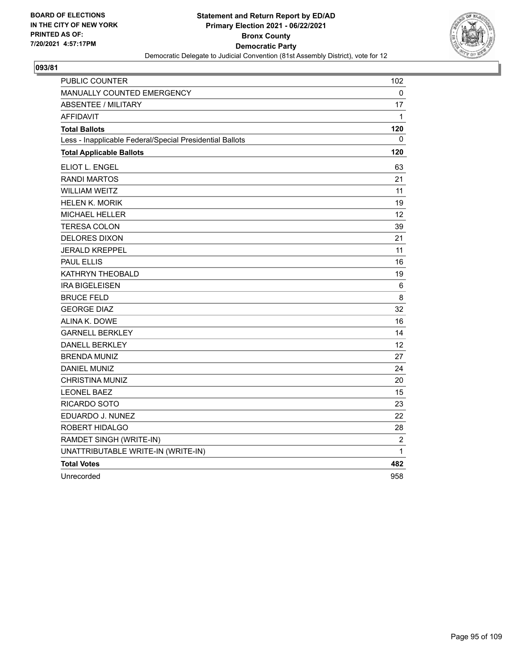

| PUBLIC COUNTER                                           | 102            |
|----------------------------------------------------------|----------------|
| MANUALLY COUNTED EMERGENCY                               | 0              |
| <b>ABSENTEE / MILITARY</b>                               | 17             |
| <b>AFFIDAVIT</b>                                         | $\mathbf{1}$   |
| <b>Total Ballots</b>                                     | 120            |
| Less - Inapplicable Federal/Special Presidential Ballots | 0              |
| <b>Total Applicable Ballots</b>                          | 120            |
| ELIOT L. ENGEL                                           | 63             |
| <b>RANDI MARTOS</b>                                      | 21             |
| <b>WILLIAM WEITZ</b>                                     | 11             |
| <b>HELEN K. MORIK</b>                                    | 19             |
| <b>MICHAEL HELLER</b>                                    | 12             |
| <b>TERESA COLON</b>                                      | 39             |
| <b>DELORES DIXON</b>                                     | 21             |
| <b>JERALD KREPPEL</b>                                    | 11             |
| <b>PAUL ELLIS</b>                                        | 16             |
| KATHRYN THEOBALD                                         | 19             |
| <b>IRA BIGELEISEN</b>                                    | 6              |
| <b>BRUCE FELD</b>                                        | 8              |
| <b>GEORGE DIAZ</b>                                       | 32             |
| ALINA K. DOWE                                            | 16             |
| <b>GARNELL BERKLEY</b>                                   | 14             |
| <b>DANELL BERKLEY</b>                                    | 12             |
| <b>BRENDA MUNIZ</b>                                      | 27             |
| <b>DANIEL MUNIZ</b>                                      | 24             |
| <b>CHRISTINA MUNIZ</b>                                   | 20             |
| <b>LEONEL BAEZ</b>                                       | 15             |
| RICARDO SOTO                                             | 23             |
| EDUARDO J. NUNEZ                                         | 22             |
| ROBERT HIDALGO                                           | 28             |
| RAMDET SINGH (WRITE-IN)                                  | $\overline{2}$ |
| UNATTRIBUTABLE WRITE-IN (WRITE-IN)                       | 1              |
| <b>Total Votes</b>                                       | 482            |
| Unrecorded                                               | 958            |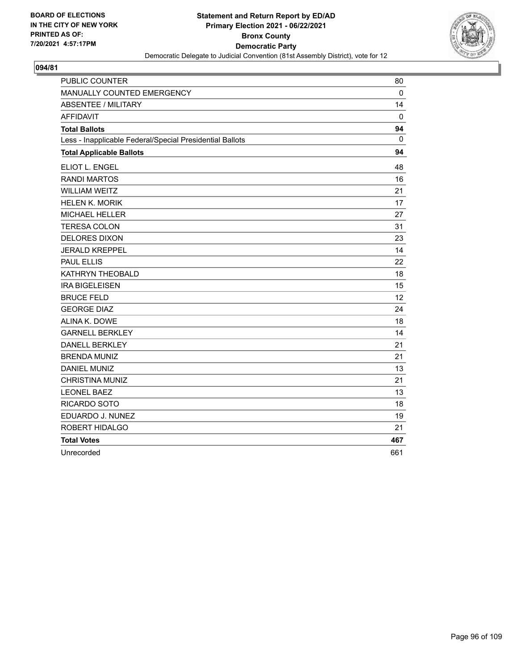

| PUBLIC COUNTER                                           | 80           |
|----------------------------------------------------------|--------------|
| MANUALLY COUNTED EMERGENCY                               | $\mathbf 0$  |
| <b>ABSENTEE / MILITARY</b>                               | 14           |
| <b>AFFIDAVIT</b>                                         | 0            |
| <b>Total Ballots</b>                                     | 94           |
| Less - Inapplicable Federal/Special Presidential Ballots | $\mathbf{0}$ |
| <b>Total Applicable Ballots</b>                          | 94           |
| <b>ELIOT L. ENGEL</b>                                    | 48           |
| <b>RANDI MARTOS</b>                                      | 16           |
| <b>WILLIAM WEITZ</b>                                     | 21           |
| <b>HELEN K. MORIK</b>                                    | 17           |
| <b>MICHAEL HELLER</b>                                    | 27           |
| <b>TERESA COLON</b>                                      | 31           |
| <b>DELORES DIXON</b>                                     | 23           |
| <b>JERALD KREPPEL</b>                                    | 14           |
| <b>PAUL ELLIS</b>                                        | 22           |
| KATHRYN THEOBALD                                         | 18           |
| <b>IRA BIGELEISEN</b>                                    | 15           |
| <b>BRUCE FELD</b>                                        | 12           |
| <b>GEORGE DIAZ</b>                                       | 24           |
| ALINA K. DOWE                                            | 18           |
| <b>GARNELL BERKLEY</b>                                   | 14           |
| <b>DANELL BERKLEY</b>                                    | 21           |
| <b>BRENDA MUNIZ</b>                                      | 21           |
| <b>DANIEL MUNIZ</b>                                      | 13           |
| <b>CHRISTINA MUNIZ</b>                                   | 21           |
| <b>LEONEL BAEZ</b>                                       | 13           |
| RICARDO SOTO                                             | 18           |
| EDUARDO J. NUNEZ                                         | 19           |
| ROBERT HIDALGO                                           | 21           |
| <b>Total Votes</b>                                       | 467          |
| Unrecorded                                               | 661          |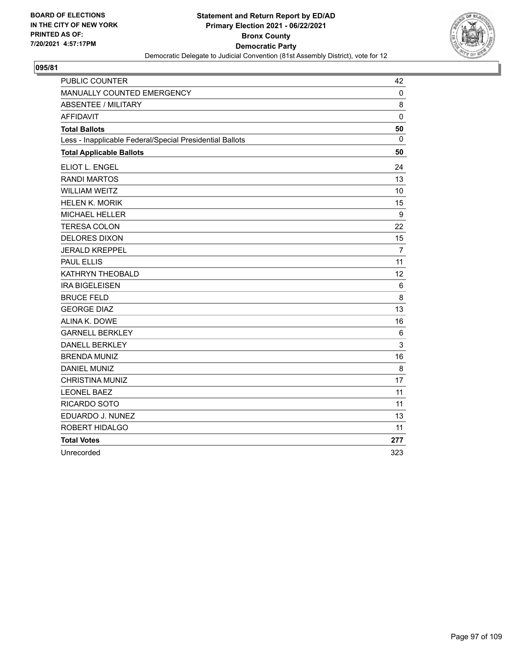

| <b>PUBLIC COUNTER</b>                                    | 42             |
|----------------------------------------------------------|----------------|
| MANUALLY COUNTED EMERGENCY                               | $\mathbf 0$    |
| <b>ABSENTEE / MILITARY</b>                               | 8              |
| <b>AFFIDAVIT</b>                                         | $\mathbf 0$    |
| <b>Total Ballots</b>                                     | 50             |
| Less - Inapplicable Federal/Special Presidential Ballots | $\mathbf{0}$   |
| <b>Total Applicable Ballots</b>                          | 50             |
| ELIOT L. ENGEL                                           | 24             |
| <b>RANDI MARTOS</b>                                      | 13             |
| <b>WILLIAM WEITZ</b>                                     | 10             |
| <b>HELEN K. MORIK</b>                                    | 15             |
| <b>MICHAEL HELLER</b>                                    | 9              |
| <b>TERESA COLON</b>                                      | 22             |
| <b>DELORES DIXON</b>                                     | 15             |
| <b>JERALD KREPPEL</b>                                    | $\overline{7}$ |
| <b>PAUL ELLIS</b>                                        | 11             |
| KATHRYN THEOBALD                                         | 12             |
| <b>IRA BIGELEISEN</b>                                    | 6              |
| <b>BRUCE FELD</b>                                        | 8              |
| <b>GEORGE DIAZ</b>                                       | 13             |
| ALINA K. DOWE                                            | 16             |
| <b>GARNELL BERKLEY</b>                                   | 6              |
| <b>DANELL BERKLEY</b>                                    | 3              |
| <b>BRENDA MUNIZ</b>                                      | 16             |
| <b>DANIEL MUNIZ</b>                                      | 8              |
| <b>CHRISTINA MUNIZ</b>                                   | 17             |
| <b>LEONEL BAEZ</b>                                       | 11             |
| RICARDO SOTO                                             | 11             |
| EDUARDO J. NUNEZ                                         | 13             |
| <b>ROBERT HIDALGO</b>                                    | 11             |
| <b>Total Votes</b>                                       | 277            |
| Unrecorded                                               | 323            |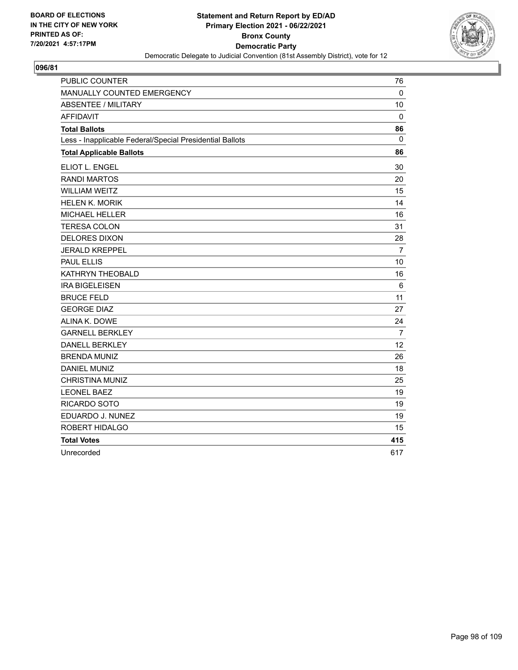

| PUBLIC COUNTER                                           | 76             |
|----------------------------------------------------------|----------------|
| MANUALLY COUNTED EMERGENCY                               | $\mathbf 0$    |
| <b>ABSENTEE / MILITARY</b>                               | 10             |
| <b>AFFIDAVIT</b>                                         | 0              |
| <b>Total Ballots</b>                                     | 86             |
| Less - Inapplicable Federal/Special Presidential Ballots | 0              |
| <b>Total Applicable Ballots</b>                          | 86             |
| ELIOT L. ENGEL                                           | 30             |
| <b>RANDI MARTOS</b>                                      | 20             |
| <b>WILLIAM WEITZ</b>                                     | 15             |
| <b>HELEN K. MORIK</b>                                    | 14             |
| <b>MICHAEL HELLER</b>                                    | 16             |
| <b>TERESA COLON</b>                                      | 31             |
| <b>DELORES DIXON</b>                                     | 28             |
| <b>JERALD KREPPEL</b>                                    | $\overline{7}$ |
| <b>PAUL ELLIS</b>                                        | 10             |
| KATHRYN THEOBALD                                         | 16             |
| <b>IRA BIGELEISEN</b>                                    | 6              |
| <b>BRUCE FELD</b>                                        | 11             |
| <b>GEORGE DIAZ</b>                                       | 27             |
| ALINA K. DOWE                                            | 24             |
| <b>GARNELL BERKLEY</b>                                   | $\overline{7}$ |
| <b>DANELL BERKLEY</b>                                    | 12             |
| <b>BRENDA MUNIZ</b>                                      | 26             |
| <b>DANIEL MUNIZ</b>                                      | 18             |
| <b>CHRISTINA MUNIZ</b>                                   | 25             |
| <b>LEONEL BAEZ</b>                                       | 19             |
| <b>RICARDO SOTO</b>                                      | 19             |
| EDUARDO J. NUNEZ                                         | 19             |
| ROBERT HIDALGO                                           | 15             |
| <b>Total Votes</b>                                       | 415            |
| Unrecorded                                               | 617            |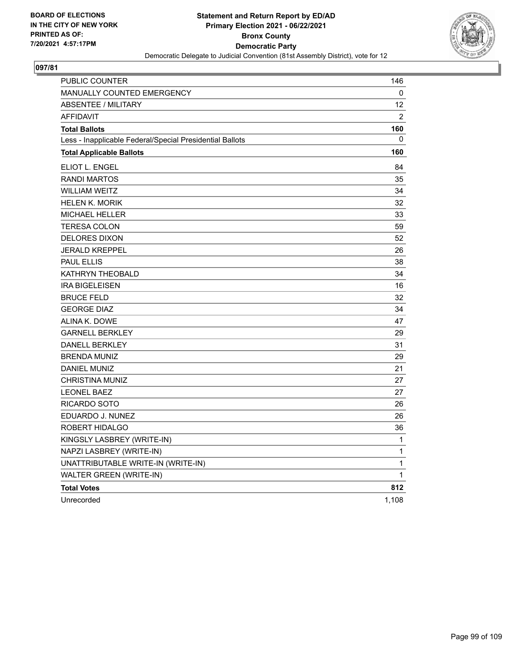

| PUBLIC COUNTER                                           | 146          |
|----------------------------------------------------------|--------------|
| <b>MANUALLY COUNTED EMERGENCY</b>                        | 0            |
| <b>ABSENTEE / MILITARY</b>                               | 12           |
| <b>AFFIDAVIT</b>                                         | 2            |
| <b>Total Ballots</b>                                     | 160          |
| Less - Inapplicable Federal/Special Presidential Ballots | 0            |
| <b>Total Applicable Ballots</b>                          | 160          |
| ELIOT L. ENGEL                                           | 84           |
| <b>RANDI MARTOS</b>                                      | 35           |
| <b>WILLIAM WEITZ</b>                                     | 34           |
| <b>HELEN K. MORIK</b>                                    | 32           |
| <b>MICHAEL HELLER</b>                                    | 33           |
| <b>TERESA COLON</b>                                      | 59           |
| <b>DELORES DIXON</b>                                     | 52           |
| <b>JERALD KREPPEL</b>                                    | 26           |
| PAUL ELLIS                                               | 38           |
| KATHRYN THEOBALD                                         | 34           |
| <b>IRA BIGELEISEN</b>                                    | 16           |
| <b>BRUCE FELD</b>                                        | 32           |
| <b>GEORGE DIAZ</b>                                       | 34           |
| ALINA K. DOWE                                            | 47           |
| <b>GARNELL BERKLEY</b>                                   | 29           |
| <b>DANELL BERKLEY</b>                                    | 31           |
| <b>BRENDA MUNIZ</b>                                      | 29           |
| DANIEL MUNIZ                                             | 21           |
| <b>CHRISTINA MUNIZ</b>                                   | 27           |
| <b>LEONEL BAEZ</b>                                       | 27           |
| RICARDO SOTO                                             | 26           |
| EDUARDO J. NUNEZ                                         | 26           |
| ROBERT HIDALGO                                           | 36           |
| KINGSLY LASBREY (WRITE-IN)                               | 1            |
| NAPZI LASBREY (WRITE-IN)                                 | $\mathbf{1}$ |
| UNATTRIBUTABLE WRITE-IN (WRITE-IN)                       | $\mathbf{1}$ |
| WALTER GREEN (WRITE-IN)                                  | 1            |
| <b>Total Votes</b>                                       | 812          |
| Unrecorded                                               | 1,108        |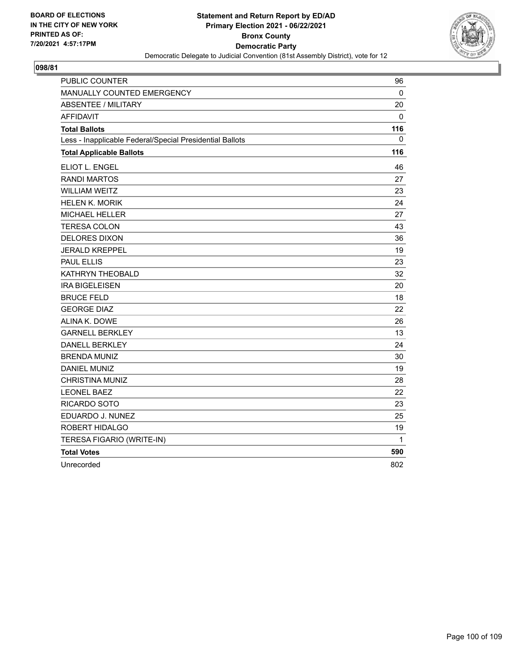

| PUBLIC COUNTER                                           | 96  |
|----------------------------------------------------------|-----|
| MANUALLY COUNTED EMERGENCY                               | 0   |
| <b>ABSENTEE / MILITARY</b>                               | 20  |
| <b>AFFIDAVIT</b>                                         | 0   |
| <b>Total Ballots</b>                                     | 116 |
| Less - Inapplicable Federal/Special Presidential Ballots | 0   |
| <b>Total Applicable Ballots</b>                          | 116 |
| ELIOT L. ENGEL                                           | 46  |
| <b>RANDI MARTOS</b>                                      | 27  |
| <b>WILLIAM WEITZ</b>                                     | 23  |
| <b>HELEN K. MORIK</b>                                    | 24  |
| <b>MICHAEL HELLER</b>                                    | 27  |
| <b>TERESA COLON</b>                                      | 43  |
| <b>DELORES DIXON</b>                                     | 36  |
| <b>JERALD KREPPEL</b>                                    | 19  |
| <b>PAUL ELLIS</b>                                        | 23  |
| KATHRYN THEOBALD                                         | 32  |
| <b>IRA BIGELEISEN</b>                                    | 20  |
| <b>BRUCE FELD</b>                                        | 18  |
| <b>GEORGE DIAZ</b>                                       | 22  |
| ALINA K. DOWE                                            | 26  |
| <b>GARNELL BERKLEY</b>                                   | 13  |
| <b>DANELL BERKLEY</b>                                    | 24  |
| <b>BRENDA MUNIZ</b>                                      | 30  |
| <b>DANIEL MUNIZ</b>                                      | 19  |
| <b>CHRISTINA MUNIZ</b>                                   | 28  |
| <b>LEONEL BAEZ</b>                                       | 22  |
| RICARDO SOTO                                             | 23  |
| EDUARDO J. NUNEZ                                         | 25  |
| ROBERT HIDALGO                                           | 19  |
| TERESA FIGARIO (WRITE-IN)                                | 1   |
| <b>Total Votes</b>                                       | 590 |
| Unrecorded                                               | 802 |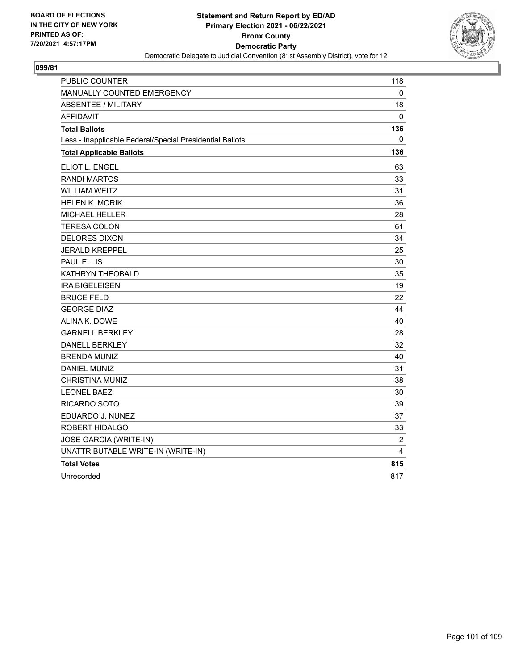

| PUBLIC COUNTER                                           | 118            |
|----------------------------------------------------------|----------------|
| MANUALLY COUNTED EMERGENCY                               | 0              |
| <b>ABSENTEE / MILITARY</b>                               | 18             |
| <b>AFFIDAVIT</b>                                         | $\mathbf{0}$   |
| <b>Total Ballots</b>                                     | 136            |
| Less - Inapplicable Federal/Special Presidential Ballots | 0              |
| <b>Total Applicable Ballots</b>                          | 136            |
| ELIOT L. ENGEL                                           | 63             |
| <b>RANDI MARTOS</b>                                      | 33             |
| <b>WILLIAM WEITZ</b>                                     | 31             |
| <b>HELEN K. MORIK</b>                                    | 36             |
| MICHAEL HELLER                                           | 28             |
| <b>TERESA COLON</b>                                      | 61             |
| <b>DELORES DIXON</b>                                     | 34             |
| <b>JERALD KREPPEL</b>                                    | 25             |
| <b>PAUL ELLIS</b>                                        | 30             |
| KATHRYN THEOBALD                                         | 35             |
| <b>IRA BIGELEISEN</b>                                    | 19             |
| <b>BRUCE FELD</b>                                        | 22             |
| <b>GEORGE DIAZ</b>                                       | 44             |
| ALINA K. DOWE                                            | 40             |
| <b>GARNELL BERKLEY</b>                                   | 28             |
| <b>DANELL BERKLEY</b>                                    | 32             |
| <b>BRENDA MUNIZ</b>                                      | 40             |
| <b>DANIEL MUNIZ</b>                                      | 31             |
| <b>CHRISTINA MUNIZ</b>                                   | 38             |
| <b>LEONEL BAEZ</b>                                       | 30             |
| RICARDO SOTO                                             | 39             |
| EDUARDO J. NUNEZ                                         | 37             |
| ROBERT HIDALGO                                           | 33             |
| JOSE GARCIA (WRITE-IN)                                   | $\overline{c}$ |
| UNATTRIBUTABLE WRITE-IN (WRITE-IN)                       | 4              |
| <b>Total Votes</b>                                       | 815            |
| Unrecorded                                               | 817            |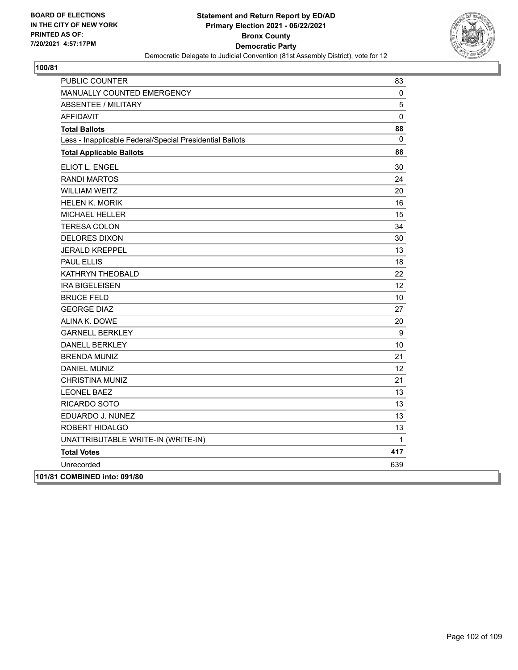

| PUBLIC COUNTER                                           | 83              |
|----------------------------------------------------------|-----------------|
| MANUALLY COUNTED EMERGENCY                               | 0               |
| <b>ABSENTEE / MILITARY</b>                               | 5               |
| <b>AFFIDAVIT</b>                                         | 0               |
| <b>Total Ballots</b>                                     | 88              |
| Less - Inapplicable Federal/Special Presidential Ballots | 0               |
| <b>Total Applicable Ballots</b>                          | 88              |
| ELIOT L. ENGEL                                           | 30              |
| <b>RANDI MARTOS</b>                                      | 24              |
| <b>WILLIAM WEITZ</b>                                     | 20              |
| <b>HELEN K. MORIK</b>                                    | 16              |
| MICHAEL HELLER                                           | 15              |
| <b>TERESA COLON</b>                                      | 34              |
| <b>DELORES DIXON</b>                                     | 30              |
| <b>JERALD KREPPEL</b>                                    | 13              |
| <b>PAUL ELLIS</b>                                        | 18              |
| KATHRYN THEOBALD                                         | 22              |
| <b>IRA BIGELEISEN</b>                                    | 12 <sup>2</sup> |
| <b>BRUCE FELD</b>                                        | 10              |
| <b>GEORGE DIAZ</b>                                       | 27              |
| ALINA K. DOWE                                            | 20              |
| <b>GARNELL BERKLEY</b>                                   | 9               |
| <b>DANELL BERKLEY</b>                                    | 10              |
| <b>BRENDA MUNIZ</b>                                      | 21              |
| <b>DANIEL MUNIZ</b>                                      | 12 <sup>°</sup> |
| <b>CHRISTINA MUNIZ</b>                                   | 21              |
| <b>LEONEL BAEZ</b>                                       | 13              |
| RICARDO SOTO                                             | 13              |
| EDUARDO J. NUNEZ                                         | 13              |
| ROBERT HIDALGO                                           | 13              |
| UNATTRIBUTABLE WRITE-IN (WRITE-IN)                       | $\mathbf{1}$    |
| <b>Total Votes</b>                                       | 417             |
| Unrecorded                                               | 639             |
| 101/81 COMBINED into: 091/80                             |                 |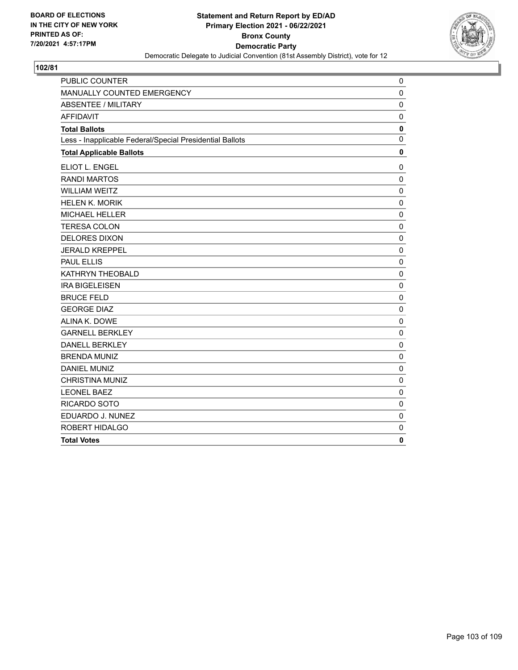

| PUBLIC COUNTER                                           | 0            |
|----------------------------------------------------------|--------------|
| MANUALLY COUNTED EMERGENCY                               | $\mathbf 0$  |
| <b>ABSENTEE / MILITARY</b>                               | $\mathbf 0$  |
| <b>AFFIDAVIT</b>                                         | $\mathbf 0$  |
| <b>Total Ballots</b>                                     | $\mathbf 0$  |
| Less - Inapplicable Federal/Special Presidential Ballots | $\mathbf{0}$ |
| <b>Total Applicable Ballots</b>                          | $\mathbf 0$  |
| ELIOT L. ENGEL                                           | 0            |
| <b>RANDI MARTOS</b>                                      | 0            |
| <b>WILLIAM WEITZ</b>                                     | $\mathbf 0$  |
| <b>HELEN K. MORIK</b>                                    | $\mathbf 0$  |
| MICHAEL HELLER                                           | $\mathbf 0$  |
| <b>TERESA COLON</b>                                      | $\mathbf 0$  |
| <b>DELORES DIXON</b>                                     | $\mathbf 0$  |
| <b>JERALD KREPPEL</b>                                    | $\pmb{0}$    |
| <b>PAUL ELLIS</b>                                        | $\mathbf 0$  |
| KATHRYN THEOBALD                                         | $\mathbf 0$  |
| <b>IRA BIGELEISEN</b>                                    | $\mathbf 0$  |
| <b>BRUCE FELD</b>                                        | $\mathbf 0$  |
| <b>GEORGE DIAZ</b>                                       | $\mathbf 0$  |
| ALINA K. DOWE                                            | 0            |
| <b>GARNELL BERKLEY</b>                                   | $\mathbf 0$  |
| <b>DANELL BERKLEY</b>                                    | $\mathbf 0$  |
| <b>BRENDA MUNIZ</b>                                      | $\mathbf 0$  |
| <b>DANIEL MUNIZ</b>                                      | $\mathbf 0$  |
| <b>CHRISTINA MUNIZ</b>                                   | $\mathbf 0$  |
| <b>LEONEL BAEZ</b>                                       | $\mathbf 0$  |
| RICARDO SOTO                                             | $\mathbf 0$  |
| EDUARDO J. NUNEZ                                         | $\mathbf 0$  |
| ROBERT HIDALGO                                           | 0            |
| <b>Total Votes</b>                                       | $\mathbf{0}$ |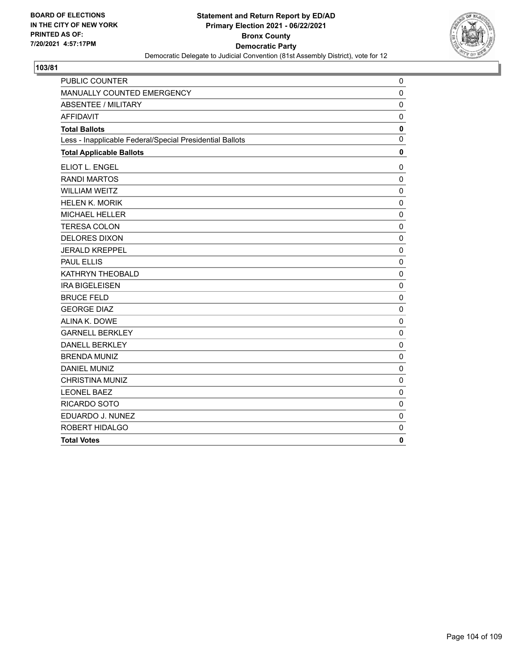

| PUBLIC COUNTER                                           | 0            |
|----------------------------------------------------------|--------------|
| MANUALLY COUNTED EMERGENCY                               | $\mathbf 0$  |
| <b>ABSENTEE / MILITARY</b>                               | $\mathbf 0$  |
| <b>AFFIDAVIT</b>                                         | $\mathbf 0$  |
| <b>Total Ballots</b>                                     | $\mathbf 0$  |
| Less - Inapplicable Federal/Special Presidential Ballots | $\mathbf{0}$ |
| <b>Total Applicable Ballots</b>                          | $\mathbf 0$  |
| ELIOT L. ENGEL                                           | 0            |
| <b>RANDI MARTOS</b>                                      | 0            |
| <b>WILLIAM WEITZ</b>                                     | $\mathbf 0$  |
| <b>HELEN K. MORIK</b>                                    | $\mathbf 0$  |
| MICHAEL HELLER                                           | $\mathbf 0$  |
| <b>TERESA COLON</b>                                      | $\mathbf 0$  |
| <b>DELORES DIXON</b>                                     | $\mathbf 0$  |
| <b>JERALD KREPPEL</b>                                    | $\pmb{0}$    |
| <b>PAUL ELLIS</b>                                        | $\mathbf 0$  |
| KATHRYN THEOBALD                                         | $\mathbf 0$  |
| <b>IRA BIGELEISEN</b>                                    | $\mathbf 0$  |
| <b>BRUCE FELD</b>                                        | $\mathbf 0$  |
| <b>GEORGE DIAZ</b>                                       | $\mathbf 0$  |
| ALINA K. DOWE                                            | 0            |
| <b>GARNELL BERKLEY</b>                                   | $\mathbf 0$  |
| <b>DANELL BERKLEY</b>                                    | $\mathbf 0$  |
| <b>BRENDA MUNIZ</b>                                      | $\mathbf 0$  |
| <b>DANIEL MUNIZ</b>                                      | $\mathbf 0$  |
| <b>CHRISTINA MUNIZ</b>                                   | $\mathbf 0$  |
| <b>LEONEL BAEZ</b>                                       | $\mathbf 0$  |
| RICARDO SOTO                                             | $\mathbf 0$  |
| EDUARDO J. NUNEZ                                         | $\mathbf 0$  |
| ROBERT HIDALGO                                           | 0            |
| <b>Total Votes</b>                                       | $\mathbf{0}$ |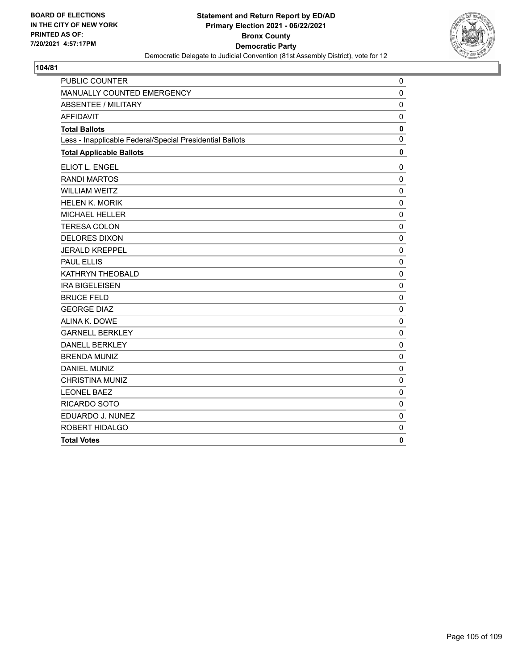

| PUBLIC COUNTER                                           | 0            |
|----------------------------------------------------------|--------------|
| MANUALLY COUNTED EMERGENCY                               | $\mathbf 0$  |
| <b>ABSENTEE / MILITARY</b>                               | $\mathbf 0$  |
| <b>AFFIDAVIT</b>                                         | $\mathbf 0$  |
| <b>Total Ballots</b>                                     | $\mathbf 0$  |
| Less - Inapplicable Federal/Special Presidential Ballots | $\mathbf{0}$ |
| <b>Total Applicable Ballots</b>                          | $\mathbf 0$  |
| ELIOT L. ENGEL                                           | 0            |
| <b>RANDI MARTOS</b>                                      | 0            |
| <b>WILLIAM WEITZ</b>                                     | $\mathbf 0$  |
| <b>HELEN K. MORIK</b>                                    | $\mathbf 0$  |
| MICHAEL HELLER                                           | $\mathbf 0$  |
| <b>TERESA COLON</b>                                      | $\mathbf 0$  |
| <b>DELORES DIXON</b>                                     | $\mathbf 0$  |
| <b>JERALD KREPPEL</b>                                    | $\pmb{0}$    |
| <b>PAUL ELLIS</b>                                        | $\mathbf 0$  |
| KATHRYN THEOBALD                                         | $\mathbf 0$  |
| <b>IRA BIGELEISEN</b>                                    | $\mathbf 0$  |
| <b>BRUCE FELD</b>                                        | $\mathbf 0$  |
| <b>GEORGE DIAZ</b>                                       | $\mathbf 0$  |
| ALINA K. DOWE                                            | 0            |
| <b>GARNELL BERKLEY</b>                                   | $\mathbf 0$  |
| <b>DANELL BERKLEY</b>                                    | $\mathbf 0$  |
| <b>BRENDA MUNIZ</b>                                      | $\mathbf 0$  |
| <b>DANIEL MUNIZ</b>                                      | $\mathbf 0$  |
| <b>CHRISTINA MUNIZ</b>                                   | $\mathbf 0$  |
| <b>LEONEL BAEZ</b>                                       | $\mathbf 0$  |
| RICARDO SOTO                                             | $\mathbf 0$  |
| EDUARDO J. NUNEZ                                         | $\mathbf 0$  |
| ROBERT HIDALGO                                           | 0            |
| <b>Total Votes</b>                                       | $\mathbf{0}$ |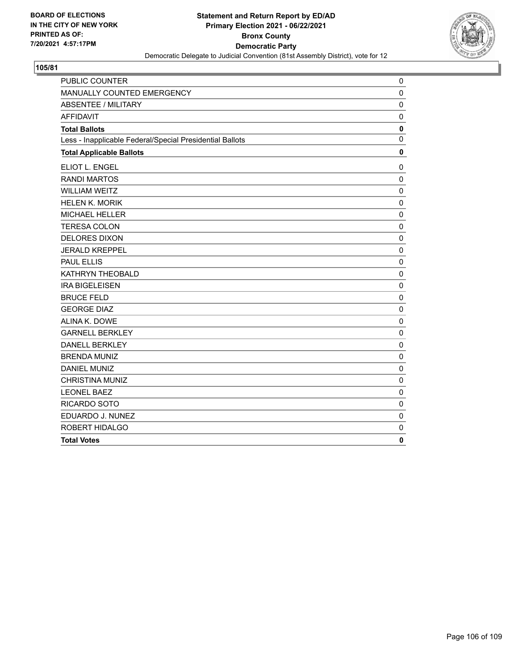

| PUBLIC COUNTER                                           | 0            |
|----------------------------------------------------------|--------------|
| MANUALLY COUNTED EMERGENCY                               | $\mathbf 0$  |
| <b>ABSENTEE / MILITARY</b>                               | $\mathbf 0$  |
| <b>AFFIDAVIT</b>                                         | $\mathbf 0$  |
| <b>Total Ballots</b>                                     | $\mathbf 0$  |
| Less - Inapplicable Federal/Special Presidential Ballots | $\mathbf{0}$ |
| <b>Total Applicable Ballots</b>                          | $\mathbf 0$  |
| ELIOT L. ENGEL                                           | 0            |
| <b>RANDI MARTOS</b>                                      | 0            |
| <b>WILLIAM WEITZ</b>                                     | $\mathbf 0$  |
| <b>HELEN K. MORIK</b>                                    | $\mathbf 0$  |
| MICHAEL HELLER                                           | $\mathbf 0$  |
| <b>TERESA COLON</b>                                      | $\mathbf 0$  |
| <b>DELORES DIXON</b>                                     | $\mathbf 0$  |
| <b>JERALD KREPPEL</b>                                    | $\pmb{0}$    |
| <b>PAUL ELLIS</b>                                        | $\mathbf 0$  |
| KATHRYN THEOBALD                                         | $\mathbf 0$  |
| <b>IRA BIGELEISEN</b>                                    | $\mathbf 0$  |
| <b>BRUCE FELD</b>                                        | $\mathbf 0$  |
| <b>GEORGE DIAZ</b>                                       | $\mathbf 0$  |
| ALINA K. DOWE                                            | 0            |
| <b>GARNELL BERKLEY</b>                                   | $\mathbf 0$  |
| <b>DANELL BERKLEY</b>                                    | $\mathbf 0$  |
| <b>BRENDA MUNIZ</b>                                      | $\mathbf 0$  |
| <b>DANIEL MUNIZ</b>                                      | $\mathbf 0$  |
| <b>CHRISTINA MUNIZ</b>                                   | $\mathbf 0$  |
| <b>LEONEL BAEZ</b>                                       | $\mathbf 0$  |
| RICARDO SOTO                                             | $\mathbf 0$  |
| EDUARDO J. NUNEZ                                         | $\mathbf 0$  |
| ROBERT HIDALGO                                           | 0            |
| <b>Total Votes</b>                                       | $\mathbf{0}$ |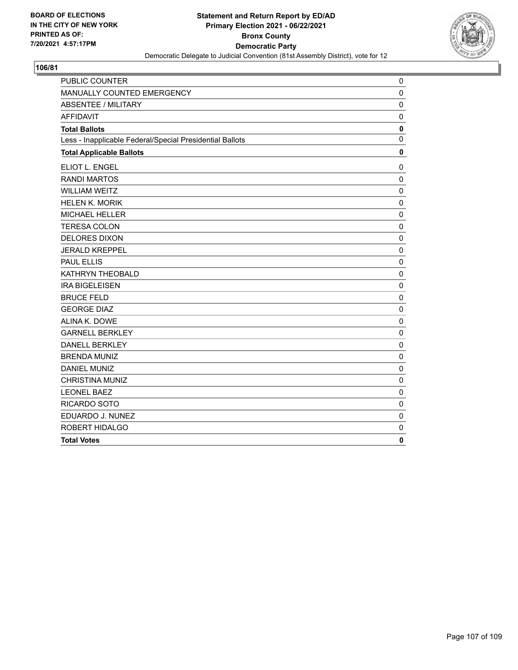

| PUBLIC COUNTER                                           | 0            |
|----------------------------------------------------------|--------------|
| MANUALLY COUNTED EMERGENCY                               | $\mathbf 0$  |
| <b>ABSENTEE / MILITARY</b>                               | $\mathbf 0$  |
| <b>AFFIDAVIT</b>                                         | $\mathbf 0$  |
| <b>Total Ballots</b>                                     | $\mathbf 0$  |
| Less - Inapplicable Federal/Special Presidential Ballots | $\mathbf{0}$ |
| <b>Total Applicable Ballots</b>                          | $\mathbf 0$  |
| ELIOT L. ENGEL                                           | 0            |
| <b>RANDI MARTOS</b>                                      | 0            |
| <b>WILLIAM WEITZ</b>                                     | $\mathbf 0$  |
| <b>HELEN K. MORIK</b>                                    | $\mathbf 0$  |
| MICHAEL HELLER                                           | $\mathbf 0$  |
| <b>TERESA COLON</b>                                      | $\mathbf 0$  |
| <b>DELORES DIXON</b>                                     | $\mathbf 0$  |
| <b>JERALD KREPPEL</b>                                    | $\pmb{0}$    |
| <b>PAUL ELLIS</b>                                        | $\mathbf 0$  |
| KATHRYN THEOBALD                                         | $\mathbf 0$  |
| <b>IRA BIGELEISEN</b>                                    | $\mathbf 0$  |
| <b>BRUCE FELD</b>                                        | $\mathbf 0$  |
| <b>GEORGE DIAZ</b>                                       | $\mathbf 0$  |
| ALINA K. DOWE                                            | 0            |
| <b>GARNELL BERKLEY</b>                                   | $\mathbf 0$  |
| <b>DANELL BERKLEY</b>                                    | $\mathbf 0$  |
| <b>BRENDA MUNIZ</b>                                      | $\mathbf 0$  |
| <b>DANIEL MUNIZ</b>                                      | $\mathbf 0$  |
| <b>CHRISTINA MUNIZ</b>                                   | $\mathbf 0$  |
| <b>LEONEL BAEZ</b>                                       | $\mathbf 0$  |
| RICARDO SOTO                                             | $\mathbf 0$  |
| EDUARDO J. NUNEZ                                         | $\mathbf 0$  |
| ROBERT HIDALGO                                           | 0            |
| <b>Total Votes</b>                                       | $\mathbf{0}$ |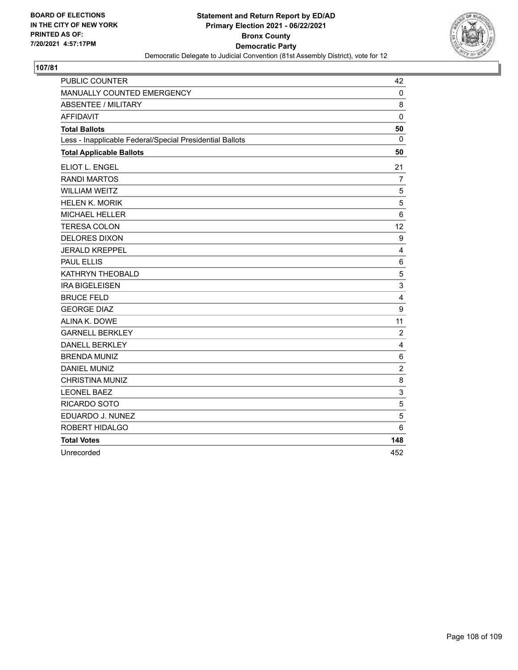

| PUBLIC COUNTER                                           | 42             |
|----------------------------------------------------------|----------------|
| MANUALLY COUNTED EMERGENCY                               | 0              |
| <b>ABSENTEE / MILITARY</b>                               | 8              |
| <b>AFFIDAVIT</b>                                         | $\mathbf 0$    |
| <b>Total Ballots</b>                                     | 50             |
| Less - Inapplicable Federal/Special Presidential Ballots | $\mathbf 0$    |
| <b>Total Applicable Ballots</b>                          | 50             |
| ELIOT L. ENGEL                                           | 21             |
| <b>RANDI MARTOS</b>                                      | 7              |
| <b>WILLIAM WEITZ</b>                                     | 5              |
| <b>HELEN K. MORIK</b>                                    | 5              |
| <b>MICHAEL HELLER</b>                                    | 6              |
| <b>TERESA COLON</b>                                      | 12             |
| <b>DELORES DIXON</b>                                     | 9              |
| <b>JERALD KREPPEL</b>                                    | 4              |
| <b>PAUL ELLIS</b>                                        | 6              |
| KATHRYN THEOBALD                                         | 5              |
| <b>IRA BIGELEISEN</b>                                    | 3              |
| <b>BRUCE FELD</b>                                        | 4              |
| <b>GEORGE DIAZ</b>                                       | 9              |
| ALINA K. DOWE                                            | 11             |
| <b>GARNELL BERKLEY</b>                                   | $\overline{2}$ |
| <b>DANELL BERKLEY</b>                                    | 4              |
| <b>BRENDA MUNIZ</b>                                      | $\,6$          |
| <b>DANIEL MUNIZ</b>                                      | $\overline{c}$ |
| <b>CHRISTINA MUNIZ</b>                                   | 8              |
| <b>LEONEL BAEZ</b>                                       | 3              |
| RICARDO SOTO                                             | 5              |
| EDUARDO J. NUNEZ                                         | 5              |
| ROBERT HIDALGO                                           | 6              |
| <b>Total Votes</b>                                       | 148            |
| Unrecorded                                               | 452            |